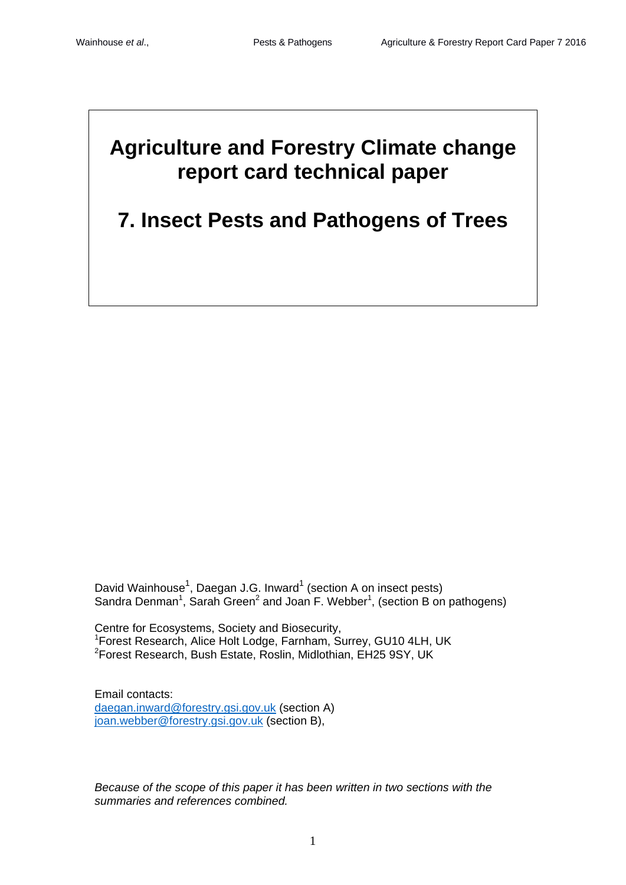# **Agriculture and Forestry Climate change report card technical paper**

# **7. Insect Pests and Pathogens of Trees**

David Wainhouse<sup>1</sup>, Daegan J.G. Inward<sup>1</sup> (section A on insect pests) Sandra Denman<sup>1</sup>, Sarah Green<sup>2</sup> and Joan F. Webber<sup>1</sup>, (section B on pathogens)

Centre for Ecosystems, Society and Biosecurity, <sup>1</sup>Forest Research, Alice Holt Lodge, Farnham, Surrey, GU10 4LH, UK 2 Forest Research, Bush Estate, Roslin, Midlothian, EH25 9SY, UK

Email contacts: [daegan.inward@forestry.gsi.gov.uk](mailto:daegan.inward@forestry.gsi.gov.uk) (section A) [joan.webber@forestry.gsi.gov.uk](mailto:joan.webber@forestry.gsi.gov.uk) (section B),

*Because of the scope of this paper it has been written in two sections with the summaries and references combined.*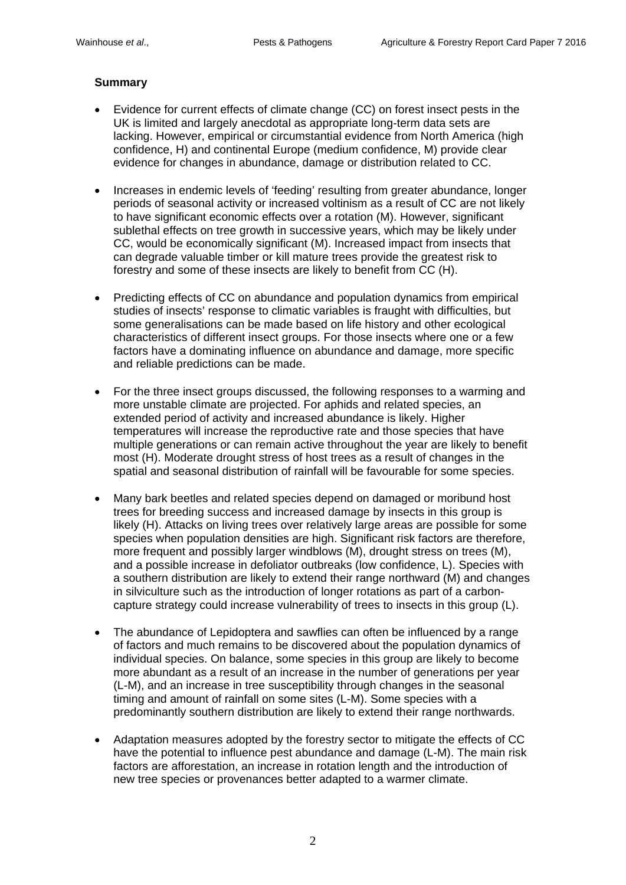# **Summary**

- Evidence for current effects of climate change (CC) on forest insect pests in the UK is limited and largely anecdotal as appropriate long-term data sets are lacking. However, empirical or circumstantial evidence from North America (high confidence, H) and continental Europe (medium confidence, M) provide clear evidence for changes in abundance, damage or distribution related to CC.
- Increases in endemic levels of 'feeding' resulting from greater abundance, longer periods of seasonal activity or increased voltinism as a result of CC are not likely to have significant economic effects over a rotation (M). However, significant sublethal effects on tree growth in successive years, which may be likely under CC, would be economically significant (M). Increased impact from insects that can degrade valuable timber or kill mature trees provide the greatest risk to forestry and some of these insects are likely to benefit from CC (H).
- Predicting effects of CC on abundance and population dynamics from empirical studies of insects' response to climatic variables is fraught with difficulties, but some generalisations can be made based on life history and other ecological characteristics of different insect groups. For those insects where one or a few factors have a dominating influence on abundance and damage, more specific and reliable predictions can be made.
- For the three insect groups discussed, the following responses to a warming and more unstable climate are projected. For aphids and related species, an extended period of activity and increased abundance is likely. Higher temperatures will increase the reproductive rate and those species that have multiple generations or can remain active throughout the year are likely to benefit most (H). Moderate drought stress of host trees as a result of changes in the spatial and seasonal distribution of rainfall will be favourable for some species.
- Many bark beetles and related species depend on damaged or moribund host trees for breeding success and increased damage by insects in this group is likely (H). Attacks on living trees over relatively large areas are possible for some species when population densities are high. Significant risk factors are therefore, more frequent and possibly larger windblows (M), drought stress on trees (M), and a possible increase in defoliator outbreaks (low confidence, L). Species with a southern distribution are likely to extend their range northward (M) and changes in silviculture such as the introduction of longer rotations as part of a carboncapture strategy could increase vulnerability of trees to insects in this group (L).
- The abundance of Lepidoptera and sawflies can often be influenced by a range of factors and much remains to be discovered about the population dynamics of individual species. On balance, some species in this group are likely to become more abundant as a result of an increase in the number of generations per year (L-M), and an increase in tree susceptibility through changes in the seasonal timing and amount of rainfall on some sites (L-M). Some species with a predominantly southern distribution are likely to extend their range northwards.
- Adaptation measures adopted by the forestry sector to mitigate the effects of CC have the potential to influence pest abundance and damage (L-M). The main risk factors are afforestation, an increase in rotation length and the introduction of new tree species or provenances better adapted to a warmer climate.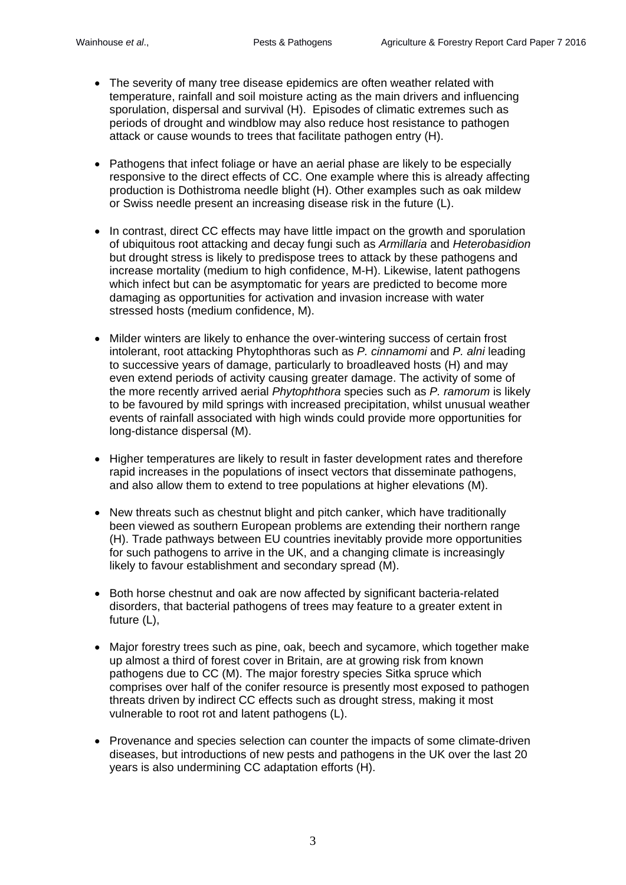- The severity of many tree disease epidemics are often weather related with temperature, rainfall and soil moisture acting as the main drivers and influencing sporulation, dispersal and survival (H). Episodes of climatic extremes such as periods of drought and windblow may also reduce host resistance to pathogen attack or cause wounds to trees that facilitate pathogen entry (H).
- Pathogens that infect foliage or have an aerial phase are likely to be especially responsive to the direct effects of CC. One example where this is already affecting production is Dothistroma needle blight (H). Other examples such as oak mildew or Swiss needle present an increasing disease risk in the future (L).
- In contrast, direct CC effects may have little impact on the growth and sporulation of ubiquitous root attacking and decay fungi such as *Armillaria* and *Heterobasidion* but drought stress is likely to predispose trees to attack by these pathogens and increase mortality (medium to high confidence, M-H). Likewise, latent pathogens which infect but can be asymptomatic for years are predicted to become more damaging as opportunities for activation and invasion increase with water stressed hosts (medium confidence, M).
- Milder winters are likely to enhance the over-wintering success of certain frost intolerant, root attacking Phytophthoras such as *P. cinnamomi* and *P. alni* leading to successive years of damage, particularly to broadleaved hosts (H) and may even extend periods of activity causing greater damage. The activity of some of the more recently arrived aerial *Phytophthora* species such as *P. ramorum* is likely to be favoured by mild springs with increased precipitation, whilst unusual weather events of rainfall associated with high winds could provide more opportunities for long-distance dispersal (M).
- Higher temperatures are likely to result in faster development rates and therefore rapid increases in the populations of insect vectors that disseminate pathogens, and also allow them to extend to tree populations at higher elevations (M).
- New threats such as chestnut blight and pitch canker, which have traditionally been viewed as southern European problems are extending their northern range (H). Trade pathways between EU countries inevitably provide more opportunities for such pathogens to arrive in the UK, and a changing climate is increasingly likely to favour establishment and secondary spread (M).
- Both horse chestnut and oak are now affected by significant bacteria-related disorders, that bacterial pathogens of trees may feature to a greater extent in future (L),
- Major forestry trees such as pine, oak, beech and sycamore, which together make up almost a third of forest cover in Britain, are at growing risk from known pathogens due to CC (M). The major forestry species Sitka spruce which comprises over half of the conifer resource is presently most exposed to pathogen threats driven by indirect CC effects such as drought stress, making it most vulnerable to root rot and latent pathogens (L).
- Provenance and species selection can counter the impacts of some climate-driven diseases, but introductions of new pests and pathogens in the UK over the last 20 years is also undermining CC adaptation efforts (H).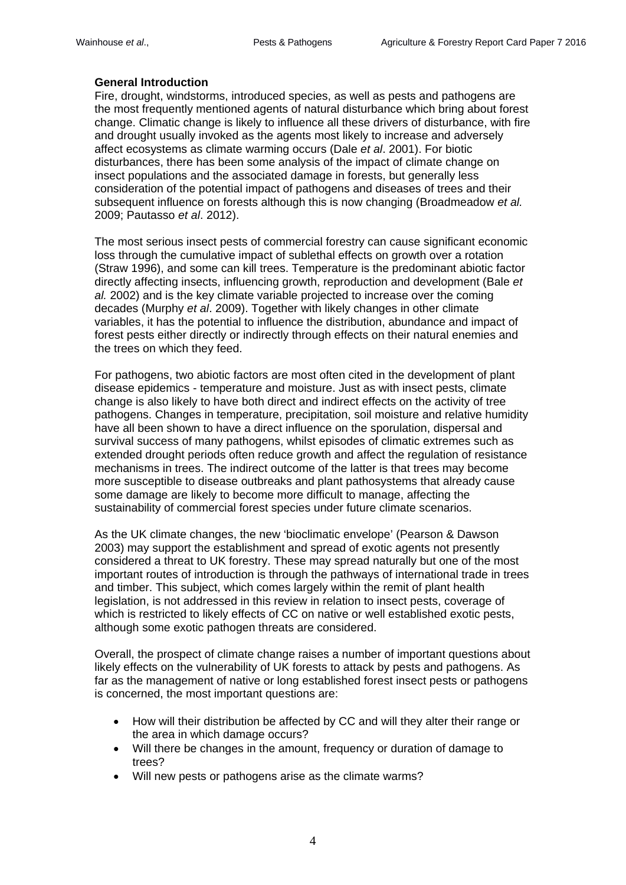## **General Introduction**

Fire, drought, windstorms, introduced species, as well as pests and pathogens are the most frequently mentioned agents of natural disturbance which bring about forest change. Climatic change is likely to influence all these drivers of disturbance, with fire and drought usually invoked as the agents most likely to increase and adversely affect ecosystems as climate warming occurs (Dale *et al*. 2001). For biotic disturbances, there has been some analysis of the impact of climate change on insect populations and the associated damage in forests, but generally less consideration of the potential impact of pathogens and diseases of trees and their subsequent influence on forests although this is now changing (Broadmeadow *et al.* 2009; Pautasso *et al*. 2012).

The most serious insect pests of commercial forestry can cause significant economic loss through the cumulative impact of sublethal effects on growth over a rotation (Straw 1996), and some can kill trees. Temperature is the predominant abiotic factor directly affecting insects, influencing growth, reproduction and development (Bale *et al.* 2002) and is the key climate variable projected to increase over the coming decades (Murphy *et al*. 2009). Together with likely changes in other climate variables, it has the potential to influence the distribution, abundance and impact of forest pests either directly or indirectly through effects on their natural enemies and the trees on which they feed.

For pathogens, two abiotic factors are most often cited in the development of plant disease epidemics - temperature and moisture. Just as with insect pests, climate change is also likely to have both direct and indirect effects on the activity of tree pathogens. Changes in temperature, precipitation, soil moisture and relative humidity have all been shown to have a direct influence on the sporulation, dispersal and survival success of many pathogens, whilst episodes of climatic extremes such as extended drought periods often reduce growth and affect the regulation of resistance mechanisms in trees. The indirect outcome of the latter is that trees may become more susceptible to disease outbreaks and plant pathosystems that already cause some damage are likely to become more difficult to manage, affecting the sustainability of commercial forest species under future climate scenarios.

As the UK climate changes, the new 'bioclimatic envelope' (Pearson & Dawson 2003) may support the establishment and spread of exotic agents not presently considered a threat to UK forestry. These may spread naturally but one of the most important routes of introduction is through the pathways of international trade in trees and timber. This subject, which comes largely within the remit of plant health legislation, is not addressed in this review in relation to insect pests, coverage of which is restricted to likely effects of CC on native or well established exotic pests, although some exotic pathogen threats are considered.

Overall, the prospect of climate change raises a number of important questions about likely effects on the vulnerability of UK forests to attack by pests and pathogens. As far as the management of native or long established forest insect pests or pathogens is concerned, the most important questions are:

- How will their distribution be affected by CC and will they alter their range or the area in which damage occurs?
- Will there be changes in the amount, frequency or duration of damage to trees?
- Will new pests or pathogens arise as the climate warms?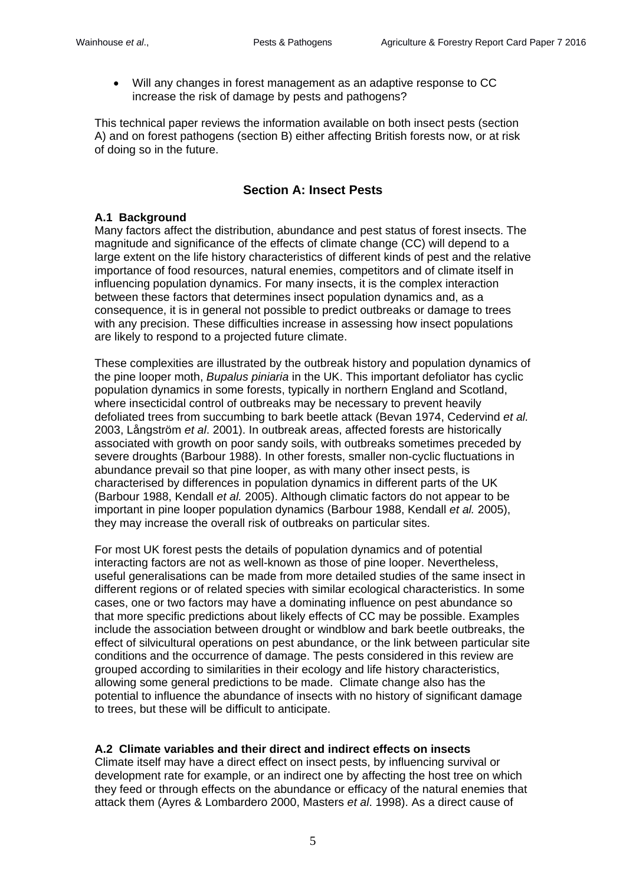• Will any changes in forest management as an adaptive response to CC increase the risk of damage by pests and pathogens?

This technical paper reviews the information available on both insect pests (section A) and on forest pathogens (section B) either affecting British forests now, or at risk of doing so in the future.

# **Section A: Insect Pests**

## **A.1 Background**

Many factors affect the distribution, abundance and pest status of forest insects. The magnitude and significance of the effects of climate change (CC) will depend to a large extent on the life history characteristics of different kinds of pest and the relative importance of food resources, natural enemies, competitors and of climate itself in influencing population dynamics. For many insects, it is the complex interaction between these factors that determines insect population dynamics and, as a consequence, it is in general not possible to predict outbreaks or damage to trees with any precision. These difficulties increase in assessing how insect populations are likely to respond to a projected future climate.

These complexities are illustrated by the outbreak history and population dynamics of the pine looper moth, *Bupalus piniaria* in the UK. This important defoliator has cyclic population dynamics in some forests, typically in northern England and Scotland, where insecticidal control of outbreaks may be necessary to prevent heavily defoliated trees from succumbing to bark beetle attack (Bevan 1974, Cedervind *et al.* 2003, Långström *et al*. 2001). In outbreak areas, affected forests are historically associated with growth on poor sandy soils, with outbreaks sometimes preceded by severe droughts (Barbour 1988). In other forests, smaller non-cyclic fluctuations in abundance prevail so that pine looper, as with many other insect pests, is characterised by differences in population dynamics in different parts of the UK (Barbour 1988, Kendall *et al.* 2005). Although climatic factors do not appear to be important in pine looper population dynamics (Barbour 1988, Kendall *et al.* 2005), they may increase the overall risk of outbreaks on particular sites.

For most UK forest pests the details of population dynamics and of potential interacting factors are not as well-known as those of pine looper. Nevertheless, useful generalisations can be made from more detailed studies of the same insect in different regions or of related species with similar ecological characteristics. In some cases, one or two factors may have a dominating influence on pest abundance so that more specific predictions about likely effects of CC may be possible. Examples include the association between drought or windblow and bark beetle outbreaks, the effect of silvicultural operations on pest abundance, or the link between particular site conditions and the occurrence of damage. The pests considered in this review are grouped according to similarities in their ecology and life history characteristics, allowing some general predictions to be made. Climate change also has the potential to influence the abundance of insects with no history of significant damage to trees, but these will be difficult to anticipate.

## **A.2 Climate variables and their direct and indirect effects on insects**

Climate itself may have a direct effect on insect pests, by influencing survival or development rate for example, or an indirect one by affecting the host tree on which they feed or through effects on the abundance or efficacy of the natural enemies that attack them (Ayres & Lombardero 2000, Masters *et al*. 1998). As a direct cause of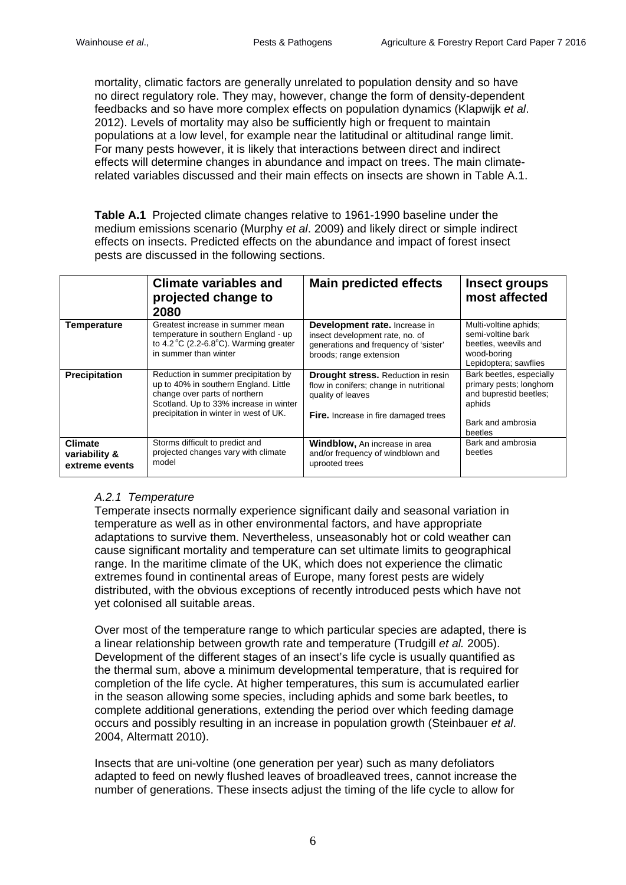mortality, climatic factors are generally unrelated to population density and so have no direct regulatory role. They may, however, change the form of density-dependent feedbacks and so have more complex effects on population dynamics (Klapwijk *et al*. 2012). Levels of mortality may also be sufficiently high or frequent to maintain populations at a low level, for example near the latitudinal or altitudinal range limit. For many pests however, it is likely that interactions between direct and indirect effects will determine changes in abundance and impact on trees. The main climaterelated variables discussed and their main effects on insects are shown in Table A.1.

**Table A.1** Projected climate changes relative to 1961-1990 baseline under the medium emissions scenario (Murphy *et al*. 2009) and likely direct or simple indirect effects on insects. Predicted effects on the abundance and impact of forest insect pests are discussed in the following sections.

|                                                   | <b>Climate variables and</b><br>projected change to<br>2080                                                                                                                                        | <b>Main predicted effects</b>                                                                                                                            | <b>Insect groups</b><br>most affected                                                                                   |
|---------------------------------------------------|----------------------------------------------------------------------------------------------------------------------------------------------------------------------------------------------------|----------------------------------------------------------------------------------------------------------------------------------------------------------|-------------------------------------------------------------------------------------------------------------------------|
| <b>Temperature</b>                                | Greatest increase in summer mean<br>temperature in southern England - up<br>to $4.2^{\circ}$ C (2.2-6.8 $^{\circ}$ C). Warming greater<br>in summer than winter                                    | Development rate. Increase in<br>insect development rate, no. of<br>generations and frequency of 'sister'<br>broods; range extension                     | Multi-voltine aphids;<br>semi-voltine bark<br>beetles, weevils and<br>wood-boring<br>Lepidoptera; sawflies              |
| <b>Precipitation</b>                              | Reduction in summer precipitation by<br>up to 40% in southern England. Little<br>change over parts of northern<br>Scotland. Up to 33% increase in winter<br>precipitation in winter in west of UK. | <b>Drought stress.</b> Reduction in resin<br>flow in conifers; change in nutritional<br>quality of leaves<br><b>Fire.</b> Increase in fire damaged trees | Bark beetles, especially<br>primary pests; longhorn<br>and buprestid beetles;<br>aphids<br>Bark and ambrosia<br>beetles |
| <b>Climate</b><br>variability &<br>extreme events | Storms difficult to predict and<br>projected changes vary with climate<br>model                                                                                                                    | <b>Windblow, An increase in area</b><br>and/or frequency of windblown and<br>uprooted trees                                                              | Bark and ambrosia<br>beetles                                                                                            |

# *A.2.1 Temperature*

Temperate insects normally experience significant daily and seasonal variation in temperature as well as in other environmental factors, and have appropriate adaptations to survive them. Nevertheless, unseasonably hot or cold weather can cause significant mortality and temperature can set ultimate limits to geographical range. In the maritime climate of the UK, which does not experience the climatic extremes found in continental areas of Europe, many forest pests are widely distributed, with the obvious exceptions of recently introduced pests which have not yet colonised all suitable areas.

Over most of the temperature range to which particular species are adapted, there is a linear relationship between growth rate and temperature (Trudgill *et al.* 2005). Development of the different stages of an insect's life cycle is usually quantified as the thermal sum, above a minimum developmental temperature, that is required for completion of the life cycle. At higher temperatures, this sum is accumulated earlier in the season allowing some species, including aphids and some bark beetles, to complete additional generations, extending the period over which feeding damage occurs and possibly resulting in an increase in population growth (Steinbauer *et al*. 2004, Altermatt 2010).

Insects that are uni-voltine (one generation per year) such as many defoliators adapted to feed on newly flushed leaves of broadleaved trees, cannot increase the number of generations. These insects adjust the timing of the life cycle to allow for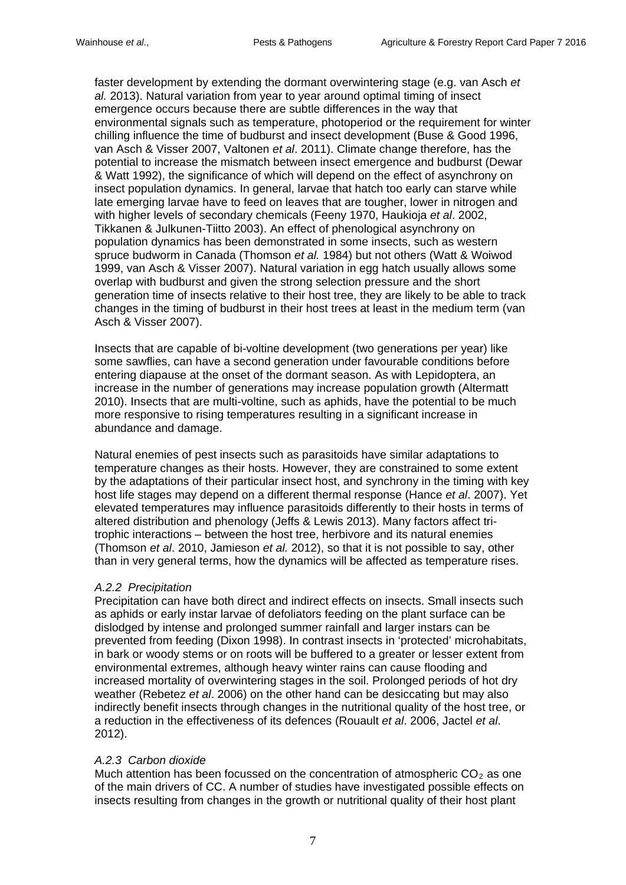faster development by extending the dormant overwintering stage (e.g. van Asch *et al.* 2013). Natural variation from year to year around optimal timing of insect emergence occurs because there are subtle differences in the way that environmental signals such as temperature, photoperiod or the requirement for winter chilling influence the time of budburst and insect development (Buse & Good 1996, van Asch & Visser 2007, Valtonen *et al*. 2011). Climate change therefore, has the potential to increase the mismatch between insect emergence and budburst (Dewar & Watt 1992), the significance of which will depend on the effect of asynchrony on insect population dynamics. In general, larvae that hatch too early can starve while late emerging larvae have to feed on leaves that are tougher, lower in nitrogen and with higher levels of secondary chemicals (Feeny 1970, Haukioja *et al*. 2002, Tikkanen & Julkunen-Tiitto 2003). An effect of phenological asynchrony on population dynamics has been demonstrated in some insects, such as western spruce budworm in Canada (Thomson *et al.* 1984) but not others (Watt & Woiwod 1999, van Asch & Visser 2007). Natural variation in egg hatch usually allows some overlap with budburst and given the strong selection pressure and the short generation time of insects relative to their host tree, they are likely to be able to track changes in the timing of budburst in their host trees at least in the medium term (van Asch & Visser 2007).

Insects that are capable of bi-voltine development (two generations per year) like some sawflies, can have a second generation under favourable conditions before entering diapause at the onset of the dormant season. As with Lepidoptera, an increase in the number of generations may increase population growth (Altermatt 2010). Insects that are multi-voltine, such as aphids, have the potential to be much more responsive to rising temperatures resulting in a significant increase in abundance and damage.

Natural enemies of pest insects such as parasitoids have similar adaptations to temperature changes as their hosts. However, they are constrained to some extent by the adaptations of their particular insect host, and synchrony in the timing with key host life stages may depend on a different thermal response (Hance *et al*. 2007). Yet elevated temperatures may influence parasitoids differently to their hosts in terms of altered distribution and phenology (Jeffs & Lewis 2013). Many factors affect tritrophic interactions – between the host tree, herbivore and its natural enemies (Thomson *et al*. 2010, Jamieson *et al.* 2012), so that it is not possible to say, other than in very general terms, how the dynamics will be affected as temperature rises.

## *A.2.2 Precipitation*

Precipitation can have both direct and indirect effects on insects. Small insects such as aphids or early instar larvae of defoliators feeding on the plant surface can be dislodged by intense and prolonged summer rainfall and larger instars can be prevented from feeding (Dixon 1998). In contrast insects in 'protected' microhabitats, in bark or woody stems or on roots will be buffered to a greater or lesser extent from environmental extremes, although heavy winter rains can cause flooding and increased mortality of overwintering stages in the soil. Prolonged periods of hot dry weather (Rebetez *et al*. 2006) on the other hand can be desiccating but may also indirectly benefit insects through changes in the nutritional quality of the host tree, or a reduction in the effectiveness of its defences (Rouault *et al*. 2006, Jactel *et al*. 2012).

# *A.2.3 Carbon dioxide*

Much attention has been focussed on the concentration of atmospheric  $CO<sub>2</sub>$  as one of the main drivers of CC. A number of studies have investigated possible effects on insects resulting from changes in the growth or nutritional quality of their host plant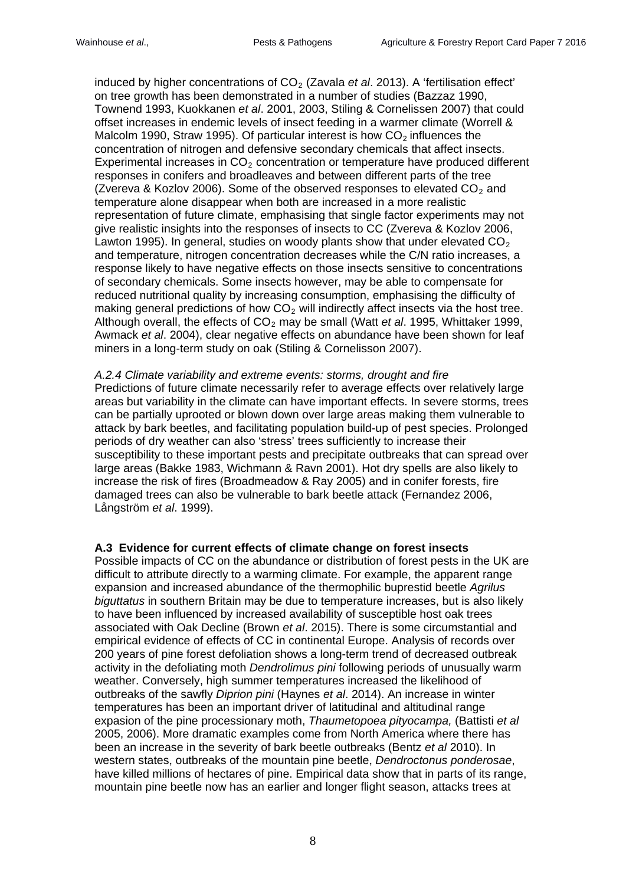induced by higher concentrations of CO<sub>2</sub> (Zavala *et al.* 2013). A 'fertilisation effect' on tree growth has been demonstrated in a number of studies (Bazzaz 1990, Townend 1993, Kuokkanen *et al*. 2001, 2003, Stiling & Cornelissen 2007) that could offset increases in endemic levels of insect feeding in a warmer climate (Worrell & Malcolm 1990, Straw 1995). Of particular interest is how  $CO<sub>2</sub>$  influences the concentration of nitrogen and defensive secondary chemicals that affect insects. Experimental increases in  $CO<sub>2</sub>$  concentration or temperature have produced different responses in conifers and broadleaves and between different parts of the tree (Zvereva & Kozlov 2006). Some of the observed responses to elevated  $CO<sub>2</sub>$  and temperature alone disappear when both are increased in a more realistic representation of future climate, emphasising that single factor experiments may not give realistic insights into the responses of insects to CC (Zvereva & Kozlov 2006, Lawton 1995). In general, studies on woody plants show that under elevated  $CO<sub>2</sub>$ and temperature, nitrogen concentration decreases while the C/N ratio increases, a response likely to have negative effects on those insects sensitive to concentrations of secondary chemicals. Some insects however, may be able to compensate for reduced nutritional quality by increasing consumption, emphasising the difficulty of making general predictions of how  $CO<sub>2</sub>$  will indirectly affect insects via the host tree. Although overall, the effects of CO<sub>2</sub> may be small (Watt *et al.* 1995, Whittaker 1999, Awmack *et al*. 2004), clear negative effects on abundance have been shown for leaf miners in a long-term study on oak (Stiling & Cornelisson 2007).

## *A.2.4 Climate variability and extreme events: storms, drought and fire*

Predictions of future climate necessarily refer to average effects over relatively large areas but variability in the climate can have important effects. In severe storms, trees can be partially uprooted or blown down over large areas making them vulnerable to attack by bark beetles, and facilitating population build-up of pest species. Prolonged periods of dry weather can also 'stress' trees sufficiently to increase their susceptibility to these important pests and precipitate outbreaks that can spread over large areas (Bakke 1983, Wichmann & Ravn 2001). Hot dry spells are also likely to increase the risk of fires (Broadmeadow & Ray 2005) and in conifer forests, fire damaged trees can also be vulnerable to bark beetle attack (Fernandez 2006, Långström *et al*. 1999).

# **A.3 Evidence for current effects of climate change on forest insects**

Possible impacts of CC on the abundance or distribution of forest pests in the UK are difficult to attribute directly to a warming climate. For example, the apparent range expansion and increased abundance of the thermophilic buprestid beetle *Agrilus biguttatus* in southern Britain may be due to temperature increases, but is also likely to have been influenced by increased availability of susceptible host oak trees associated with Oak Decline (Brown *et al*. 2015). There is some circumstantial and empirical evidence of effects of CC in continental Europe. Analysis of records over 200 years of pine forest defoliation shows a long-term trend of decreased outbreak activity in the defoliating moth *Dendrolimus pini* following periods of unusually warm weather. Conversely, high summer temperatures increased the likelihood of outbreaks of the sawfly *Diprion pini* (Haynes *et al*. 2014). An increase in winter temperatures has been an important driver of latitudinal and altitudinal range expasion of the pine processionary moth, *Thaumetopoea pityocampa,* (Battisti *et al* 2005, 2006). More dramatic examples come from North America where there has been an increase in the severity of bark beetle outbreaks (Bentz *et al* 2010). In western states, outbreaks of the mountain pine beetle, *Dendroctonus ponderosae*, have killed millions of hectares of pine. Empirical data show that in parts of its range, mountain pine beetle now has an earlier and longer flight season, attacks trees at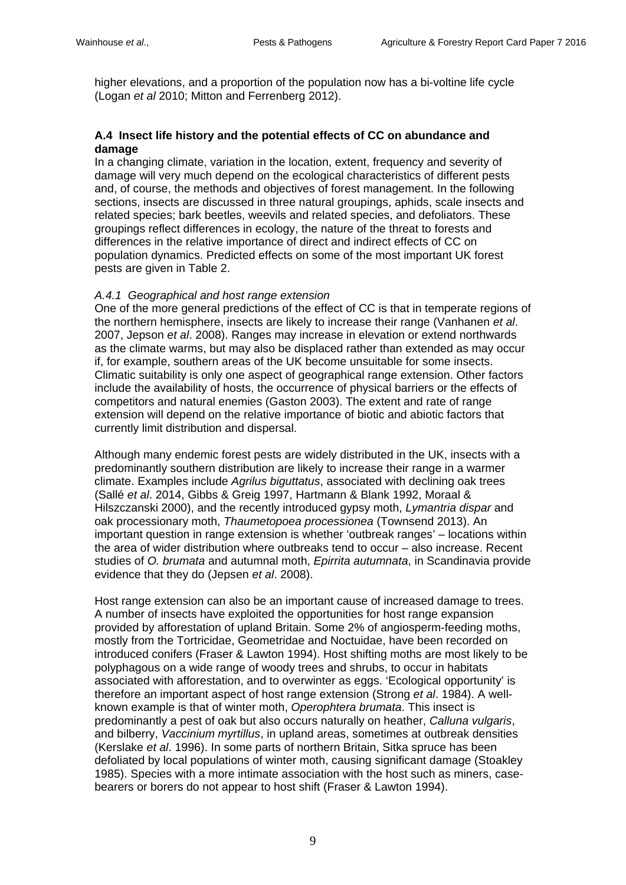higher elevations, and a proportion of the population now has a bi-voltine life cycle (Logan *et al* 2010; Mitton and Ferrenberg 2012).

# **A.4 Insect life history and the potential effects of CC on abundance and damage**

In a changing climate, variation in the location, extent, frequency and severity of damage will very much depend on the ecological characteristics of different pests and, of course, the methods and objectives of forest management. In the following sections, insects are discussed in three natural groupings, aphids, scale insects and related species; bark beetles, weevils and related species, and defoliators. These groupings reflect differences in ecology, the nature of the threat to forests and differences in the relative importance of direct and indirect effects of CC on population dynamics. Predicted effects on some of the most important UK forest pests are given in Table 2.

# *A.4.1 Geographical and host range extension*

One of the more general predictions of the effect of CC is that in temperate regions of the northern hemisphere, insects are likely to increase their range (Vanhanen *et al*. 2007, Jepson *et al*. 2008). Ranges may increase in elevation or extend northwards as the climate warms, but may also be displaced rather than extended as may occur if, for example, southern areas of the UK become unsuitable for some insects. Climatic suitability is only one aspect of geographical range extension. Other factors include the availability of hosts, the occurrence of physical barriers or the effects of competitors and natural enemies (Gaston 2003). The extent and rate of range extension will depend on the relative importance of biotic and abiotic factors that currently limit distribution and dispersal.

Although many endemic forest pests are widely distributed in the UK, insects with a predominantly southern distribution are likely to increase their range in a warmer climate. Examples include *Agrilus biguttatus*, associated with declining oak trees (Sallé *et al*. 2014, Gibbs & Greig 1997, Hartmann & Blank 1992, Moraal & Hilszczanski 2000), and the recently introduced gypsy moth, *Lymantria dispar* and oak processionary moth, *Thaumetopoea processionea* (Townsend 2013). An important question in range extension is whether 'outbreak ranges' – locations within the area of wider distribution where outbreaks tend to occur – also increase. Recent studies of *O. brumata* and autumnal moth, *Epirrita autumnata*, in Scandinavia provide evidence that they do (Jepsen *et al*. 2008).

Host range extension can also be an important cause of increased damage to trees. A number of insects have exploited the opportunities for host range expansion provided by afforestation of upland Britain. Some 2% of angiosperm-feeding moths, mostly from the Tortricidae, Geometridae and Noctuidae, have been recorded on introduced conifers (Fraser & Lawton 1994). Host shifting moths are most likely to be polyphagous on a wide range of woody trees and shrubs, to occur in habitats associated with afforestation, and to overwinter as eggs. 'Ecological opportunity' is therefore an important aspect of host range extension (Strong *et al*. 1984). A wellknown example is that of winter moth, *Operophtera brumata*. This insect is predominantly a pest of oak but also occurs naturally on heather, *Calluna vulgaris*, and bilberry, *Vaccinium myrtillus*, in upland areas, sometimes at outbreak densities (Kerslake *et al*. 1996). In some parts of northern Britain, Sitka spruce has been defoliated by local populations of winter moth, causing significant damage (Stoakley 1985). Species with a more intimate association with the host such as miners, casebearers or borers do not appear to host shift (Fraser & Lawton 1994).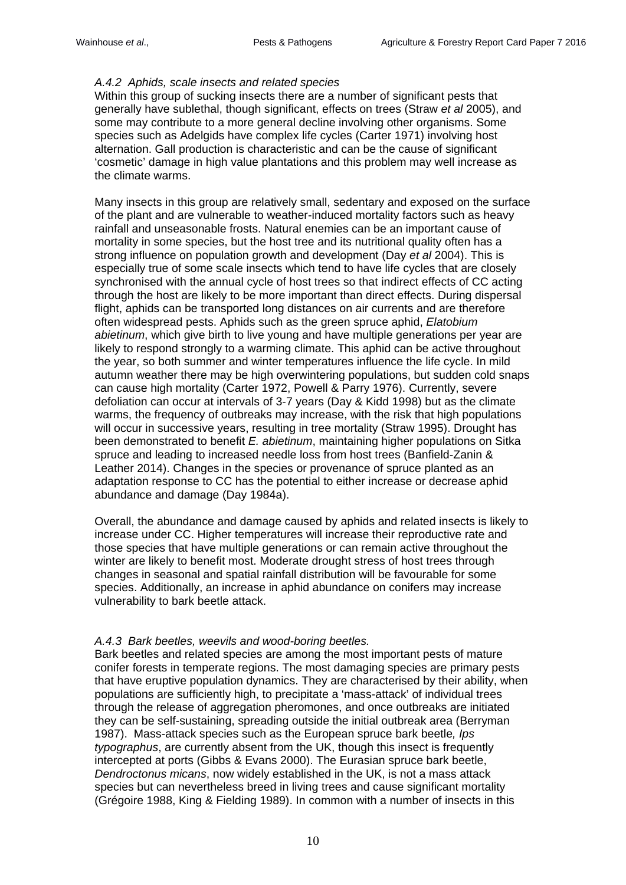# *A.4.2 Aphids, scale insects and related species*

Within this group of sucking insects there are a number of significant pests that generally have sublethal, though significant, effects on trees (Straw *et al* 2005), and some may contribute to a more general decline involving other organisms. Some species such as Adelgids have complex life cycles (Carter 1971) involving host alternation. Gall production is characteristic and can be the cause of significant 'cosmetic' damage in high value plantations and this problem may well increase as the climate warms.

Many insects in this group are relatively small, sedentary and exposed on the surface of the plant and are vulnerable to weather-induced mortality factors such as heavy rainfall and unseasonable frosts. Natural enemies can be an important cause of mortality in some species, but the host tree and its nutritional quality often has a strong influence on population growth and development (Day *et al* 2004). This is especially true of some scale insects which tend to have life cycles that are closely synchronised with the annual cycle of host trees so that indirect effects of CC acting through the host are likely to be more important than direct effects. During dispersal flight, aphids can be transported long distances on air currents and are therefore often widespread pests. Aphids such as the green spruce aphid, *Elatobium abietinum*, which give birth to live young and have multiple generations per year are likely to respond strongly to a warming climate. This aphid can be active throughout the year, so both summer and winter temperatures influence the life cycle. In mild autumn weather there may be high overwintering populations, but sudden cold snaps can cause high mortality (Carter 1972, Powell & Parry 1976). Currently, severe defoliation can occur at intervals of 3-7 years (Day & Kidd 1998) but as the climate warms, the frequency of outbreaks may increase, with the risk that high populations will occur in successive years, resulting in tree mortality (Straw 1995). Drought has been demonstrated to benefit *E. abietinum*, maintaining higher populations on Sitka spruce and leading to increased needle loss from host trees (Banfield-Zanin & Leather 2014). Changes in the species or provenance of spruce planted as an adaptation response to CC has the potential to either increase or decrease aphid abundance and damage (Day 1984a).

Overall, the abundance and damage caused by aphids and related insects is likely to increase under CC. Higher temperatures will increase their reproductive rate and those species that have multiple generations or can remain active throughout the winter are likely to benefit most. Moderate drought stress of host trees through changes in seasonal and spatial rainfall distribution will be favourable for some species. Additionally, an increase in aphid abundance on conifers may increase vulnerability to bark beetle attack.

# *A.4.3 Bark beetles, weevils and wood-boring beetles.*

Bark beetles and related species are among the most important pests of mature conifer forests in temperate regions. The most damaging species are primary pests that have eruptive population dynamics. They are characterised by their ability, when populations are sufficiently high, to precipitate a 'mass-attack' of individual trees through the release of aggregation pheromones, and once outbreaks are initiated they can be self-sustaining, spreading outside the initial outbreak area (Berryman 1987). Mass-attack species such as the European spruce bark beetle*, Ips typographus*, are currently absent from the UK, though this insect is frequently intercepted at ports (Gibbs & Evans 2000). The Eurasian spruce bark beetle, *Dendroctonus micans*, now widely established in the UK, is not a mass attack species but can nevertheless breed in living trees and cause significant mortality (Grégoire 1988, King & Fielding 1989). In common with a number of insects in this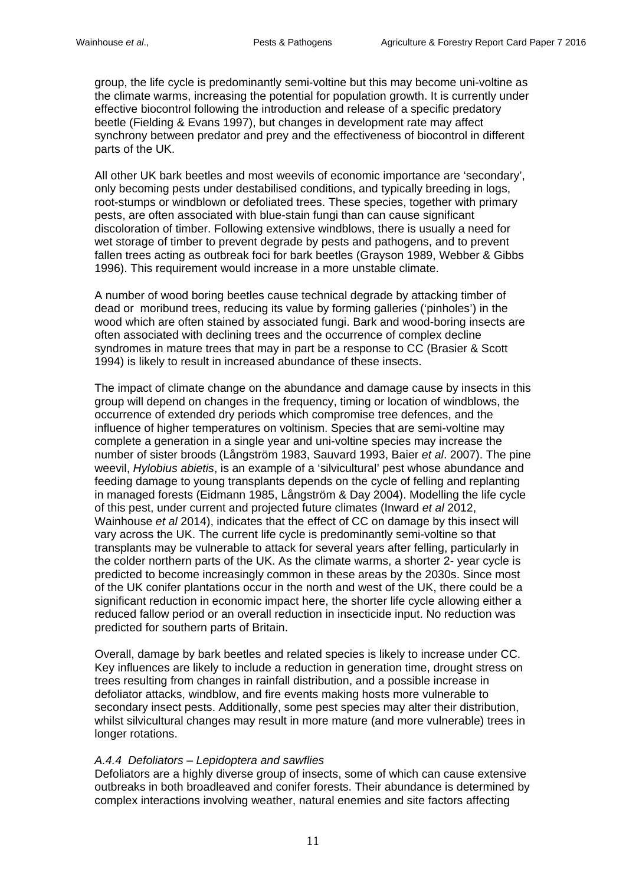group, the life cycle is predominantly semi-voltine but this may become uni-voltine as the climate warms, increasing the potential for population growth. It is currently under effective biocontrol following the introduction and release of a specific predatory beetle (Fielding & Evans 1997), but changes in development rate may affect synchrony between predator and prey and the effectiveness of biocontrol in different parts of the UK.

All other UK bark beetles and most weevils of economic importance are 'secondary', only becoming pests under destabilised conditions, and typically breeding in logs, root-stumps or windblown or defoliated trees. These species, together with primary pests, are often associated with blue-stain fungi than can cause significant discoloration of timber. Following extensive windblows, there is usually a need for wet storage of timber to prevent degrade by pests and pathogens, and to prevent fallen trees acting as outbreak foci for bark beetles (Grayson 1989, Webber & Gibbs 1996). This requirement would increase in a more unstable climate.

A number of wood boring beetles cause technical degrade by attacking timber of dead or moribund trees, reducing its value by forming galleries ('pinholes') in the wood which are often stained by associated fungi. Bark and wood-boring insects are often associated with declining trees and the occurrence of complex decline syndromes in mature trees that may in part be a response to CC (Brasier & Scott 1994) is likely to result in increased abundance of these insects.

The impact of climate change on the abundance and damage cause by insects in this group will depend on changes in the frequency, timing or location of windblows, the occurrence of extended dry periods which compromise tree defences, and the influence of higher temperatures on voltinism. Species that are semi-voltine may complete a generation in a single year and uni-voltine species may increase the number of sister broods (Långström 1983, Sauvard 1993, Baier *et al*. 2007). The pine weevil, *Hylobius abietis*, is an example of a 'silvicultural' pest whose abundance and feeding damage to young transplants depends on the cycle of felling and replanting in managed forests (Eidmann 1985, Långström & Day 2004). Modelling the life cycle of this pest, under current and projected future climates (Inward *et al* 2012, Wainhouse *et al* 2014), indicates that the effect of CC on damage by this insect will vary across the UK. The current life cycle is predominantly semi-voltine so that transplants may be vulnerable to attack for several years after felling, particularly in the colder northern parts of the UK. As the climate warms, a shorter 2- year cycle is predicted to become increasingly common in these areas by the 2030s. Since most of the UK conifer plantations occur in the north and west of the UK, there could be a significant reduction in economic impact here, the shorter life cycle allowing either a reduced fallow period or an overall reduction in insecticide input. No reduction was predicted for southern parts of Britain.

Overall, damage by bark beetles and related species is likely to increase under CC. Key influences are likely to include a reduction in generation time, drought stress on trees resulting from changes in rainfall distribution, and a possible increase in defoliator attacks, windblow, and fire events making hosts more vulnerable to secondary insect pests. Additionally, some pest species may alter their distribution, whilst silvicultural changes may result in more mature (and more vulnerable) trees in longer rotations.

## *A.4.4 Defoliators – Lepidoptera and sawflies*

Defoliators are a highly diverse group of insects, some of which can cause extensive outbreaks in both broadleaved and conifer forests. Their abundance is determined by complex interactions involving weather, natural enemies and site factors affecting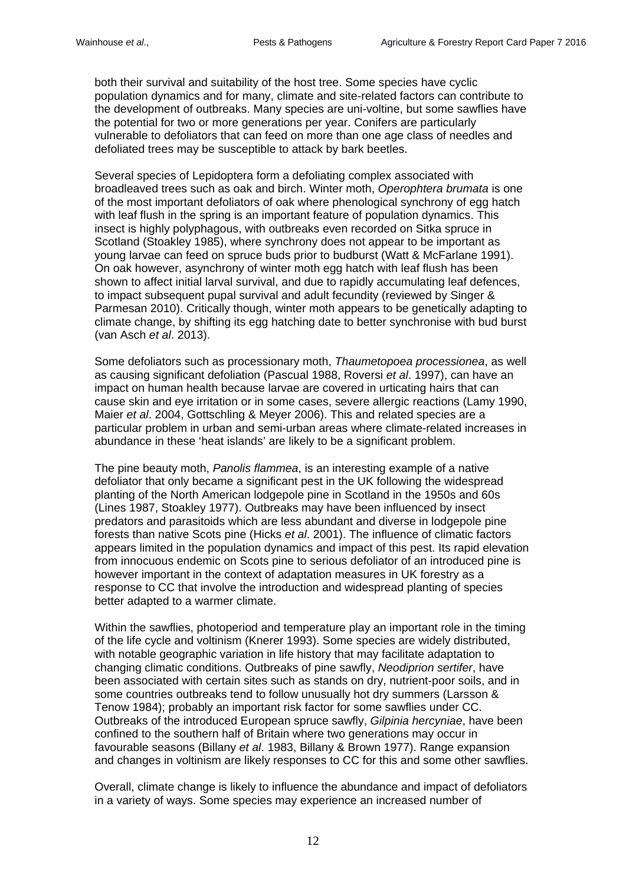both their survival and suitability of the host tree. Some species have cyclic population dynamics and for many, climate and site-related factors can contribute to the development of outbreaks. Many species are uni-voltine, but some sawflies have the potential for two or more generations per year. Conifers are particularly vulnerable to defoliators that can feed on more than one age class of needles and defoliated trees may be susceptible to attack by bark beetles.

Several species of Lepidoptera form a defoliating complex associated with broadleaved trees such as oak and birch. Winter moth, *Operophtera brumata* is one of the most important defoliators of oak where phenological synchrony of egg hatch with leaf flush in the spring is an important feature of population dynamics. This insect is highly polyphagous, with outbreaks even recorded on Sitka spruce in Scotland (Stoakley 1985), where synchrony does not appear to be important as young larvae can feed on spruce buds prior to budburst (Watt & McFarlane 1991). On oak however, asynchrony of winter moth egg hatch with leaf flush has been shown to affect initial larval survival, and due to rapidly accumulating leaf defences, to impact subsequent pupal survival and adult fecundity (reviewed by Singer & Parmesan 2010). Critically though, winter moth appears to be genetically adapting to climate change, by shifting its egg hatching date to better synchronise with bud burst (van Asch *et al*. 2013).

Some defoliators such as processionary moth, *Thaumetopoea processionea*, as well as causing significant defoliation (Pascual 1988, Roversi *et al*. 1997), can have an impact on human health because larvae are covered in urticating hairs that can cause skin and eye irritation or in some cases, severe allergic reactions (Lamy 1990, Maier *et al*. 2004, Gottschling & Meyer 2006). This and related species are a particular problem in urban and semi-urban areas where climate-related increases in abundance in these 'heat islands' are likely to be a significant problem.

The pine beauty moth, *Panolis flammea*, is an interesting example of a native defoliator that only became a significant pest in the UK following the widespread planting of the North American lodgepole pine in Scotland in the 1950s and 60s (Lines 1987, Stoakley 1977). Outbreaks may have been influenced by insect predators and parasitoids which are less abundant and diverse in lodgepole pine forests than native Scots pine (Hicks *et al*. 2001). The influence of climatic factors appears limited in the population dynamics and impact of this pest. Its rapid elevation from innocuous endemic on Scots pine to serious defoliator of an introduced pine is however important in the context of adaptation measures in UK forestry as a response to CC that involve the introduction and widespread planting of species better adapted to a warmer climate.

Within the sawflies, photoperiod and temperature play an important role in the timing of the life cycle and voltinism (Knerer 1993). Some species are widely distributed, with notable geographic variation in life history that may facilitate adaptation to changing climatic conditions. Outbreaks of pine sawfly, *Neodiprion sertifer*, have been associated with certain sites such as stands on dry, nutrient-poor soils, and in some countries outbreaks tend to follow unusually hot dry summers (Larsson & Tenow 1984); probably an important risk factor for some sawflies under CC. Outbreaks of the introduced European spruce sawfly, *Gilpinia hercyniae*, have been confined to the southern half of Britain where two generations may occur in favourable seasons (Billany *et al*. 1983, Billany & Brown 1977). Range expansion and changes in voltinism are likely responses to CC for this and some other sawflies.

Overall, climate change is likely to influence the abundance and impact of defoliators in a variety of ways. Some species may experience an increased number of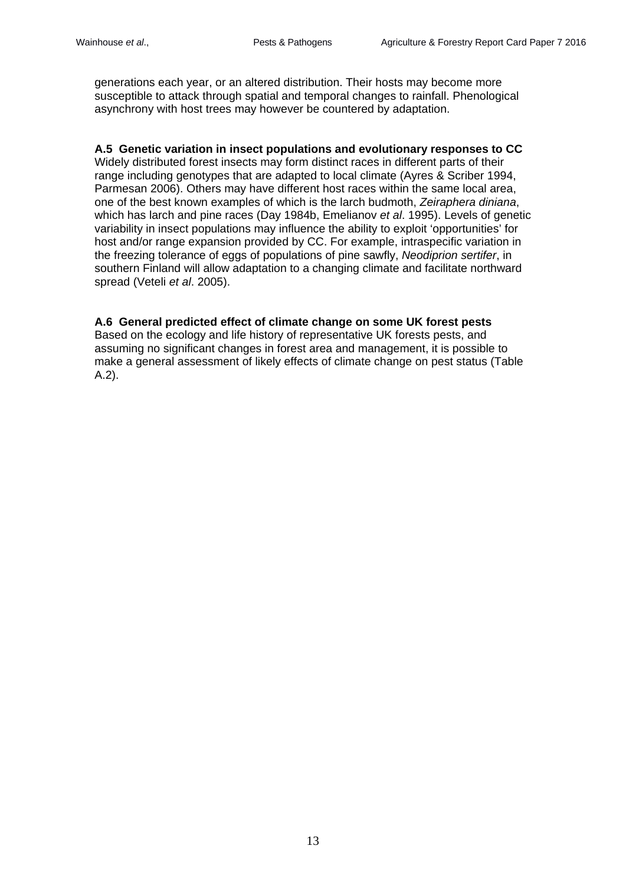generations each year, or an altered distribution. Their hosts may become more susceptible to attack through spatial and temporal changes to rainfall. Phenological asynchrony with host trees may however be countered by adaptation.

# **A.5 Genetic variation in insect populations and evolutionary responses to CC**

Widely distributed forest insects may form distinct races in different parts of their range including genotypes that are adapted to local climate (Ayres & Scriber 1994, Parmesan 2006). Others may have different host races within the same local area, one of the best known examples of which is the larch budmoth, *Zeiraphera diniana*, which has larch and pine races (Day 1984b, Emelianov *et al*. 1995). Levels of genetic variability in insect populations may influence the ability to exploit 'opportunities' for host and/or range expansion provided by CC. For example, intraspecific variation in the freezing tolerance of eggs of populations of pine sawfly, *Neodiprion sertifer*, in southern Finland will allow adaptation to a changing climate and facilitate northward spread (Veteli *et al*. 2005).

# **A.6 General predicted effect of climate change on some UK forest pests**

Based on the ecology and life history of representative UK forests pests, and assuming no significant changes in forest area and management, it is possible to make a general assessment of likely effects of climate change on pest status (Table A.2).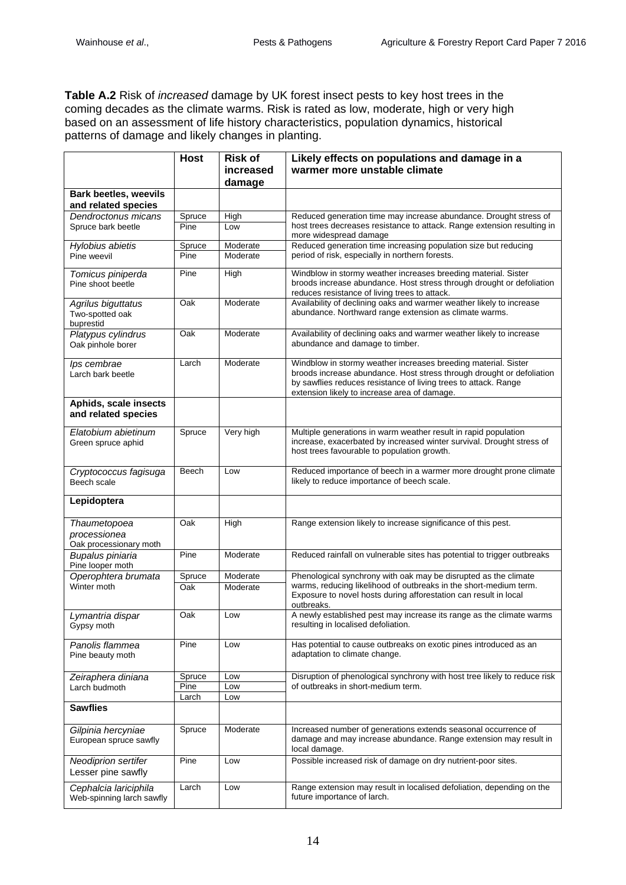**Table A.2** Risk of *increased* damage by UK forest insect pests to key host trees in the coming decades as the climate warms. Risk is rated as low, moderate, high or very high based on an assessment of life history characteristics, population dynamics, historical patterns of damage and likely changes in planting.

|                                                        | <b>Host</b>       | <b>Risk of</b><br>increased<br>damage | Likely effects on populations and damage in a<br>warmer more unstable climate                                                                                                                                                                              |  |  |
|--------------------------------------------------------|-------------------|---------------------------------------|------------------------------------------------------------------------------------------------------------------------------------------------------------------------------------------------------------------------------------------------------------|--|--|
| <b>Bark beetles, weevils</b>                           |                   |                                       |                                                                                                                                                                                                                                                            |  |  |
| and related species                                    |                   |                                       |                                                                                                                                                                                                                                                            |  |  |
| Dendroctonus micans                                    | Spruce            | High                                  | Reduced generation time may increase abundance. Drought stress of                                                                                                                                                                                          |  |  |
| Spruce bark beetle                                     | Pine              | Low                                   | host trees decreases resistance to attack. Range extension resulting in<br>more widespread damage                                                                                                                                                          |  |  |
| Hylobius abietis                                       | Spruce            | Moderate                              | Reduced generation time increasing population size but reducing                                                                                                                                                                                            |  |  |
| Pine weevil                                            | Pine              | Moderate                              | period of risk, especially in northern forests.                                                                                                                                                                                                            |  |  |
| Tomicus piniperda<br>Pine shoot beetle                 | Pine              | High                                  | Windblow in stormy weather increases breeding material. Sister<br>broods increase abundance. Host stress through drought or defoliation<br>reduces resistance of living trees to attack.                                                                   |  |  |
| Agrilus biguttatus<br>Two-spotted oak<br>buprestid     | Oak               | Moderate                              | Availability of declining oaks and warmer weather likely to increase<br>abundance. Northward range extension as climate warms.                                                                                                                             |  |  |
| Platypus cylindrus<br>Oak pinhole borer                | Oak               | Moderate                              | Availability of declining oaks and warmer weather likely to increase<br>abundance and damage to timber.                                                                                                                                                    |  |  |
| lps cembrae<br>Larch bark beetle                       | Moderate<br>Larch |                                       | Windblow in stormy weather increases breeding material. Sister<br>broods increase abundance. Host stress through drought or defoliation<br>by sawflies reduces resistance of living trees to attack. Range<br>extension likely to increase area of damage. |  |  |
| Aphids, scale insects<br>and related species           |                   |                                       |                                                                                                                                                                                                                                                            |  |  |
| Elatobium abietinum<br>Green spruce aphid              | Spruce            | Very high                             | Multiple generations in warm weather result in rapid population<br>increase, exacerbated by increased winter survival. Drought stress of<br>host trees favourable to population growth.                                                                    |  |  |
| Cryptococcus fagisuga<br>Beech scale                   | Beech             | Low                                   | Reduced importance of beech in a warmer more drought prone climate<br>likely to reduce importance of beech scale.                                                                                                                                          |  |  |
| Lepidoptera                                            |                   |                                       |                                                                                                                                                                                                                                                            |  |  |
| Thaumetopoea<br>processionea<br>Oak processionary moth | Oak               | High                                  | Range extension likely to increase significance of this pest.                                                                                                                                                                                              |  |  |
| Bupalus piniaria<br>Pine looper moth                   | Pine              | Moderate                              | Reduced rainfall on vulnerable sites has potential to trigger outbreaks                                                                                                                                                                                    |  |  |
| Operophtera brumata                                    | Spruce            | Moderate                              | Phenological synchrony with oak may be disrupted as the climate                                                                                                                                                                                            |  |  |
| Winter moth                                            | Oak               | Moderate                              | warms, reducing likelihood of outbreaks in the short-medium term.<br>Exposure to novel hosts during afforestation can result in local<br>outbreaks.                                                                                                        |  |  |
| Lymantria dispar<br>Gypsy moth                         | Oak               | Low                                   | A newly established pest may increase its range as the climate warms<br>resulting in localised defoliation.                                                                                                                                                |  |  |
| Panolis flammea<br>Pine beauty moth                    | Pine              | Low                                   | Has potential to cause outbreaks on exotic pines introduced as an<br>adaptation to climate change.                                                                                                                                                         |  |  |
| Zeiraphera diniana                                     | Spruce            | Low                                   | Disruption of phenological synchrony with host tree likely to reduce risk                                                                                                                                                                                  |  |  |
| Larch budmoth                                          | Pine              | Low                                   | of outbreaks in short-medium term.                                                                                                                                                                                                                         |  |  |
|                                                        | Larch             | Low                                   |                                                                                                                                                                                                                                                            |  |  |
| <b>Sawflies</b>                                        |                   |                                       |                                                                                                                                                                                                                                                            |  |  |
| Gilpinia hercyniae<br>European spruce sawfly           | Spruce            | Moderate                              | Increased number of generations extends seasonal occurrence of<br>damage and may increase abundance. Range extension may result in<br>local damage.                                                                                                        |  |  |
| Neodiprion sertifer<br>Lesser pine sawfly              | Pine              | Low                                   | Possible increased risk of damage on dry nutrient-poor sites.                                                                                                                                                                                              |  |  |
| Cephalcia lariciphila<br>Web-spinning larch sawfly     | Larch             | Low                                   | Range extension may result in localised defoliation, depending on the<br>future importance of larch.                                                                                                                                                       |  |  |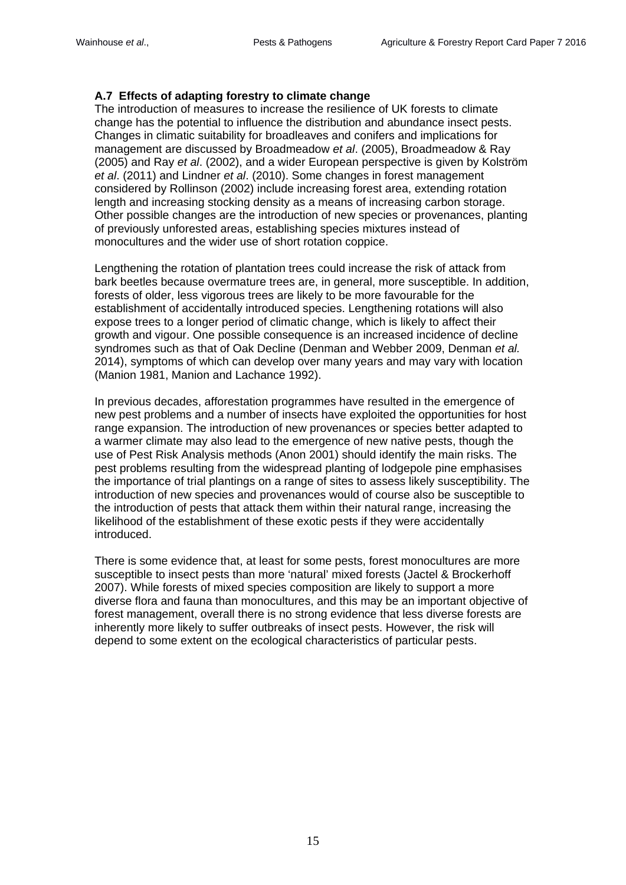# **A.7 Effects of adapting forestry to climate change**

The introduction of measures to increase the resilience of UK forests to climate change has the potential to influence the distribution and abundance insect pests. Changes in climatic suitability for broadleaves and conifers and implications for management are discussed by Broadmeadow *et al*. (2005), Broadmeadow & Ray (2005) and Ray *et al*. (2002), and a wider European perspective is given by Kolström *et al*. (2011) and Lindner *et al*. (2010). Some changes in forest management considered by Rollinson (2002) include increasing forest area, extending rotation length and increasing stocking density as a means of increasing carbon storage. Other possible changes are the introduction of new species or provenances, planting of previously unforested areas, establishing species mixtures instead of monocultures and the wider use of short rotation coppice.

Lengthening the rotation of plantation trees could increase the risk of attack from bark beetles because overmature trees are, in general, more susceptible. In addition, forests of older, less vigorous trees are likely to be more favourable for the establishment of accidentally introduced species. Lengthening rotations will also expose trees to a longer period of climatic change, which is likely to affect their growth and vigour. One possible consequence is an increased incidence of decline syndromes such as that of Oak Decline (Denman and Webber 2009, Denman *et al.* 2014), symptoms of which can develop over many years and may vary with location (Manion 1981, Manion and Lachance 1992).

In previous decades, afforestation programmes have resulted in the emergence of new pest problems and a number of insects have exploited the opportunities for host range expansion. The introduction of new provenances or species better adapted to a warmer climate may also lead to the emergence of new native pests, though the use of Pest Risk Analysis methods (Anon 2001) should identify the main risks. The pest problems resulting from the widespread planting of lodgepole pine emphasises the importance of trial plantings on a range of sites to assess likely susceptibility. The introduction of new species and provenances would of course also be susceptible to the introduction of pests that attack them within their natural range, increasing the likelihood of the establishment of these exotic pests if they were accidentally introduced.

There is some evidence that, at least for some pests, forest monocultures are more susceptible to insect pests than more 'natural' mixed forests (Jactel & Brockerhoff 2007). While forests of mixed species composition are likely to support a more diverse flora and fauna than monocultures, and this may be an important objective of forest management, overall there is no strong evidence that less diverse forests are inherently more likely to suffer outbreaks of insect pests. However, the risk will depend to some extent on the ecological characteristics of particular pests.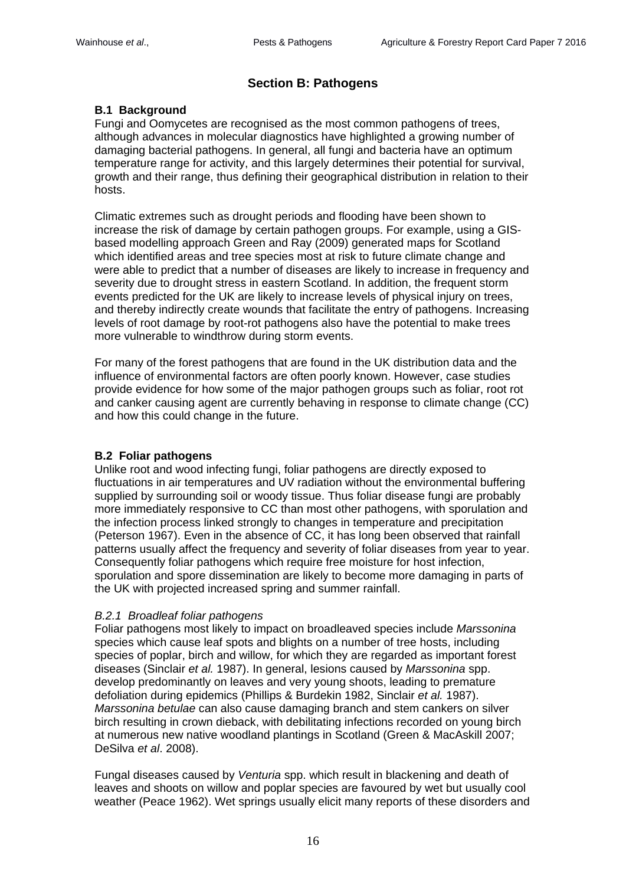# **Section B: Pathogens**

# **B.1 Background**

Fungi and Oomycetes are recognised as the most common pathogens of trees, although advances in molecular diagnostics have highlighted a growing number of damaging bacterial pathogens. In general, all fungi and bacteria have an optimum temperature range for activity, and this largely determines their potential for survival, growth and their range, thus defining their geographical distribution in relation to their hosts.

Climatic extremes such as drought periods and flooding have been shown to increase the risk of damage by certain pathogen groups. For example, using a GISbased modelling approach Green and Ray (2009) generated maps for Scotland which identified areas and tree species most at risk to future climate change and were able to predict that a number of diseases are likely to increase in frequency and severity due to drought stress in eastern Scotland. In addition, the frequent storm events predicted for the UK are likely to increase levels of physical injury on trees, and thereby indirectly create wounds that facilitate the entry of pathogens. Increasing levels of root damage by root-rot pathogens also have the potential to make trees more vulnerable to windthrow during storm events.

For many of the forest pathogens that are found in the UK distribution data and the influence of environmental factors are often poorly known. However, case studies provide evidence for how some of the major pathogen groups such as foliar, root rot and canker causing agent are currently behaving in response to climate change (CC) and how this could change in the future.

# **B.2 Foliar pathogens**

Unlike root and wood infecting fungi, foliar pathogens are directly exposed to fluctuations in air temperatures and UV radiation without the environmental buffering supplied by surrounding soil or woody tissue. Thus foliar disease fungi are probably more immediately responsive to CC than most other pathogens, with sporulation and the infection process linked strongly to changes in temperature and precipitation (Peterson 1967). Even in the absence of CC, it has long been observed that rainfall patterns usually affect the frequency and severity of foliar diseases from year to year. Consequently foliar pathogens which require free moisture for host infection, sporulation and spore dissemination are likely to become more damaging in parts of the UK with projected increased spring and summer rainfall.

# *B.2.1 Broadleaf foliar pathogens*

Foliar pathogens most likely to impact on broadleaved species include *Marssonina*  species which cause leaf spots and blights on a number of tree hosts, including species of poplar, birch and willow, for which they are regarded as important forest diseases (Sinclair *et al.* 1987). In general, lesions caused by *Marssonina* spp. develop predominantly on leaves and very young shoots, leading to premature defoliation during epidemics (Phillips & Burdekin 1982, Sinclair *et al.* 1987). *Marssonina betulae* can also cause damaging branch and stem cankers on silver birch resulting in crown dieback, with debilitating infections recorded on young birch at numerous new native woodland plantings in Scotland (Green & MacAskill 2007; DeSilva *et al*. 2008).

Fungal diseases caused by *Venturia* spp. which result in blackening and death of leaves and shoots on willow and poplar species are favoured by wet but usually cool weather (Peace 1962). Wet springs usually elicit many reports of these disorders and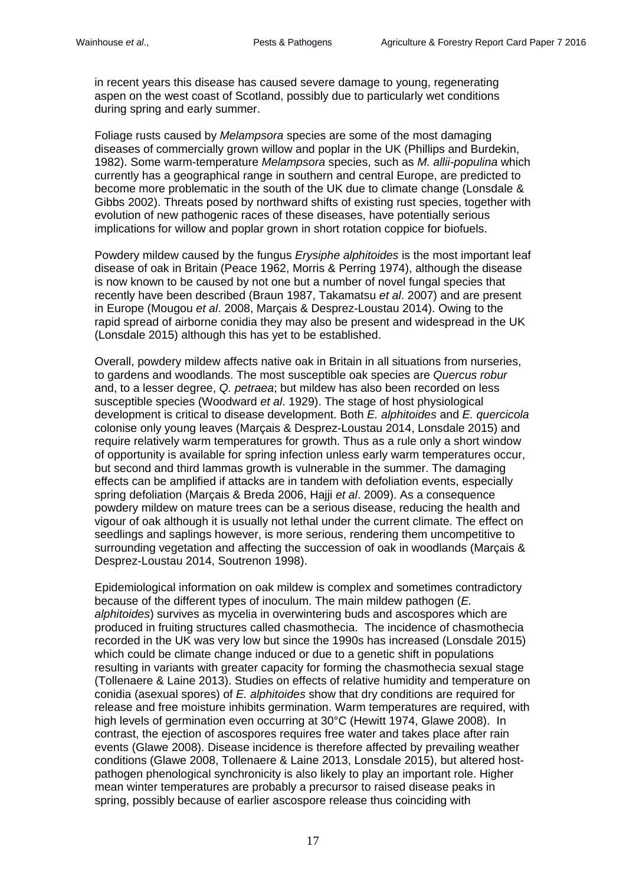in recent years this disease has caused severe damage to young, regenerating aspen on the west coast of Scotland, possibly due to particularly wet conditions during spring and early summer.

Foliage rusts caused by *Melampsora* species are some of the most damaging diseases of commercially grown willow and poplar in the UK (Phillips and Burdekin, 1982). Some warm-temperature *Melampsora* species, such as *M. allii-populina* which currently has a geographical range in southern and central Europe, are predicted to become more problematic in the south of the UK due to climate change (Lonsdale & Gibbs 2002). Threats posed by northward shifts of existing rust species, together with evolution of new pathogenic races of these diseases, have potentially serious implications for willow and poplar grown in short rotation coppice for biofuels.

Powdery mildew caused by the fungus *Erysiphe alphitoides* is the most important leaf disease of oak in Britain (Peace 1962, Morris & Perring 1974), although the disease is now known to be caused by not one but a number of novel fungal species that recently have been described (Braun 1987, Takamatsu *et al*. 2007) and are present in Europe (Mougou *et al*. 2008, Marçais & Desprez-Loustau 2014). Owing to the rapid spread of airborne conidia they may also be present and widespread in the UK (Lonsdale 2015) although this has yet to be established.

Overall, powdery mildew affects native oak in Britain in all situations from nurseries, to gardens and woodlands. The most susceptible oak species are *Quercus robur* and, to a lesser degree, *Q. petraea*; but mildew has also been recorded on less susceptible species (Woodward *et al*. 1929). The stage of host physiological development is critical to disease development. Both *E. alphitoides* and *E. quercicola* colonise only young leaves (Marçais & Desprez-Loustau 2014, Lonsdale 2015) and require relatively warm temperatures for growth. Thus as a rule only a short window of opportunity is available for spring infection unless early warm temperatures occur, but second and third lammas growth is vulnerable in the summer. The damaging effects can be amplified if attacks are in tandem with defoliation events, especially spring defoliation (Marçais & Breda 2006, Hajji *et al*. 2009). As a consequence powdery mildew on mature trees can be a serious disease, reducing the health and vigour of oak although it is usually not lethal under the current climate. The effect on seedlings and saplings however, is more serious, rendering them uncompetitive to surrounding vegetation and affecting the succession of oak in woodlands (Marçais & Desprez-Loustau 2014, Soutrenon 1998).

Epidemiological information on oak mildew is complex and sometimes contradictory because of the different types of inoculum. The main mildew pathogen (*E. alphitoides*) survives as mycelia in overwintering buds and ascospores which are produced in fruiting structures called chasmothecia. The incidence of chasmothecia recorded in the UK was very low but since the 1990s has increased (Lonsdale 2015) which could be climate change induced or due to a genetic shift in populations resulting in variants with greater capacity for forming the chasmothecia sexual stage (Tollenaere & Laine 2013). Studies on effects of relative humidity and temperature on conidia (asexual spores) of *E. alphitoides* show that dry conditions are required for release and free moisture inhibits germination. Warm temperatures are required, with high levels of germination even occurring at 30°C (Hewitt 1974, Glawe 2008). In contrast, the ejection of ascospores requires free water and takes place after rain events (Glawe 2008). Disease incidence is therefore affected by prevailing weather conditions (Glawe 2008, Tollenaere & Laine 2013, Lonsdale 2015), but altered hostpathogen phenological synchronicity is also likely to play an important role. Higher mean winter temperatures are probably a precursor to raised disease peaks in spring, possibly because of earlier ascospore release thus coinciding with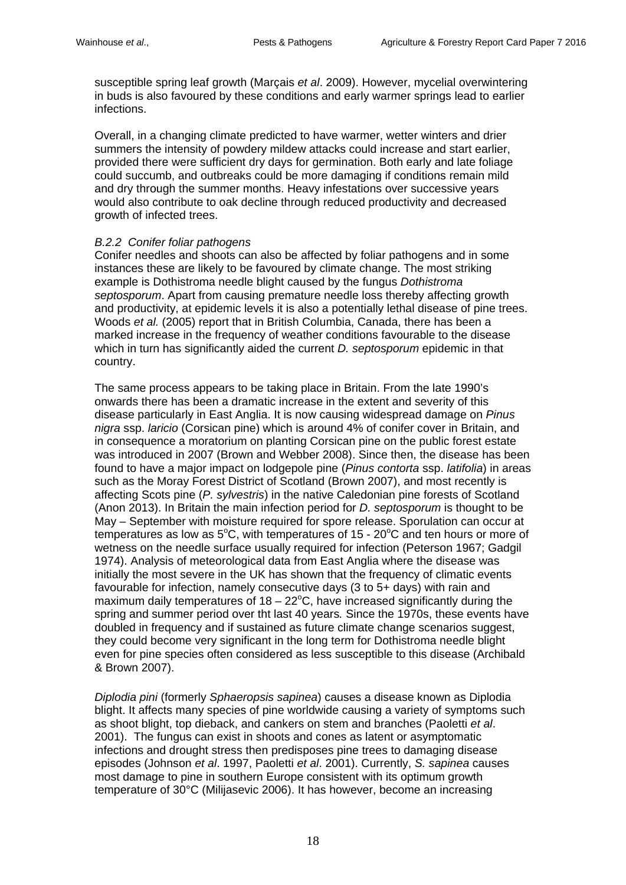susceptible spring leaf growth (Marçais *et al*. 2009). However, mycelial overwintering in buds is also favoured by these conditions and early warmer springs lead to earlier infections.

Overall, in a changing climate predicted to have warmer, wetter winters and drier summers the intensity of powdery mildew attacks could increase and start earlier, provided there were sufficient dry days for germination. Both early and late foliage could succumb, and outbreaks could be more damaging if conditions remain mild and dry through the summer months. Heavy infestations over successive years would also contribute to oak decline through reduced productivity and decreased growth of infected trees.

# *B.2.2 Conifer foliar pathogens*

Conifer needles and shoots can also be affected by foliar pathogens and in some instances these are likely to be favoured by climate change. The most striking example is Dothistroma needle blight caused by the fungus *Dothistroma septosporum*. Apart from causing premature needle loss thereby affecting growth and productivity, at epidemic levels it is also a potentially lethal disease of pine trees. Woods *et al.* (2005) report that in British Columbia, Canada, there has been a marked increase in the frequency of weather conditions favourable to the disease which in turn has significantly aided the current *D. septosporum* epidemic in that country.

The same process appears to be taking place in Britain. From the late 1990's onwards there has been a dramatic increase in the extent and severity of this disease particularly in East Anglia. It is now causing widespread damage on *Pinus nigra* ssp. *laricio* (Corsican pine) which is around 4% of conifer cover in Britain, and in consequence a moratorium on planting Corsican pine on the public forest estate was introduced in 2007 (Brown and Webber 2008). Since then, the disease has been found to have a major impact on lodgepole pine (*Pinus contorta* ssp. *latifolia*) in areas such as the Moray Forest District of Scotland (Brown 2007), and most recently is affecting Scots pine (*P. sylvestris*) in the native Caledonian pine forests of Scotland (Anon 2013). In Britain the main infection period for *D. septosporum* is thought to be May – September with moisture required for spore release. Sporulation can occur at temperatures as low as  $5^{\circ}$ C, with temperatures of 15 - 20 $^{\circ}$ C and ten hours or more of wetness on the needle surface usually required for infection (Peterson 1967; Gadgil 1974). Analysis of meteorological data from East Anglia where the disease was initially the most severe in the UK has shown that the frequency of climatic events favourable for infection, namely consecutive days (3 to 5+ days) with rain and maximum daily temperatures of  $18 - 22^{\circ}$ C, have increased significantly during the spring and summer period over tht last 40 years*.* Since the 1970s, these events have doubled in frequency and if sustained as future climate change scenarios suggest, they could become very significant in the long term for Dothistroma needle blight even for pine species often considered as less susceptible to this disease (Archibald & Brown 2007).

*Diplodia pini* (formerly *Sphaeropsis sapinea*) causes a disease known as Diplodia blight. It affects many species of pine worldwide causing a variety of symptoms such as shoot blight, top dieback, and cankers on stem and branches (Paoletti *et al*. 2001). The fungus can exist in shoots and cones as latent or asymptomatic infections and drought stress then predisposes pine trees to damaging disease episodes (Johnson *et al*. 1997, Paoletti *et al*. 2001). Currently, *S. sapinea* causes most damage to pine in southern Europe consistent with its optimum growth temperature of 30°C (Milijasevic 2006). It has however, become an increasing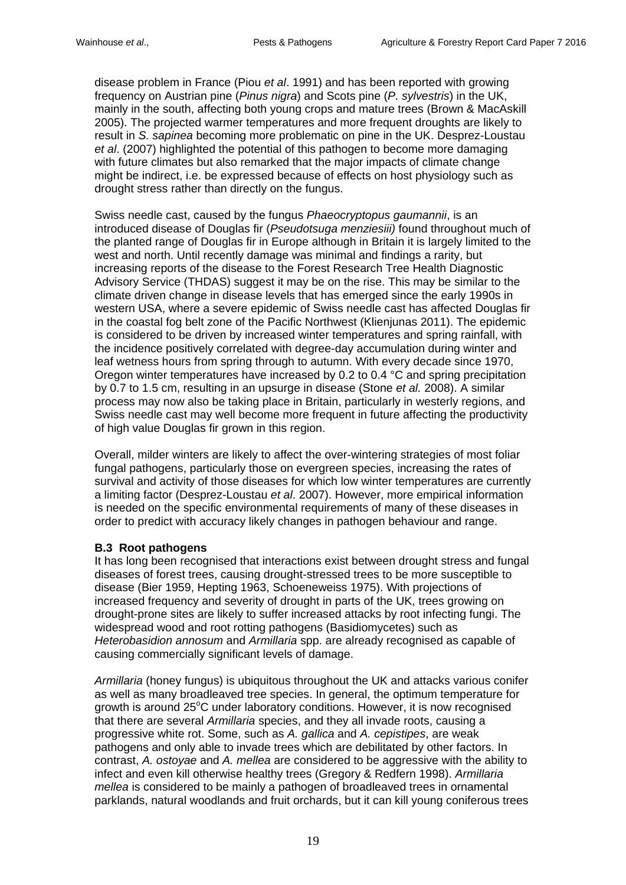disease problem in France (Piou *et al*. 1991) and has been reported with growing frequency on Austrian pine (*Pinus nigra*) and Scots pine (*P. sylvestris*) in the UK, mainly in the south, affecting both young crops and mature trees (Brown & MacAskill 2005). The projected warmer temperatures and more frequent droughts are likely to result in *S. sapinea* becoming more problematic on pine in the UK. Desprez-Loustau *et al*. (2007) highlighted the potential of this pathogen to become more damaging with future climates but also remarked that the major impacts of climate change might be indirect, i.e. be expressed because of effects on host physiology such as drought stress rather than directly on the fungus.

Swiss needle cast, caused by the fungus *Phaeocryptopus gaumannii*, is an introduced disease of Douglas fir (*Pseudotsuga menziesiii)* found throughout much of the planted range of Douglas fir in Europe although in Britain it is largely limited to the west and north. Until recently damage was minimal and findings a rarity, but increasing reports of the disease to the Forest Research Tree Health Diagnostic Advisory Service (THDAS) suggest it may be on the rise. This may be similar to the climate driven change in disease levels that has emerged since the early 1990s in western USA, where a severe epidemic of Swiss needle cast has affected Douglas fir in the coastal fog belt zone of the Pacific Northwest (Klienjunas 2011). The epidemic is considered to be driven by increased winter temperatures and spring rainfall, with the incidence positively correlated with degree-day accumulation during winter and leaf wetness hours from spring through to autumn. With every decade since 1970, Oregon winter temperatures have increased by 0.2 to 0.4 °C and spring precipitation by 0.7 to 1.5 cm, resulting in an upsurge in disease (Stone *et al.* 2008). A similar process may now also be taking place in Britain, particularly in westerly regions, and Swiss needle cast may well become more frequent in future affecting the productivity of high value Douglas fir grown in this region.

Overall, milder winters are likely to affect the over-wintering strategies of most foliar fungal pathogens, particularly those on evergreen species, increasing the rates of survival and activity of those diseases for which low winter temperatures are currently a limiting factor (Desprez-Loustau *et al*. 2007). However, more empirical information is needed on the specific environmental requirements of many of these diseases in order to predict with accuracy likely changes in pathogen behaviour and range.

# **B.3 Root pathogens**

It has long been recognised that interactions exist between drought stress and fungal diseases of forest trees, causing drought-stressed trees to be more susceptible to disease (Bier 1959, Hepting 1963, Schoeneweiss 1975). With projections of increased frequency and severity of drought in parts of the UK, trees growing on drought-prone sites are likely to suffer increased attacks by root infecting fungi. The widespread wood and root rotting pathogens (Basidiomycetes) such as *Heterobasidion annosum* and *Armillaria* spp. are already recognised as capable of causing commercially significant levels of damage.

*Armillaria* (honey fungus) is ubiquitous throughout the UK and attacks various conifer as well as many broadleaved tree species. In general, the optimum temperature for growth is around 25°C under laboratory conditions. However, it is now recognised that there are several *Armillaria* species, and they all invade roots, causing a progressive white rot. Some, such as *A. gallica* and *A. cepistipes*, are weak pathogens and only able to invade trees which are debilitated by other factors. In contrast, *A. ostoyae* and *A. mellea* are considered to be aggressive with the ability to infect and even kill otherwise healthy trees (Gregory & Redfern 1998). *Armillaria mellea* is considered to be mainly a pathogen of broadleaved trees in ornamental parklands, natural woodlands and fruit orchards, but it can kill young coniferous trees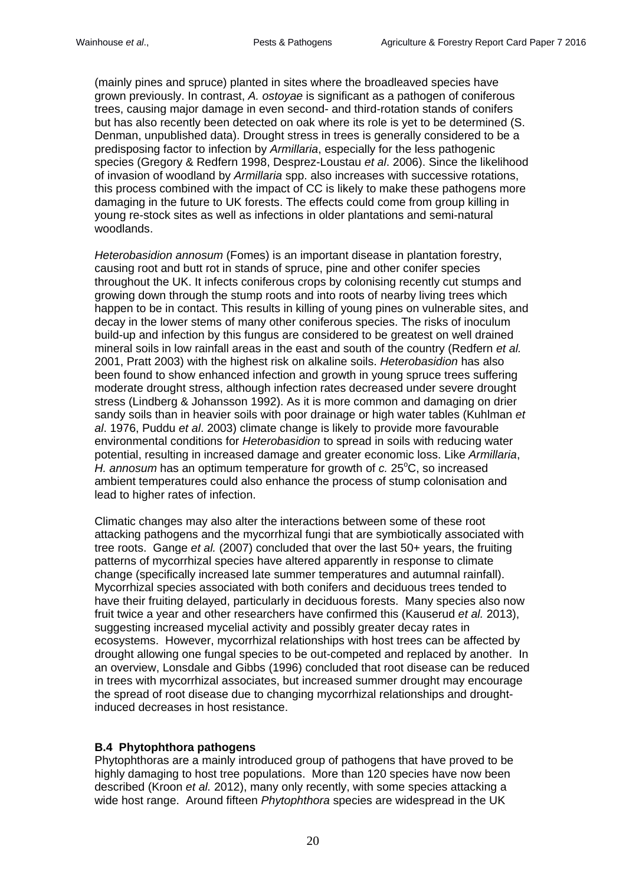(mainly pines and spruce) planted in sites where the broadleaved species have grown previously. In contrast, *A. ostoyae* is significant as a pathogen of coniferous trees, causing major damage in even second- and third-rotation stands of conifers but has also recently been detected on oak where its role is yet to be determined (S. Denman, unpublished data). Drought stress in trees is generally considered to be a predisposing factor to infection by *Armillaria*, especially for the less pathogenic species (Gregory & Redfern 1998, Desprez-Loustau *et al*. 2006). Since the likelihood of invasion of woodland by *Armillaria* spp. also increases with successive rotations, this process combined with the impact of CC is likely to make these pathogens more damaging in the future to UK forests. The effects could come from group killing in young re-stock sites as well as infections in older plantations and semi-natural woodlands.

*Heterobasidion annosum* (Fomes) is an important disease in plantation forestry, causing root and butt rot in stands of spruce, pine and other conifer species throughout the UK. It infects coniferous crops by colonising recently cut stumps and growing down through the stump roots and into roots of nearby living trees which happen to be in contact. This results in killing of young pines on vulnerable sites, and decay in the lower stems of many other coniferous species. The risks of inoculum build-up and infection by this fungus are considered to be greatest on well drained mineral soils in low rainfall areas in the east and south of the country (Redfern *et al.* 2001, Pratt 2003) with the highest risk on alkaline soils. *Heterobasidion* has also been found to show enhanced infection and growth in young spruce trees suffering moderate drought stress, although infection rates decreased under severe drought stress (Lindberg & Johansson 1992). As it is more common and damaging on drier sandy soils than in heavier soils with poor drainage or high water tables (Kuhlman *et al*. 1976, Puddu *et al*. 2003) climate change is likely to provide more favourable environmental conditions for *Heterobasidion* to spread in soils with reducing water potential, resulting in increased damage and greater economic loss. Like *Armillaria*, H. annosum has an optimum temperature for growth of *c*. 25°C, so increased ambient temperatures could also enhance the process of stump colonisation and lead to higher rates of infection.

Climatic changes may also alter the interactions between some of these root attacking pathogens and the mycorrhizal fungi that are symbiotically associated with tree roots. Gange *et al.* (2007) concluded that over the last 50+ years, the fruiting patterns of mycorrhizal species have altered apparently in response to climate change (specifically increased late summer temperatures and autumnal rainfall). Mycorrhizal species associated with both conifers and deciduous trees tended to have their fruiting delayed, particularly in deciduous forests. Many species also now fruit twice a year and other researchers have confirmed this (Kauserud *et al.* 2013), suggesting increased mycelial activity and possibly greater decay rates in ecosystems. However, mycorrhizal relationships with host trees can be affected by drought allowing one fungal species to be out-competed and replaced by another. In an overview, Lonsdale and Gibbs (1996) concluded that root disease can be reduced in trees with mycorrhizal associates, but increased summer drought may encourage the spread of root disease due to changing mycorrhizal relationships and droughtinduced decreases in host resistance.

# **B.4 Phytophthora pathogens**

Phytophthoras are a mainly introduced group of pathogens that have proved to be highly damaging to host tree populations. More than 120 species have now been described (Kroon *et al.* 2012), many only recently, with some species attacking a wide host range. Around fifteen *Phytophthora* species are widespread in the UK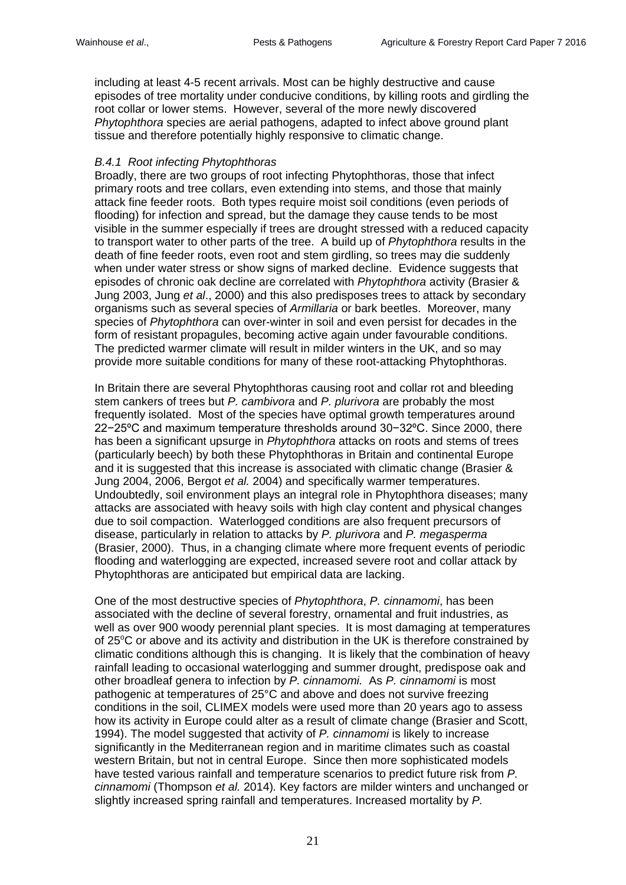including at least 4-5 recent arrivals. Most can be highly destructive and cause episodes of tree mortality under conducive conditions, by killing roots and girdling the root collar or lower stems. However, several of the more newly discovered *Phytophthora* species are aerial pathogens, adapted to infect above ground plant tissue and therefore potentially highly responsive to climatic change.

# *B.4.1 Root infecting Phytophthoras*

Broadly, there are two groups of root infecting Phytophthoras, those that infect primary roots and tree collars, even extending into stems, and those that mainly attack fine feeder roots. Both types require moist soil conditions (even periods of flooding) for infection and spread, but the damage they cause tends to be most visible in the summer especially if trees are drought stressed with a reduced capacity to transport water to other parts of the tree. A build up of *Phytophthora* results in the death of fine feeder roots, even root and stem girdling, so trees may die suddenly when under water stress or show signs of marked decline. Evidence suggests that episodes of chronic oak decline are correlated with *Phytophthora* activity (Brasier & Jung 2003, Jung *et al*., 2000) and this also predisposes trees to attack by secondary organisms such as several species of *Armillaria* or bark beetles. Moreover, many species of *Phytophthora* can over-winter in soil and even persist for decades in the form of resistant propagules, becoming active again under favourable conditions. The predicted warmer climate will result in milder winters in the UK, and so may provide more suitable conditions for many of these root-attacking Phytophthoras.

In Britain there are several Phytophthoras causing root and collar rot and bleeding stem cankers of trees but *P. cambivora* and *P. plurivora* are probably the most frequently isolated. Most of the species have optimal growth temperatures around 22−25ºC and maximum temperature thresholds around 30−32ºC. Since 2000, there has been a significant upsurge in *Phytophthora* attacks on roots and stems of trees (particularly beech) by both these Phytophthoras in Britain and continental Europe and it is suggested that this increase is associated with climatic change (Brasier & Jung 2004, 2006, Bergot *et al.* 2004) and specifically warmer temperatures. Undoubtedly, soil environment plays an integral role in Phytophthora diseases; many attacks are associated with heavy soils with high clay content and physical changes due to soil compaction. Waterlogged conditions are also frequent precursors of disease, particularly in relation to attacks by *P. plurivora* and *P. megasperma* (Brasier, 2000). Thus, in a changing climate where more frequent events of periodic flooding and waterlogging are expected, increased severe root and collar attack by Phytophthoras are anticipated but empirical data are lacking.

One of the most destructive species of *Phytophthora*, *P. cinnamomi*, has been associated with the decline of several forestry, ornamental and fruit industries, as well as over 900 woody perennial plant species. It is most damaging at temperatures of 25°C or above and its activity and distribution in the UK is therefore constrained by climatic conditions although this is changing. It is likely that the combination of heavy rainfall leading to occasional waterlogging and summer drought, predispose oak and other broadleaf genera to infection by *P. cinnamomi.* As *P. cinnamomi* is most pathogenic at temperatures of 25°C and above and does not survive freezing conditions in the soil, CLIMEX models were used more than 20 years ago to assess how its activity in Europe could alter as a result of climate change (Brasier and Scott, 1994). The model suggested that activity of *P. cinnamomi* is likely to increase significantly in the Mediterranean region and in maritime climates such as coastal western Britain, but not in central Europe. Since then more sophisticated models have tested various rainfall and temperature scenarios to predict future risk from *P. cinnamomi* (Thompson *et al.* 2014)*.* Key factors are milder winters and unchanged or slightly increased spring rainfall and temperatures. Increased mortality by *P.*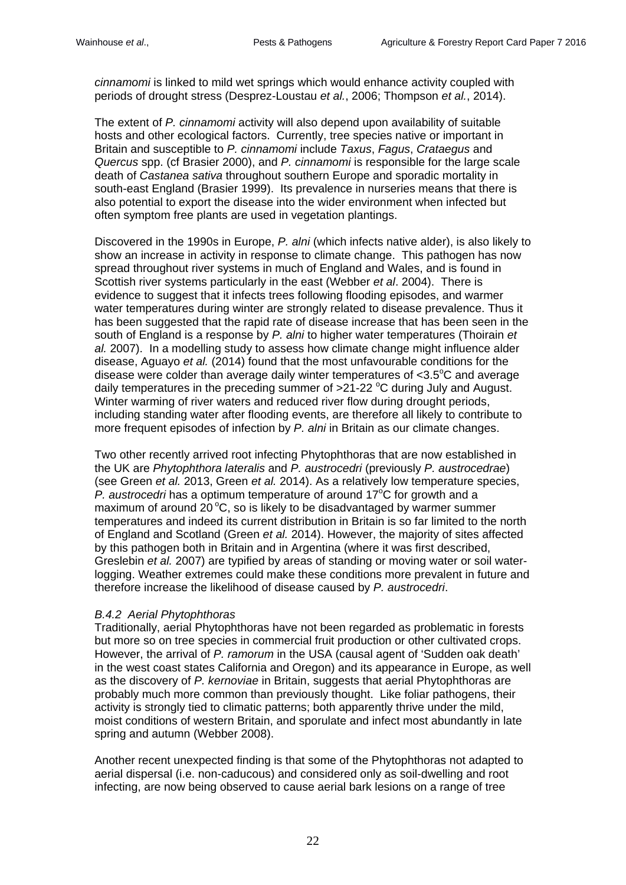*cinnamomi* is linked to mild wet springs which would enhance activity coupled with periods of drought stress (Desprez-Loustau *et al.*, 2006; Thompson *et al.*, 2014).

The extent of *P. cinnamomi* activity will also depend upon availability of suitable hosts and other ecological factors. Currently, tree species native or important in Britain and susceptible to *P. cinnamomi* include *Taxus*, *Fagus*, *Crataegus* and *Quercus* spp. (cf Brasier 2000), and *P. cinnamomi* is responsible for the large scale death of *Castanea sativa* throughout southern Europe and sporadic mortality in south-east England (Brasier 1999). Its prevalence in nurseries means that there is also potential to export the disease into the wider environment when infected but often symptom free plants are used in vegetation plantings.

Discovered in the 1990s in Europe, *P. alni* (which infects native alder), is also likely to show an increase in activity in response to climate change. This pathogen has now spread throughout river systems in much of England and Wales, and is found in Scottish river systems particularly in the east (Webber *et al*. 2004). There is evidence to suggest that it infects trees following flooding episodes, and warmer water temperatures during winter are strongly related to disease prevalence. Thus it has been suggested that the rapid rate of disease increase that has been seen in the south of England is a response by *P. alni* to higher water temperatures (Thoirain *et al.* 2007). In a modelling study to assess how climate change might influence alder disease, Aguayo *et al.* (2014) found that the most unfavourable conditions for the disease were colder than average daily winter temperatures of  $<$ 3.5 $^{\circ}$ C and average daily temperatures in the preceding summer of  $>$ 21-22 °C during July and August. Winter warming of river waters and reduced river flow during drought periods, including standing water after flooding events, are therefore all likely to contribute to more frequent episodes of infection by *P. alni* in Britain as our climate changes.

Two other recently arrived root infecting Phytophthoras that are now established in the UK are *Phytophthora lateralis* and *P. austrocedri* (previously *P. austrocedrae*) (see Green *et al.* 2013, Green *et al.* 2014). As a relatively low temperature species, P. austrocedri has a optimum temperature of around 17°C for growth and a maximum of around 20 °C, so is likely to be disadvantaged by warmer summer temperatures and indeed its current distribution in Britain is so far limited to the north of England and Scotland (Green *et al.* 2014). However, the majority of sites affected by this pathogen both in Britain and in Argentina (where it was first described, Greslebin *et al.* 2007) are typified by areas of standing or moving water or soil waterlogging. Weather extremes could make these conditions more prevalent in future and therefore increase the likelihood of disease caused by *P. austrocedri*.

# *B.4.2 Aerial Phytophthoras*

Traditionally, aerial Phytophthoras have not been regarded as problematic in forests but more so on tree species in commercial fruit production or other cultivated crops. However, the arrival of *P. ramorum* in the USA (causal agent of 'Sudden oak death' in the west coast states California and Oregon) and its appearance in Europe, as well as the discovery of *P. kernoviae* in Britain, suggests that aerial Phytophthoras are probably much more common than previously thought. Like foliar pathogens, their activity is strongly tied to climatic patterns; both apparently thrive under the mild, moist conditions of western Britain, and sporulate and infect most abundantly in late spring and autumn (Webber 2008).

Another recent unexpected finding is that some of the Phytophthoras not adapted to aerial dispersal (i.e. non-caducous) and considered only as soil-dwelling and root infecting, are now being observed to cause aerial bark lesions on a range of tree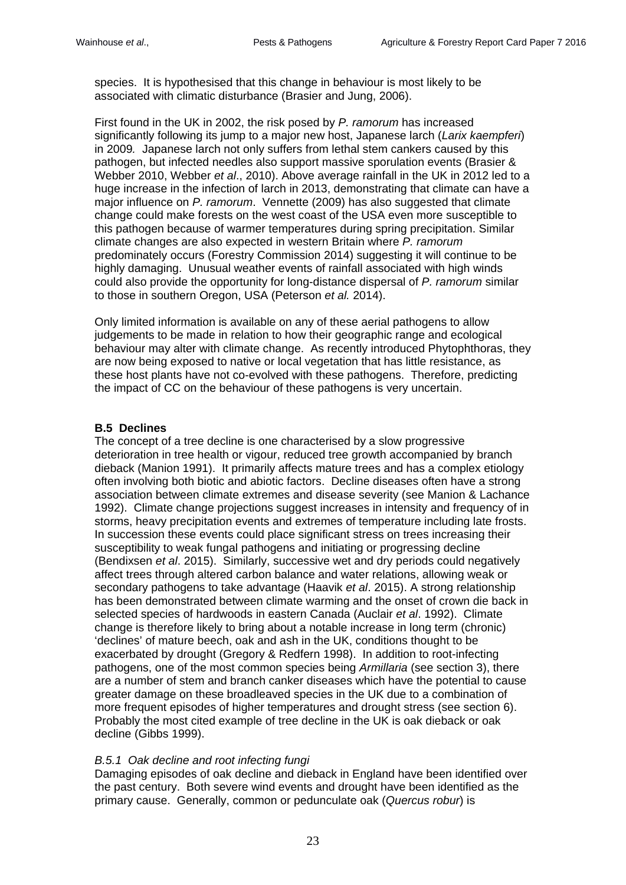species. It is hypothesised that this change in behaviour is most likely to be associated with climatic disturbance (Brasier and Jung, 2006).

First found in the UK in 2002, the risk posed by *P. ramorum* has increased significantly following its jump to a major new host, Japanese larch (*Larix kaempferi*) in 2009*.* Japanese larch not only suffers from lethal stem cankers caused by this pathogen, but infected needles also support massive sporulation events (Brasier & Webber 2010, Webber *et al*., 2010). Above average rainfall in the UK in 2012 led to a huge increase in the infection of larch in 2013, demonstrating that climate can have a major influence on *P. ramorum*. Vennette (2009) has also suggested that climate change could make forests on the west coast of the USA even more susceptible to this pathogen because of warmer temperatures during spring precipitation. Similar climate changes are also expected in western Britain where *P. ramorum* predominately occurs (Forestry Commission 2014) suggesting it will continue to be highly damaging. Unusual weather events of rainfall associated with high winds could also provide the opportunity for long-distance dispersal of *P. ramorum* similar to those in southern Oregon, USA (Peterson *et al.* 2014).

Only limited information is available on any of these aerial pathogens to allow judgements to be made in relation to how their geographic range and ecological behaviour may alter with climate change. As recently introduced Phytophthoras, they are now being exposed to native or local vegetation that has little resistance, as these host plants have not co-evolved with these pathogens. Therefore, predicting the impact of CC on the behaviour of these pathogens is very uncertain.

# **B.5 Declines**

The concept of a tree decline is one characterised by a slow progressive deterioration in tree health or vigour, reduced tree growth accompanied by branch dieback (Manion 1991). It primarily affects mature trees and has a complex etiology often involving both biotic and abiotic factors. Decline diseases often have a strong association between climate extremes and disease severity (see Manion & Lachance 1992). Climate change projections suggest increases in intensity and frequency of in storms, heavy precipitation events and extremes of temperature including late frosts. In succession these events could place significant stress on trees increasing their susceptibility to weak fungal pathogens and initiating or progressing decline (Bendixsen *et al*. 2015). Similarly, successive wet and dry periods could negatively affect trees through altered carbon balance and water relations, allowing weak or secondary pathogens to take advantage (Haavik *et al*. 2015). A strong relationship has been demonstrated between climate warming and the onset of crown die back in selected species of hardwoods in eastern Canada (Auclair *et al*. 1992). Climate change is therefore likely to bring about a notable increase in long term (chronic) 'declines' of mature beech, oak and ash in the UK, conditions thought to be exacerbated by drought (Gregory & Redfern 1998). In addition to root-infecting pathogens, one of the most common species being *Armillaria* (see section 3), there are a number of stem and branch canker diseases which have the potential to cause greater damage on these broadleaved species in the UK due to a combination of more frequent episodes of higher temperatures and drought stress (see section 6). Probably the most cited example of tree decline in the UK is oak dieback or oak decline (Gibbs 1999).

# *B.5.1 Oak decline and root infecting fungi*

Damaging episodes of oak decline and dieback in England have been identified over the past century. Both severe wind events and drought have been identified as the primary cause. Generally, common or pedunculate oak (*Quercus robur*) is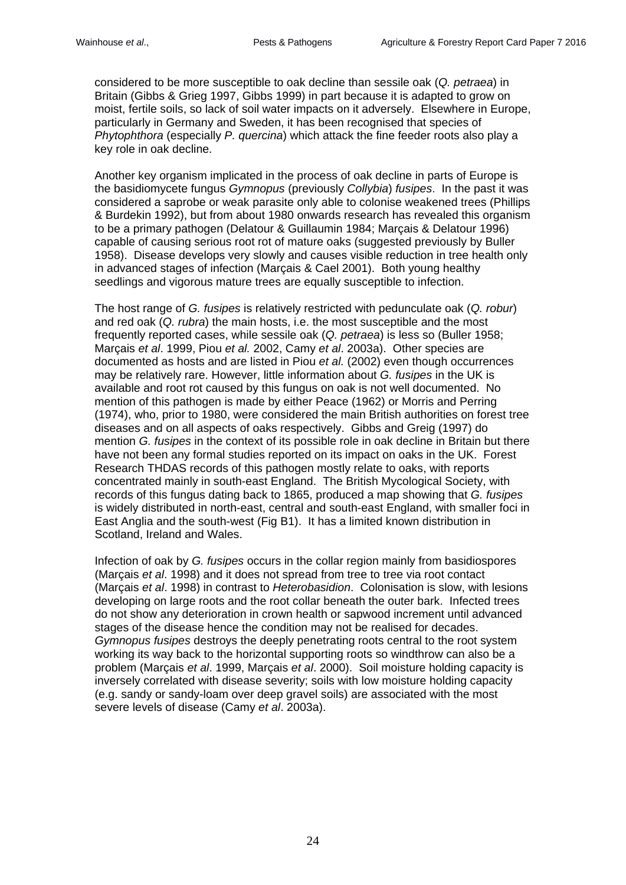considered to be more susceptible to oak decline than sessile oak (*Q. petraea*) in Britain (Gibbs & Grieg 1997, Gibbs 1999) in part because it is adapted to grow on moist, fertile soils, so lack of soil water impacts on it adversely. Elsewhere in Europe, particularly in Germany and Sweden, it has been recognised that species of *[Phytophthora](http://www.forestresearch.gov.uk/fr/infd-7b3cy3)* (especially *P. quercina*) which attack the fine feeder roots also play a key role in oak decline.

Another key organism implicated in the process of oak decline in parts of Europe is the basidiomycete fungus *Gymnopus* (previously *Collybia*) *fusipes*. In the past it was considered a saprobe or weak parasite only able to colonise weakened trees (Phillips & Burdekin 1992), but from about 1980 onwards research has revealed this organism to be a primary pathogen (Delatour & Guillaumin 1984; Marçais & Delatour 1996) capable of causing serious root rot of mature oaks (suggested previously by Buller 1958). Disease develops very slowly and causes visible reduction in tree health only in advanced stages of infection (Marçais & Cael 2001). Both young healthy seedlings and vigorous mature trees are equally susceptible to infection.

The host range of *G. fusipes* is relatively restricted with pedunculate oak (*Q. robur*) and red oak (*Q. rubra*) the main hosts, i.e. the most susceptible and the most frequently reported cases, while sessile oak (*Q. petraea*) is less so (Buller 1958; Marçais *et al*. 1999, Piou *et al.* 2002, Camy *et al*. 2003a). Other species are documented as hosts and are listed in Piou *et al.* (2002) even though occurrences may be relatively rare. However, little information about *G. fusipes* in the UK is available and root rot caused by this fungus on oak is not well documented. No mention of this pathogen is made by either Peace (1962) or Morris and Perring (1974), who, prior to 1980, were considered the main British authorities on forest tree diseases and on all aspects of oaks respectively. Gibbs and Greig (1997) do mention *G. fusipes* in the context of its possible role in oak decline in Britain but there have not been any formal studies reported on its impact on oaks in the UK. Forest Research THDAS records of this pathogen mostly relate to oaks, with reports concentrated mainly in south-east England. The British Mycological Society, with records of this fungus dating back to 1865, produced a map showing that *G. fusipes* is widely distributed in north-east, central and south-east England, with smaller foci in East Anglia and the south-west (Fig B1). It has a limited known distribution in Scotland, Ireland and Wales.

Infection of oak by *G. fusipes* occurs in the collar region mainly from basidiospores (Marçais *et al*. 1998) and it does not spread from tree to tree via root contact (Marçais *et al*. 1998) in contrast to *Heterobasidion*. Colonisation is slow, with lesions developing on large roots and the root collar beneath the outer bark. Infected trees do not show any deterioration in crown health or sapwood increment until advanced stages of the disease hence the condition may not be realised for decades. *Gymnopus fusipes* destroys the deeply penetrating roots central to the root system working its way back to the horizontal supporting roots so windthrow can also be a problem (Marçais *et al*. 1999, Marçais *et al*. 2000). Soil moisture holding capacity is inversely correlated with disease severity; soils with low moisture holding capacity (e.g. sandy or sandy-loam over deep gravel soils) are associated with the most severe levels of disease (Camy *et al*. 2003a).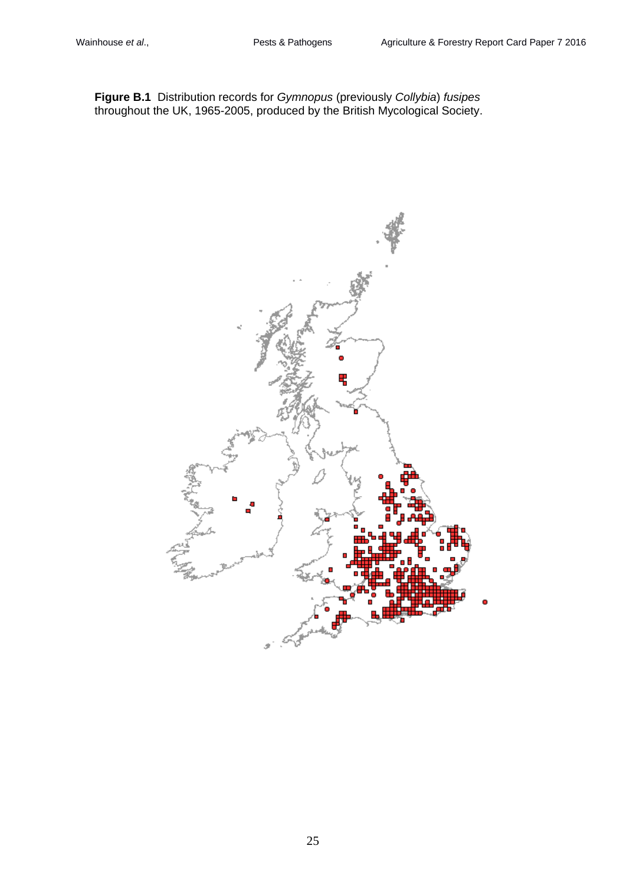**Figure B.1** Distribution records for *Gymnopus* (previously *Collybia*) *fusipes* throughout the UK, 1965-2005, produced by the British Mycological Society.

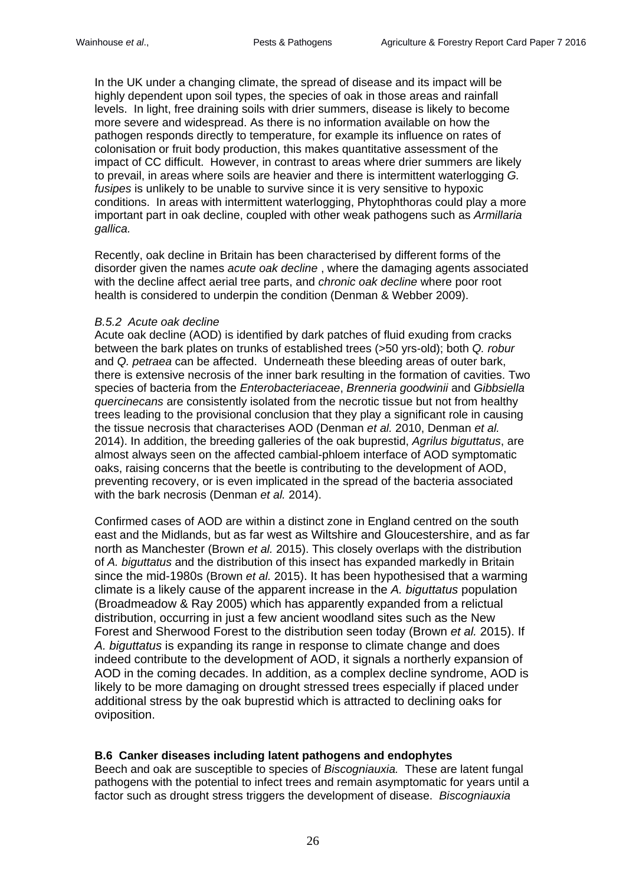In the UK under a changing climate, the spread of disease and its impact will be highly dependent upon soil types, the species of oak in those areas and rainfall levels. In light, free draining soils with drier summers, disease is likely to become more severe and widespread. As there is no information available on how the pathogen responds directly to temperature, for example its influence on rates of colonisation or fruit body production, this makes quantitative assessment of the impact of CC difficult. However, in contrast to areas where drier summers are likely to prevail, in areas where soils are heavier and there is intermittent waterlogging *G. fusipes* is unlikely to be unable to survive since it is very sensitive to hypoxic conditions. In areas with intermittent waterlogging, Phytophthoras could play a more important part in oak decline, coupled with other weak pathogens such as *Armillaria gallica.*

Recently, oak decline in Britain has been characterised by different forms of the disorder given the names *acute oak decline* , where the damaging agents associated with the decline affect aerial tree parts, and *chronic oak decline* where poor root health is considered to underpin the condition (Denman & Webber 2009).

## *B.5.2 Acute oak decline*

Acute oak decline (AOD) is identified by dark patches of fluid exuding from cracks between the bark plates on trunks of established trees (>50 yrs-old); both *Q. robur* and *Q. petraea* can be affected. Underneath these bleeding areas of outer bark, there is extensive necrosis of the inner bark resulting in the formation of cavities. Two species of bacteria from the *Enterobacteriaceae*, *Brenneria goodwinii* and *Gibbsiella quercinecans* are consistently isolated from the necrotic tissue but not from healthy trees leading to the provisional conclusion that they play a significant role in causing the tissue necrosis that characterises AOD (Denman *et al.* 2010, Denman *et al.* 2014). In addition, the breeding galleries of the oak buprestid, *Agrilus biguttatus*, are almost always seen on the affected cambial-phloem interface of AOD symptomatic oaks, raising concerns that the beetle is contributing to the development of AOD, preventing recovery, or is even implicated in the spread of the bacteria associated with the bark necrosis (Denman *et al.* 2014).

Confirmed cases of AOD are within a distinct zone in England centred on the south east and the Midlands, but as far west as Wiltshire and Gloucestershire, and as far north as Manchester (Brown *et al.* 2015). This closely overlaps with the distribution of *A. biguttatus* and the distribution of this insect has expanded markedly in Britain since the mid-1980s (Brown *et al.* 2015). It has been hypothesised that a warming climate is a likely cause of the apparent increase in the *A. biguttatus* population (Broadmeadow & Ray 2005) which has apparently expanded from a relictual distribution, occurring in just a few ancient woodland sites such as the New Forest and Sherwood Forest to the distribution seen today (Brown *et al.* 2015). If *A. biguttatus* is expanding its range in response to climate change and does indeed contribute to the development of AOD, it signals a northerly expansion of AOD in the coming decades. In addition, as a complex decline syndrome, AOD is likely to be more damaging on drought stressed trees especially if placed under additional stress by the oak buprestid which is attracted to declining oaks for oviposition.

## **B.6 Canker diseases including latent pathogens and endophytes**

Beech and oak are susceptible to species of *Biscogniauxia.* These are latent fungal pathogens with the potential to infect trees and remain asymptomatic for years until a factor such as drought stress triggers the development of disease. *Biscogniauxia*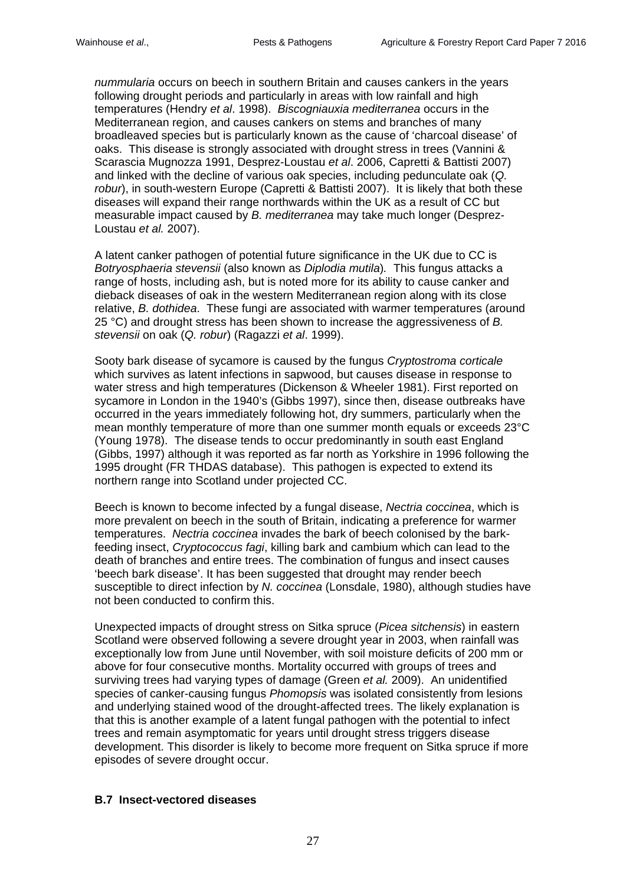*nummularia* occurs on beech in southern Britain and causes cankers in the years following drought periods and particularly in areas with low rainfall and high temperatures (Hendry *et al*. 1998). *Biscogniauxia mediterranea* occurs in the Mediterranean region, and causes cankers on stems and branches of many broadleaved species but is particularly known as the cause of 'charcoal disease' of oaks. This disease is strongly associated with drought stress in trees (Vannini & Scarascia Mugnozza 1991, Desprez-Loustau *et al*. 2006, Capretti & Battisti 2007) and linked with the decline of various oak species, including pedunculate oak (*Q. robur*), in south-western Europe (Capretti & Battisti 2007). It is likely that both these diseases will expand their range northwards within the UK as a result of CC but measurable impact caused by *B. mediterranea* may take much longer (Desprez-Loustau *et al.* 2007).

A latent canker pathogen of potential future significance in the UK due to CC is *Botryosphaeria stevensii* (also known as *Diplodia mutila*)*.* This fungus attacks a range of hosts, including ash, but is noted more for its ability to cause canker and dieback diseases of oak in the western Mediterranean region along with its close relative, *B. dothidea*. These fungi are associated with warmer temperatures (around 25 °C) and drought stress has been shown to increase the aggressiveness of *B. stevensii* on oak (*Q. robur*) (Ragazzi *et al*. 1999).

Sooty bark disease of sycamore is caused by the fungus *Cryptostroma corticale* which survives as latent infections in sapwood, but causes disease in response to water stress and high temperatures (Dickenson & Wheeler 1981). First reported on sycamore in London in the 1940's (Gibbs 1997), since then, disease outbreaks have occurred in the years immediately following hot, dry summers, particularly when the mean monthly temperature of more than one summer month equals or exceeds 23°C (Young 1978). The disease tends to occur predominantly in south east England (Gibbs, 1997) although it was reported as far north as Yorkshire in 1996 following the 1995 drought (FR THDAS database). This pathogen is expected to extend its northern range into Scotland under projected CC.

Beech is known to become infected by a fungal disease, *Nectria coccinea*, which is more prevalent on beech in the south of Britain, indicating a preference for warmer temperatures. *Nectria coccinea* invades the bark of beech colonised by the barkfeeding insect, *Cryptococcus fagi*, killing bark and cambium which can lead to the death of branches and entire trees. The combination of fungus and insect causes 'beech bark disease'. It has been suggested that drought may render beech susceptible to direct infection by *N. coccinea* (Lonsdale, 1980), although studies have not been conducted to confirm this.

Unexpected impacts of drought stress on Sitka spruce (*Picea sitchensis*) in eastern Scotland were observed following a severe drought year in 2003, when rainfall was exceptionally low from June until November, with soil moisture deficits of 200 mm or above for four consecutive months. Mortality occurred with groups of trees and surviving trees had varying types of damage (Green *et al.* 2009). An unidentified species of canker-causing fungus *Phomopsis* was isolated consistently from lesions and underlying stained wood of the drought-affected trees. The likely explanation is that this is another example of a latent fungal pathogen with the potential to infect trees and remain asymptomatic for years until drought stress triggers disease development. This disorder is likely to become more frequent on Sitka spruce if more episodes of severe drought occur.

## **B.7 Insect-vectored diseases**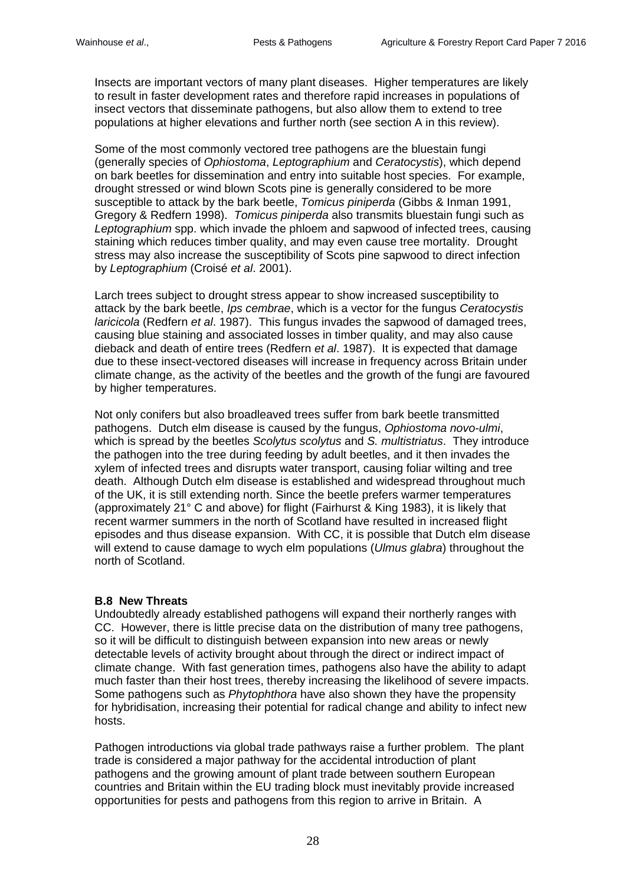Insects are important vectors of many plant diseases. Higher temperatures are likely to result in faster development rates and therefore rapid increases in populations of insect vectors that disseminate pathogens, but also allow them to extend to tree populations at higher elevations and further north (see section A in this review).

Some of the most commonly vectored tree pathogens are the bluestain fungi (generally species of *Ophiostoma*, *Leptographium* and *Ceratocystis*), which depend on bark beetles for dissemination and entry into suitable host species. For example, drought stressed or wind blown Scots pine is generally considered to be more susceptible to attack by the bark beetle, *Tomicus piniperda* (Gibbs & Inman 1991, Gregory & Redfern 1998). *Tomicus piniperda* also transmits bluestain fungi such as *Leptographium* spp. which invade the phloem and sapwood of infected trees, causing staining which reduces timber quality, and may even cause tree mortality. Drought stress may also increase the susceptibility of Scots pine sapwood to direct infection by *Leptographium* (Croisé *et al*. 2001).

Larch trees subject to drought stress appear to show increased susceptibility to attack by the bark beetle, *Ips cembrae*, which is a vector for the fungus *Ceratocystis laricicola* (Redfern *et al*. 1987). This fungus invades the sapwood of damaged trees, causing blue staining and associated losses in timber quality, and may also cause dieback and death of entire trees (Redfern *et al*. 1987). It is expected that damage due to these insect-vectored diseases will increase in frequency across Britain under climate change, as the activity of the beetles and the growth of the fungi are favoured by higher temperatures.

Not only conifers but also broadleaved trees suffer from bark beetle transmitted pathogens. Dutch elm disease is caused by the fungus, *Ophiostoma novo-ulmi*, which is spread by the beetles *Scolytus scolytus* and *S. multistriatus*. They introduce the pathogen into the tree during feeding by adult beetles, and it then invades the xylem of infected trees and disrupts water transport, causing foliar wilting and tree death. Although Dutch elm disease is established and widespread throughout much of the UK, it is still extending north. Since the beetle prefers warmer temperatures (approximately 21° C and above) for flight (Fairhurst & King 1983), it is likely that recent warmer summers in the north of Scotland have resulted in increased flight episodes and thus disease expansion. With CC, it is possible that Dutch elm disease will extend to cause damage to wych elm populations (*Ulmus glabra*) throughout the north of Scotland.

# **B.8 New Threats**

Undoubtedly already established pathogens will expand their northerly ranges with CC. However, there is little precise data on the distribution of many tree pathogens, so it will be difficult to distinguish between expansion into new areas or newly detectable levels of activity brought about through the direct or indirect impact of climate change. With fast generation times, pathogens also have the ability to adapt much faster than their host trees, thereby increasing the likelihood of severe impacts. Some pathogens such as *Phytophthora* have also shown they have the propensity for hybridisation, increasing their potential for radical change and ability to infect new hosts.

Pathogen introductions via global trade pathways raise a further problem. The plant trade is considered a major pathway for the accidental introduction of plant pathogens and the growing amount of plant trade between southern European countries and Britain within the EU trading block must inevitably provide increased opportunities for pests and pathogens from this region to arrive in Britain. A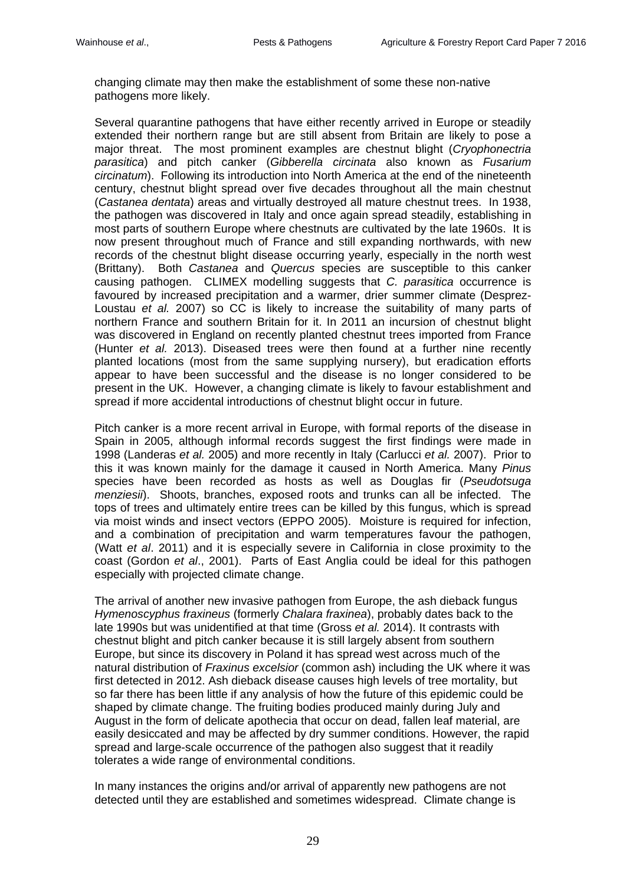changing climate may then make the establishment of some these non-native pathogens more likely.

Several quarantine pathogens that have either recently arrived in Europe or steadily extended their northern range but are still absent from Britain are likely to pose a major threat. The most prominent examples are chestnut blight (*Cryophonectria parasitica*) and pitch canker (*Gibberella circinata* also known as *Fusarium circinatum*). Following its introduction into North America at the end of the nineteenth century, chestnut blight spread over five decades throughout all the main chestnut (*Castanea dentata*) areas and virtually destroyed all mature chestnut trees. In 1938, the pathogen was discovered in Italy and once again spread steadily, establishing in most parts of southern Europe where chestnuts are cultivated by the late 1960s. It is now present throughout much of France and still expanding northwards, with new records of the chestnut blight disease occurring yearly, especially in the north west (Brittany). Both *Castanea* and *Quercus* species are susceptible to this canker causing pathogen. CLIMEX modelling suggests that *C. parasitica* occurrence is favoured by increased precipitation and a warmer, drier summer climate (Desprez-Loustau *et al.* 2007) so CC is likely to increase the suitability of many parts of northern France and southern Britain for it. In 2011 an incursion of chestnut blight was discovered in England on recently planted chestnut trees imported from France (Hunter *et al.* 2013). Diseased trees were then found at a further nine recently planted locations (most from the same supplying nursery), but eradication efforts appear to have been successful and the disease is no longer considered to be present in the UK. However, a changing climate is likely to favour establishment and spread if more accidental introductions of chestnut blight occur in future.

Pitch canker is a more recent arrival in Europe, with formal reports of the disease in Spain in 2005, although informal records suggest the first findings were made in 1998 (Landeras *et al.* 2005) and more recently in Italy (Carlucci *et al.* 2007). Prior to this it was known mainly for the damage it caused in North America. Many *Pinus* species have been recorded as hosts as well as Douglas fir (*Pseudotsuga menziesii*). Shoots, branches, exposed roots and trunks can all be infected. The tops of trees and ultimately entire trees can be killed by this fungus, which is spread via moist winds and insect vectors (EPPO 2005). Moisture is required for infection, and a combination of precipitation and warm temperatures favour the pathogen, (Watt *et al*. 2011) and it is especially severe in California in close proximity to the coast (Gordon *et al*., 2001). Parts of East Anglia could be ideal for this pathogen especially with projected climate change.

The arrival of another new invasive pathogen from Europe, the ash dieback fungus *Hymenoscyphus fraxineus* (formerly *Chalara fraxinea*), probably dates back to the late 1990s but was unidentified at that time (Gross *et al.* 2014). It contrasts with chestnut blight and pitch canker because it is still largely absent from southern Europe, but since its discovery in Poland it has spread west across much of the natural distribution of *Fraxinus excelsior* (common ash) including the UK where it was first detected in 2012. Ash dieback disease causes high levels of tree mortality, but so far there has been little if any analysis of how the future of this epidemic could be shaped by climate change. The fruiting bodies produced mainly during July and August in the form of delicate apothecia that occur on dead, fallen leaf material, are easily desiccated and may be affected by dry summer conditions. However, the rapid spread and large-scale occurrence of the pathogen also suggest that it readily tolerates a wide range of environmental conditions.

In many instances the origins and/or arrival of apparently new pathogens are not detected until they are established and sometimes widespread. Climate change is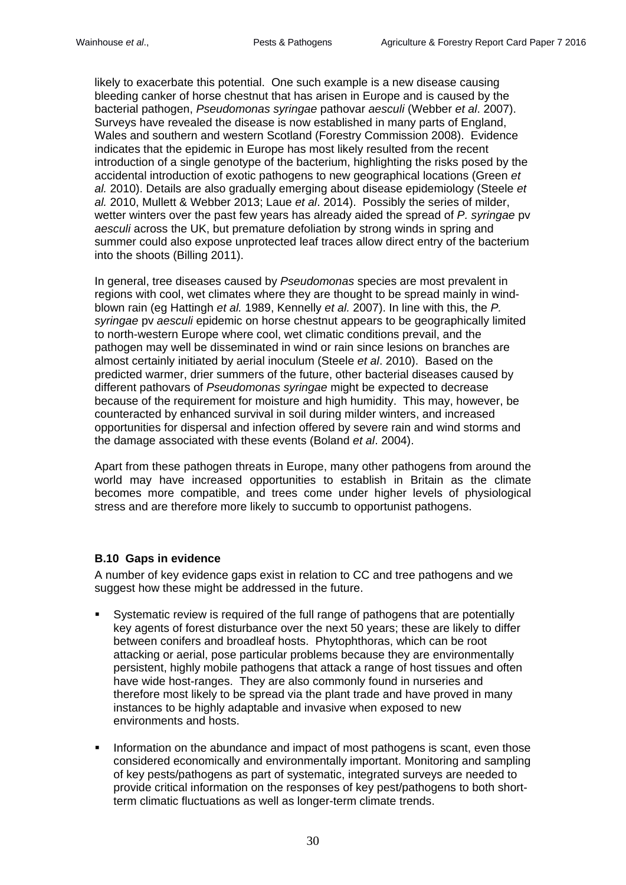likely to exacerbate this potential. One such example is a new disease causing bleeding canker of horse chestnut that has arisen in Europe and is caused by the bacterial pathogen, *Pseudomonas syringae* pathovar *aesculi* (Webber *et al*. 2007). Surveys have revealed the disease is now established in many parts of England, Wales and southern and western Scotland (Forestry Commission 2008). Evidence indicates that the epidemic in Europe has most likely resulted from the recent introduction of a single genotype of the bacterium, highlighting the risks posed by the accidental introduction of exotic pathogens to new geographical locations (Green *et al.* 2010). Details are also gradually emerging about disease epidemiology (Steele *et al.* 2010, Mullett & Webber 2013; Laue *et al*. 2014). Possibly the series of milder, wetter winters over the past few years has already aided the spread of *P. syringae* pv *aesculi* across the UK, but premature defoliation by strong winds in spring and summer could also expose unprotected leaf traces allow direct entry of the bacterium into the shoots (Billing 2011).

In general, tree diseases caused by *Pseudomonas* species are most prevalent in regions with cool, wet climates where they are thought to be spread mainly in windblown rain (eg Hattingh *et al.* 1989, Kennelly *et al.* 2007). In line with this, the *P. syringae* pv *aesculi* epidemic on horse chestnut appears to be geographically limited to north-western Europe where cool, wet climatic conditions prevail, and the pathogen may well be disseminated in wind or rain since lesions on branches are almost certainly initiated by aerial inoculum (Steele *et al*. 2010). Based on the predicted warmer, drier summers of the future, other bacterial diseases caused by different pathovars of *Pseudomonas syringae* might be expected to decrease because of the requirement for moisture and high humidity. This may, however, be counteracted by enhanced survival in soil during milder winters, and increased opportunities for dispersal and infection offered by severe rain and wind storms and the damage associated with these events (Boland *et al*. 2004).

Apart from these pathogen threats in Europe, many other pathogens from around the world may have increased opportunities to establish in Britain as the climate becomes more compatible, and trees come under higher levels of physiological stress and are therefore more likely to succumb to opportunist pathogens.

# **B.10 Gaps in evidence**

A number of key evidence gaps exist in relation to CC and tree pathogens and we suggest how these might be addressed in the future.

- Systematic review is required of the full range of pathogens that are potentially key agents of forest disturbance over the next 50 years; these are likely to differ between conifers and broadleaf hosts. Phytophthoras, which can be root attacking or aerial, pose particular problems because they are environmentally persistent, highly mobile pathogens that attack a range of host tissues and often have wide host-ranges. They are also commonly found in nurseries and therefore most likely to be spread via the plant trade and have proved in many instances to be highly adaptable and invasive when exposed to new environments and hosts.
- Information on the abundance and impact of most pathogens is scant, even those considered economically and environmentally important. Monitoring and sampling of key pests/pathogens as part of systematic, integrated surveys are needed to provide critical information on the responses of key pest/pathogens to both shortterm climatic fluctuations as well as longer-term climate trends.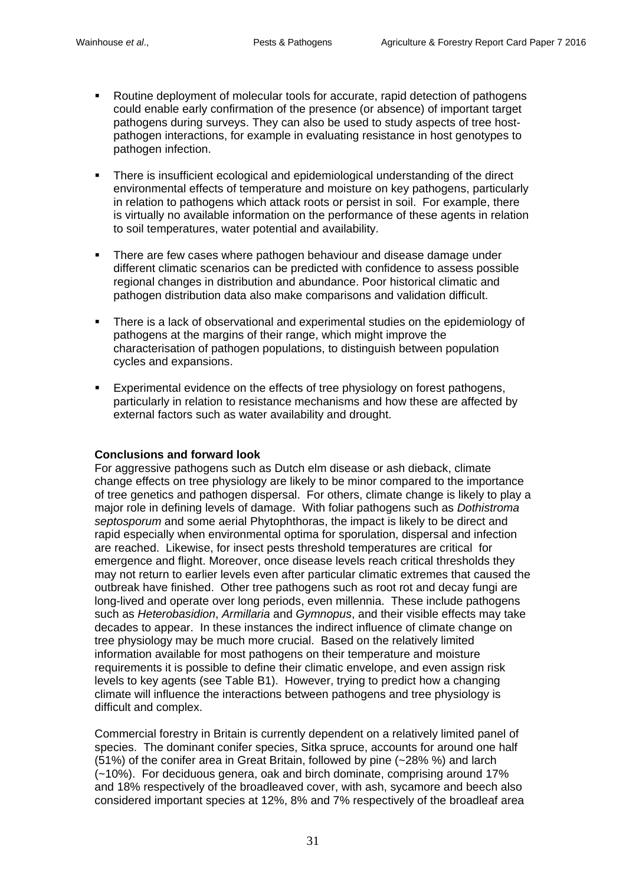- Routine deployment of molecular tools for accurate, rapid detection of pathogens could enable early confirmation of the presence (or absence) of important target pathogens during surveys. They can also be used to study aspects of tree hostpathogen interactions, for example in evaluating resistance in host genotypes to pathogen infection.
- There is insufficient ecological and epidemiological understanding of the direct environmental effects of temperature and moisture on key pathogens, particularly in relation to pathogens which attack roots or persist in soil. For example, there is virtually no available information on the performance of these agents in relation to soil temperatures, water potential and availability.
- There are few cases where pathogen behaviour and disease damage under different climatic scenarios can be predicted with confidence to assess possible regional changes in distribution and abundance. Poor historical climatic and pathogen distribution data also make comparisons and validation difficult.
- There is a lack of observational and experimental studies on the epidemiology of pathogens at the margins of their range, which might improve the characterisation of pathogen populations, to distinguish between population cycles and expansions.
- Experimental evidence on the effects of tree physiology on forest pathogens, particularly in relation to resistance mechanisms and how these are affected by external factors such as water availability and drought.

## **Conclusions and forward look**

For aggressive pathogens such as Dutch elm disease or ash dieback, climate change effects on tree physiology are likely to be minor compared to the importance of tree genetics and pathogen dispersal. For others, climate change is likely to play a major role in defining levels of damage. With foliar pathogens such as *Dothistroma septosporum* and some aerial Phytophthoras, the impact is likely to be direct and rapid especially when environmental optima for sporulation, dispersal and infection are reached. Likewise, for insect pests threshold temperatures are critical for emergence and flight. Moreover, once disease levels reach critical thresholds they may not return to earlier levels even after particular climatic extremes that caused the outbreak have finished. Other tree pathogens such as root rot and decay fungi are long-lived and operate over long periods, even millennia. These include pathogens such as *Heterobasidion*, *Armillaria* and *Gymnopus*, and their visible effects may take decades to appear. In these instances the indirect influence of climate change on tree physiology may be much more crucial. Based on the relatively limited information available for most pathogens on their temperature and moisture requirements it is possible to define their climatic envelope, and even assign risk levels to key agents (see Table B1). However, trying to predict how a changing climate will influence the interactions between pathogens and tree physiology is difficult and complex.

Commercial forestry in Britain is currently dependent on a relatively limited panel of species. The dominant conifer species, Sitka spruce, accounts for around one half (51%) of the conifer area in Great Britain, followed by pine (~28% %) and larch (~10%). For deciduous genera, oak and birch dominate, comprising around 17% and 18% respectively of the broadleaved cover, with ash, sycamore and beech also considered important species at 12%, 8% and 7% respectively of the broadleaf area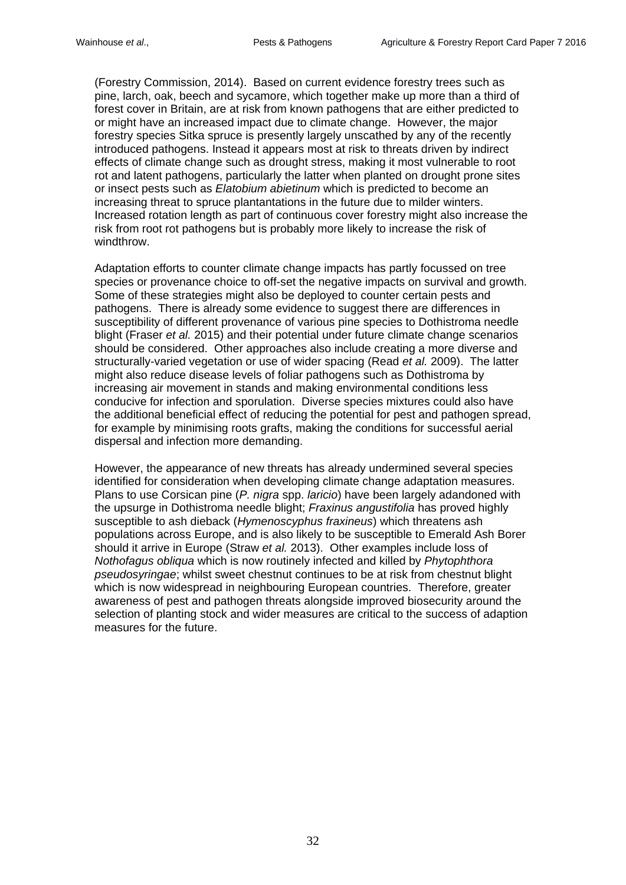(Forestry Commission, 2014). Based on current evidence forestry trees such as pine, larch, oak, beech and sycamore, which together make up more than a third of forest cover in Britain, are at risk from known pathogens that are either predicted to or might have an increased impact due to climate change. However, the major forestry species Sitka spruce is presently largely unscathed by any of the recently introduced pathogens. Instead it appears most at risk to threats driven by indirect effects of climate change such as drought stress, making it most vulnerable to root rot and latent pathogens, particularly the latter when planted on drought prone sites or insect pests such as *Elatobium abietinum* which is predicted to become an increasing threat to spruce plantantations in the future due to milder winters. Increased rotation length as part of continuous cover forestry might also increase the risk from root rot pathogens but is probably more likely to increase the risk of windthrow.

Adaptation efforts to counter climate change impacts has partly focussed on tree species or provenance choice to off-set the negative impacts on survival and growth. Some of these strategies might also be deployed to counter certain pests and pathogens. There is already some evidence to suggest there are differences in susceptibility of different provenance of various pine species to Dothistroma needle blight (Fraser *et al.* 2015) and their potential under future climate change scenarios should be considered. Other approaches also include creating a more diverse and structurally-varied vegetation or use of wider spacing (Read *et al.* 2009). The latter might also reduce disease levels of foliar pathogens such as Dothistroma by increasing air movement in stands and making environmental conditions less conducive for infection and sporulation. Diverse species mixtures could also have the additional beneficial effect of reducing the potential for pest and pathogen spread, for example by minimising roots grafts, making the conditions for successful aerial dispersal and infection more demanding.

However, the appearance of new threats has already undermined several species identified for consideration when developing climate change adaptation measures. Plans to use Corsican pine (*P. nigra* spp. *laricio*) have been largely adandoned with the upsurge in Dothistroma needle blight; *Fraxinus angustifolia* has proved highly susceptible to ash dieback (*Hymenoscyphus fraxineus*) which threatens ash populations across Europe, and is also likely to be susceptible to Emerald Ash Borer should it arrive in Europe (Straw *et al.* 2013). Other examples include loss of *Nothofagus obliqua* which is now routinely infected and killed by *Phytophthora pseudosyringae*; whilst sweet chestnut continues to be at risk from chestnut blight which is now widespread in neighbouring European countries. Therefore, greater awareness of pest and pathogen threats alongside improved biosecurity around the selection of planting stock and wider measures are critical to the success of adaption measures for the future.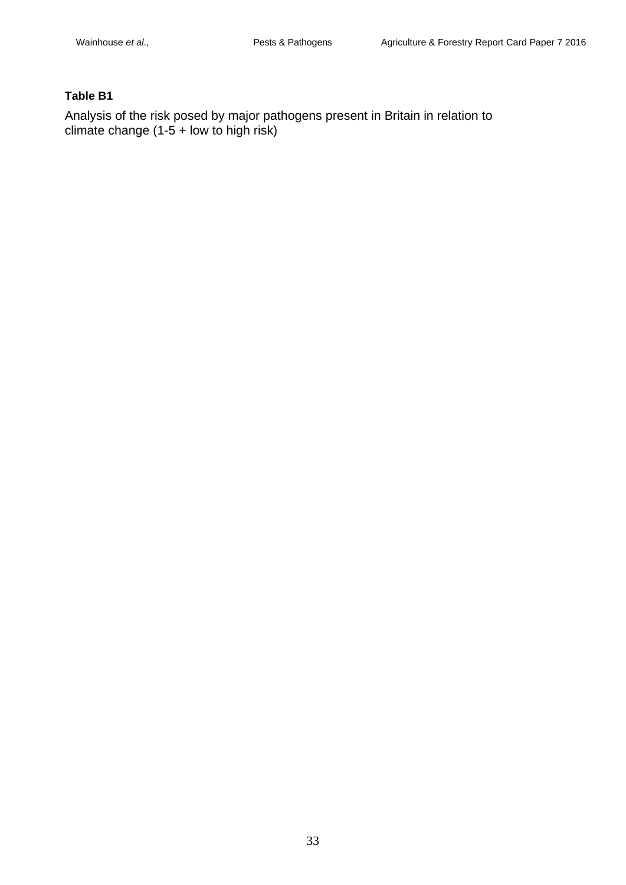# **Table B1**

Analysis of the risk posed by major pathogens present in Britain in relation to climate change (1-5 + low to high risk)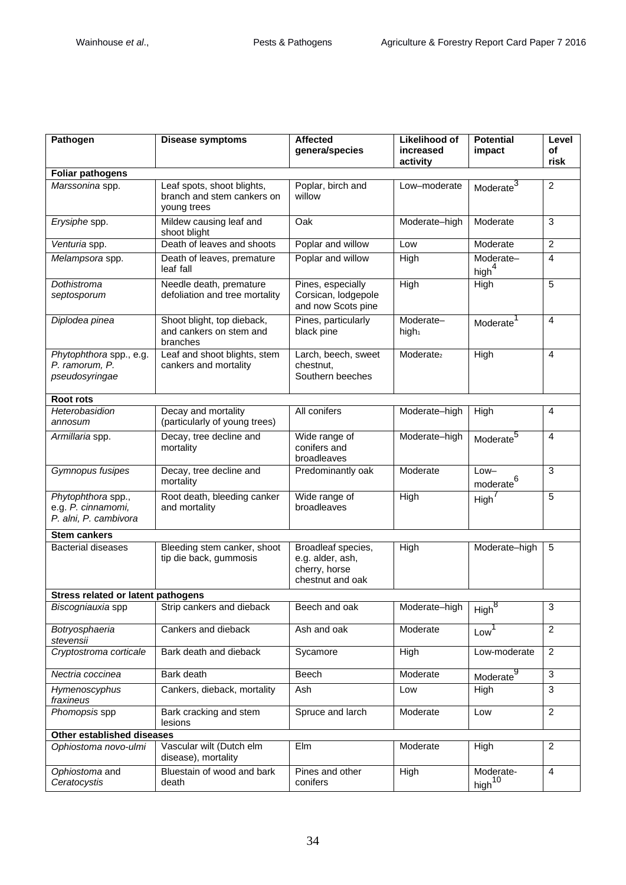| Pathogen                                                          | Disease symptoms                                                        | <b>Affected</b><br>genera/species                                           | <b>Likelihood of</b><br>increased<br>activity | <b>Potential</b><br>impact               | Level<br>of<br>risk |  |  |  |
|-------------------------------------------------------------------|-------------------------------------------------------------------------|-----------------------------------------------------------------------------|-----------------------------------------------|------------------------------------------|---------------------|--|--|--|
| <b>Foliar pathogens</b>                                           |                                                                         |                                                                             |                                               |                                          |                     |  |  |  |
| Marssonina spp.                                                   | Leaf spots, shoot blights,<br>branch and stem cankers on<br>young trees | Poplar, birch and<br>willow                                                 | Low-moderate                                  | Moderate <sup>3</sup>                    | 2                   |  |  |  |
| Erysiphe spp.                                                     | Mildew causing leaf and<br>shoot blight                                 | Oak                                                                         | Moderate-high                                 | Moderate                                 | 3                   |  |  |  |
| Venturia spp.                                                     | Death of leaves and shoots                                              | Poplar and willow                                                           | Low                                           | Moderate                                 | $\overline{2}$      |  |  |  |
| Melampsora spp.                                                   | Death of leaves, premature<br>leaf fall                                 | Poplar and willow                                                           | <b>High</b>                                   | Moderate-<br>high <sup>4</sup>           | 4                   |  |  |  |
| Dothistroma<br>septosporum                                        | Needle death, premature<br>defoliation and tree mortality               | Pines, especially<br>Corsican, lodgepole<br>and now Scots pine              | High                                          | High                                     | 5                   |  |  |  |
| Diplodea pinea                                                    | Shoot blight, top dieback,<br>and cankers on stem and<br>branches       | Pines, particularly<br>black pine                                           | Moderate-<br>high <sub>1</sub>                | Moderate                                 | 4                   |  |  |  |
| Phytophthora spp., e.g.<br>P. ramorum, P.<br>pseudosyringae       | Leaf and shoot blights, stem<br>cankers and mortality                   | Larch, beech, sweet<br>chestnut,<br>Southern beeches                        | Moderate <sub>2</sub>                         | High                                     | 4                   |  |  |  |
| Root rots                                                         |                                                                         |                                                                             |                                               |                                          |                     |  |  |  |
| Heterobasidion<br>annosum                                         | Decay and mortality<br>(particularly of young trees)                    | All conifers                                                                | Moderate-high                                 | High                                     | 4                   |  |  |  |
| Armillaria spp.                                                   | Decay, tree decline and<br>mortality                                    | Wide range of<br>conifers and<br>broadleaves                                | Moderate-high                                 | Moderate <sup>5</sup>                    | 4                   |  |  |  |
| Gymnopus fusipes                                                  | Decay, tree decline and<br>mortality                                    | Predominantly oak                                                           | Moderate                                      | $Low-$<br>$\overline{\text{moderate}}^6$ | 3                   |  |  |  |
| Phytophthora spp.,<br>e.g. P. cinnamomi,<br>P. alni, P. cambivora | Root death, bleeding canker<br>and mortality                            | Wide range of<br>broadleaves                                                | High                                          | High <sup>'</sup>                        | 5                   |  |  |  |
| <b>Stem cankers</b>                                               |                                                                         |                                                                             |                                               |                                          |                     |  |  |  |
| <b>Bacterial diseases</b>                                         | Bleeding stem canker, shoot<br>tip die back, gummosis                   | Broadleaf species,<br>e.g. alder, ash,<br>cherry, horse<br>chestnut and oak | High                                          | Moderate-high                            | 5                   |  |  |  |
| <b>Stress related or latent pathogens</b>                         |                                                                         |                                                                             |                                               |                                          |                     |  |  |  |
| Biscogniauxia spp                                                 | Strip cankers and dieback                                               | Beech and oak                                                               | Moderate-high                                 | High <sup>8</sup>                        | 3                   |  |  |  |
| Botryosphaeria<br>stevensii                                       | Cankers and dieback                                                     | Ash and oak                                                                 | Moderate                                      | Low                                      | $\overline{2}$      |  |  |  |
| Cryptostroma corticale                                            | Bark death and dieback                                                  | Sycamore                                                                    | High                                          | Low-moderate                             | 2                   |  |  |  |
| Nectria coccinea                                                  | Bark death                                                              | <b>Beech</b>                                                                | Moderate                                      | Moderate <sup>9</sup>                    | 3                   |  |  |  |
| Hymenoscyphus<br>fraxineus                                        | Cankers, dieback, mortality                                             | Ash                                                                         | Low                                           | High                                     | 3                   |  |  |  |
| Phomopsis spp                                                     | Bark cracking and stem<br>lesions                                       | Spruce and larch                                                            | Moderate                                      | Low                                      | $\overline{2}$      |  |  |  |
| Other established diseases                                        |                                                                         |                                                                             |                                               |                                          |                     |  |  |  |
| Ophiostoma novo-ulmi                                              | Vascular wilt (Dutch elm<br>disease), mortality                         | Elm                                                                         | Moderate                                      | High                                     | $\overline{c}$      |  |  |  |
| Ophiostoma and<br>Ceratocystis                                    | Bluestain of wood and bark<br>death                                     | Pines and other<br>conifers                                                 | High                                          | Moderate-<br>high <sup>10</sup>          | $\overline{4}$      |  |  |  |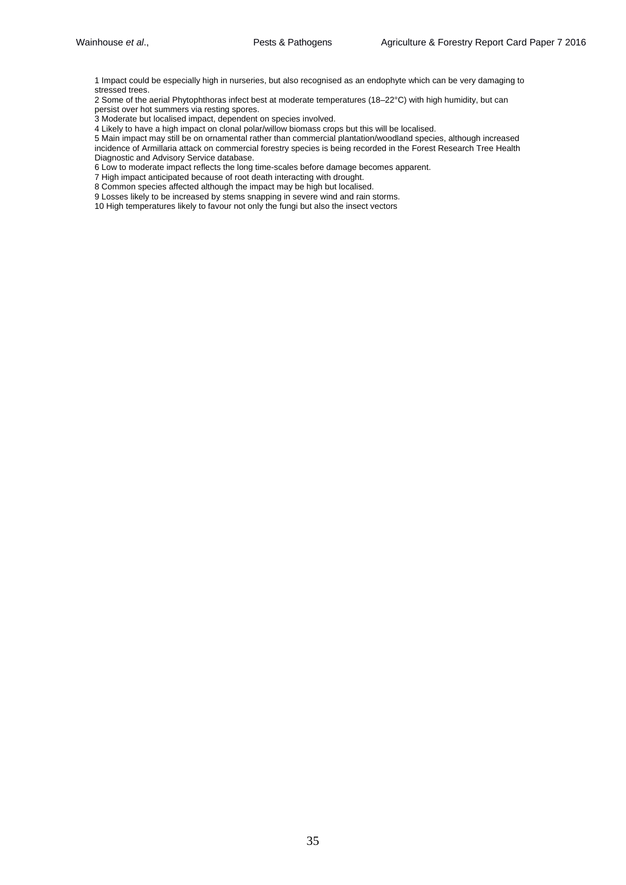1 Impact could be especially high in nurseries, but also recognised as an endophyte which can be very damaging to stressed trees.

2 Some of the aerial Phytophthoras infect best at moderate temperatures (18–22°C) with high humidity, but can persist over hot summers via resting spores.

3 Moderate but localised impact, dependent on species involved.

4 Likely to have a high impact on clonal polar/willow biomass crops but this will be localised.

5 Main impact may still be on ornamental rather than commercial plantation/woodland species, although increased incidence of Armillaria attack on commercial forestry species is being recorded in the Forest Research Tree Health Diagnostic and Advisory Service database.

6 Low to moderate impact reflects the long time-scales before damage becomes apparent.

7 High impact anticipated because of root death interacting with drought.

8 Common species affected although the impact may be high but localised.

9 Losses likely to be increased by stems snapping in severe wind and rain storms.

10 High temperatures likely to favour not only the fungi but also the insect vectors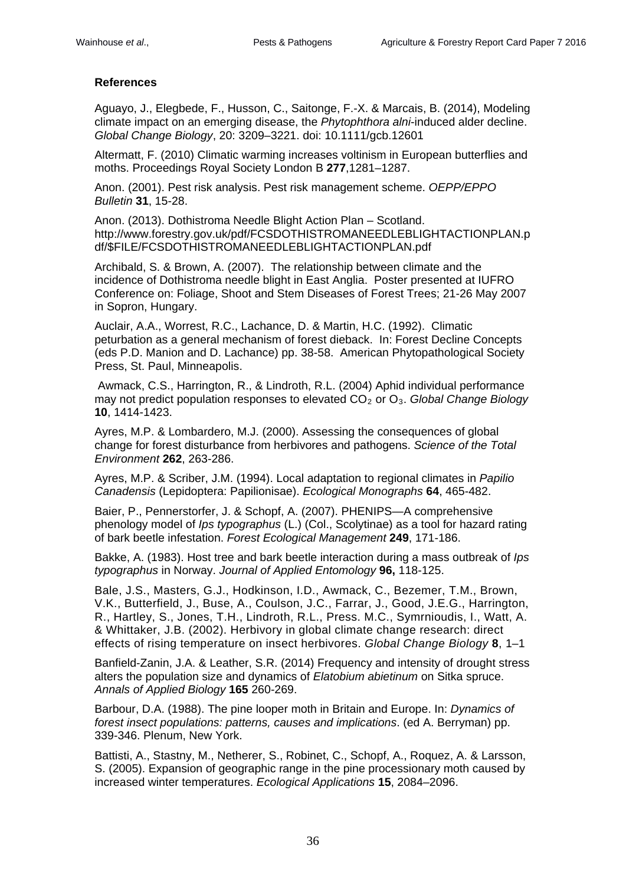# **References**

Aguayo, J., Elegbede, F., Husson, C., Saitonge, F.-X. & Marcais, B. (2014), Modeling climate impact on an emerging disease, the *Phytophthora alni*-induced alder decline. *Global Change Biology*, 20: 3209–3221. doi: 10.1111/gcb.12601

Altermatt, F. (2010) Climatic warming increases voltinism in European butterflies and moths. Proceedings Royal Society London B **277**,1281–1287.

Anon. (2001). Pest risk analysis. Pest risk management scheme. *OEPP/EPPO Bulletin* **31**, 15-28.

Anon. (2013). Dothistroma Needle Blight Action Plan – Scotland. http://www.forestry.gov.uk/pdf/FCSDOTHISTROMANEEDLEBLIGHTACTIONPLAN.p df/\$FILE/FCSDOTHISTROMANEEDLEBLIGHTACTIONPLAN.pdf

Archibald, S. & Brown, A. (2007). The relationship between climate and the incidence of Dothistroma needle blight in East Anglia. Poster presented at IUFRO Conference on: Foliage, Shoot and Stem Diseases of Forest Trees; 21-26 May 2007 in Sopron, Hungary.

Auclair, A.A., Worrest, R.C., Lachance, D. & Martin, H.C. (1992). Climatic peturbation as a general mechanism of forest dieback. In: Forest Decline Concepts (eds P.D. Manion and D. Lachance) pp. 38-58. American Phytopathological Society Press, St. Paul, Minneapolis.

Awmack, C.S., Harrington, R., & Lindroth, R.L. (2004) Aphid individual performance may not predict population responses to elevated CO2 or O3. *Global Change Biology* **10**, 1414-1423.

Ayres, M.P. & Lombardero, M.J. (2000). Assessing the consequences of global change for forest disturbance from herbivores and pathogens. *Science of the Total Environment* **262**, 263-286.

Ayres, M.P. & Scriber, J.M. (1994). Local adaptation to regional climates in *Papilio Canadensis* (Lepidoptera: Papilionisae). *Ecological Monographs* **64**, 465-482.

Baier, P., Pennerstorfer, J. & Schopf, A. (2007). PHENIPS—A comprehensive phenology model of *Ips typographus* (L.) (Col., Scolytinae) as a tool for hazard rating of bark beetle infestation. *Forest Ecological Management* **249**, 171-186.

Bakke, A. (1983). Host tree and bark beetle interaction during a mass outbreak of *Ips typographus* in Norway. *Journal of Applied Entomology* **96,** 118-125.

Bale, J.S., Masters, G.J., Hodkinson, I.D., Awmack, C., Bezemer, T.M., Brown, V.K., Butterfield, J., Buse, A., Coulson, J.C., Farrar, J., Good, J.E.G., Harrington, R., Hartley, S., Jones, T.H., Lindroth, R.L., Press. M.C., Symrnioudis, I., Watt, A. & Whittaker, J.B. (2002). Herbivory in global climate change research: direct effects of rising temperature on insect herbivores. *Global Change Biology* **8**, 1–1

Banfield-Zanin, J.A. & Leather, S.R. (2014) Frequency and intensity of drought stress alters the population size and dynamics of *Elatobium abietinum* on Sitka spruce. *Annals of Applied Biology* **165** 260-269.

Barbour, D.A. (1988). The pine looper moth in Britain and Europe. In: *Dynamics of forest insect populations: patterns, causes and implications*. (ed A. Berryman) pp. 339-346. Plenum, New York.

Battisti, A., Stastny, M., Netherer, S., Robinet, C., Schopf, A., Roquez, A. & Larsson, S. (2005). Expansion of geographic range in the pine processionary moth caused by increased winter temperatures. *Ecological Applications* **15**, 2084–2096.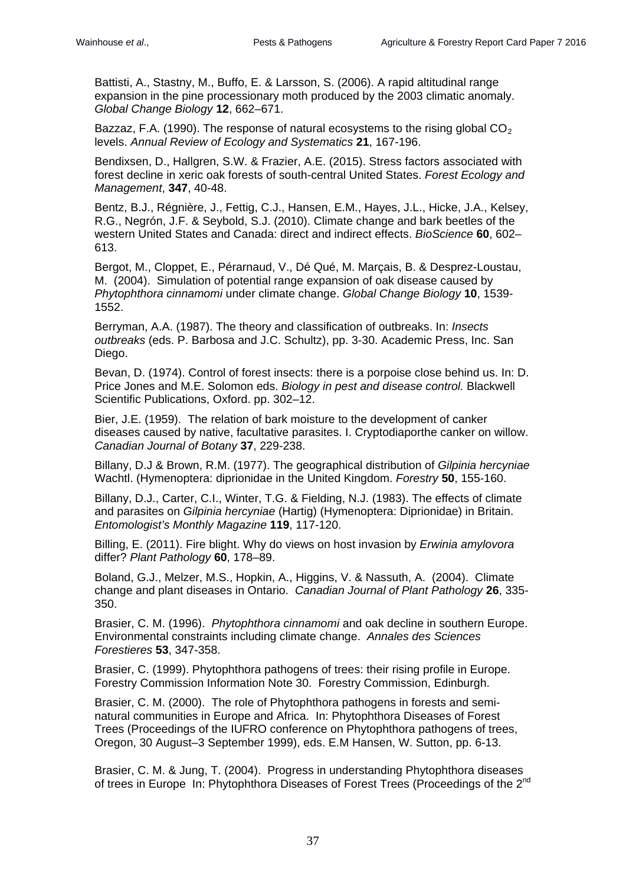Battisti, A., Stastny, M., Buffo, E. & Larsson, S. (2006). A rapid altitudinal range expansion in the pine processionary moth produced by the 2003 climatic anomaly. *Global Change Biology* **12**, 662–671.

Bazzaz, F.A. (1990). The response of natural ecosystems to the rising global  $CO<sub>2</sub>$ levels. *Annual Review of Ecology and Systematics* **21**, 167-196.

Bendixsen, D., Hallgren, S.W. & Frazier, A.E. (2015). Stress factors associated with forest decline in xeric oak forests of south-central United States. *Forest Ecology and Management*, **347**, 40-48.

Bentz, B.J., Régnière, J., Fettig, C.J., Hansen, E.M., Hayes, J.L., Hicke, J.A., Kelsey, R.G., Negrón, J.F. & Seybold, S.J. (2010). Climate change and bark beetles of the western United States and Canada: direct and indirect effects. *BioScience* **60**, 602– 613.

Bergot, M., Cloppet, E., Pérarnaud, V., Dé Qué, M. Marçais, B. & Desprez-Loustau, M. (2004). Simulation of potential range expansion of oak disease caused by *Phytophthora cinnamomi* under climate change. *Global Change Biology* **10**, 1539- 1552.

Berryman, A.A. (1987). The theory and classification of outbreaks. In: *Insects outbreaks* (eds. P. Barbosa and J.C. Schultz), pp. 3-30. Academic Press, Inc. San Diego.

Bevan, D. (1974). Control of forest insects: there is a porpoise close behind us. In: D. Price Jones and M.E. Solomon eds. *Biology in pest and disease control.* Blackwell Scientific Publications, Oxford. pp. 302–12.

Bier, J.E. (1959). The relation of bark moisture to the development of canker diseases caused by native, facultative parasites. I. Cryptodiaporthe canker on willow. *Canadian Journal of Botany* **37**, 229-238.

Billany, D.J & Brown, R.M. (1977). The geographical distribution of *Gilpinia hercyniae*  Wachtl. (Hymenoptera: diprionidae in the United Kingdom. *Forestry* **50**, 155-160.

Billany, D.J., Carter, C.I., Winter, T.G. & Fielding, N.J. (1983). The effects of climate and parasites on *Gilpinia hercyniae* (Hartig) (Hymenoptera: Diprionidae) in Britain. *Entomologist's Monthly Magazine* **119**, 117-120.

Billing, E. (2011). Fire blight. Why do views on host invasion by *Erwinia amylovora* differ? *Plant Pathology* **60**, 178–89.

Boland, G.J., Melzer, M.S., Hopkin, A., Higgins, V. & Nassuth, A. (2004). Climate change and plant diseases in Ontario. *Canadian Journal of Plant Pathology* **26**, 335- 350.

Brasier, C. M. (1996). *Phytophthora cinnamomi* and oak decline in southern Europe. Environmental constraints including climate change. *Annales des Sciences Forestieres* **53**, 347-358.

Brasier, C. (1999). Phytophthora pathogens of trees: their rising profile in Europe. Forestry Commission Information Note 30. Forestry Commission, Edinburgh.

Brasier, C. M. (2000). The role of Phytophthora pathogens in forests and seminatural communities in Europe and Africa. In: Phytophthora Diseases of Forest Trees (Proceedings of the IUFRO conference on Phytophthora pathogens of trees, Oregon, 30 August–3 September 1999), eds. E.M Hansen, W. Sutton, pp. 6-13.

Brasier, C. M. & Jung, T. (2004). Progress in understanding Phytophthora diseases of trees in Europe In: Phytophthora Diseases of Forest Trees (Proceedings of the 2<sup>nd</sup>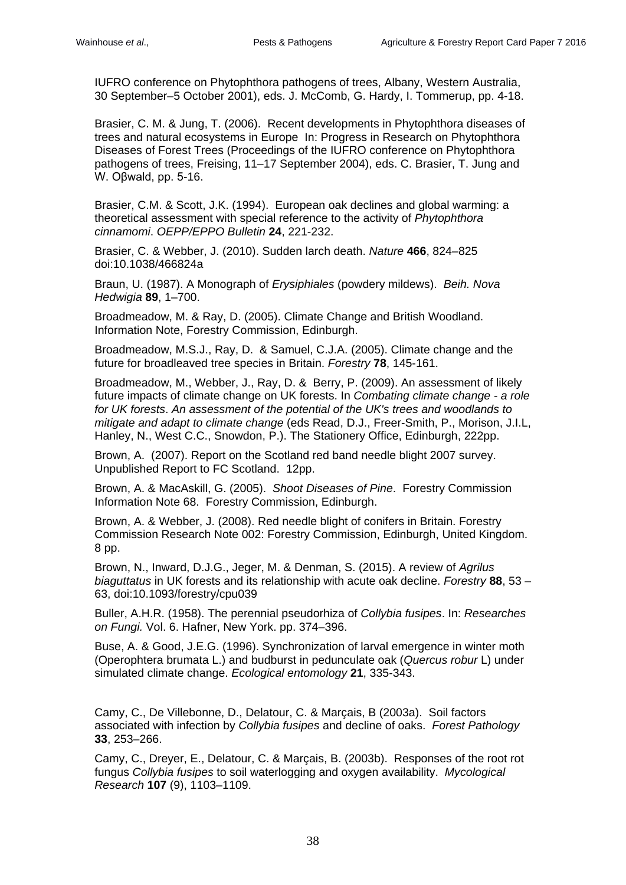IUFRO conference on Phytophthora pathogens of trees, Albany, Western Australia, 30 September–5 October 2001), eds. J. McComb, G. Hardy, I. Tommerup, pp. 4-18.

Brasier, C. M. & Jung, T. (2006). Recent developments in Phytophthora diseases of trees and natural ecosystems in Europe In: Progress in Research on Phytophthora Diseases of Forest Trees (Proceedings of the IUFRO conference on Phytophthora pathogens of trees, Freising, 11–17 September 2004), eds. C. Brasier, T. Jung and W. Oβwald, pp. 5-16.

Brasier, C.M. & Scott, J.K. (1994). European oak declines and global warming: a theoretical assessment with special reference to the activity of *Phytophthora cinnamomi*. *OEPP/EPPO Bulletin* **24**, 221-232.

Brasier, C. & Webber, J. (2010). Sudden larch death. *Nature* **466**, 824–825 doi:10.1038/466824a

Braun, U. (1987). A Monograph of *Erysiphiales* (powdery mildews). *Beih. Nova Hedwigia* **89**, 1–700.

Broadmeadow, M. & Ray, D. (2005). Climate Change and British Woodland. Information Note, Forestry Commission, Edinburgh.

Broadmeadow, M.S.J., Ray, D. & Samuel, C.J.A. (2005). Climate change and the future for broadleaved tree species in Britain. *Forestry* **78**, 145-161.

Broadmeadow, M., Webber, J., Ray, D. & Berry, P. (2009). An assessment of likely future impacts of climate change on UK forests. In *Combating climate change - a role for UK forests*. *An assessment of the potential of the UK's trees and woodlands to mitigate and adapt to climate change* (eds Read, D.J., Freer-Smith, P., Morison, J.I.L, Hanley, N., West C.C., Snowdon, P.). The Stationery Office, Edinburgh, 222pp.

Brown, A. (2007). Report on the Scotland red band needle blight 2007 survey. Unpublished Report to FC Scotland. 12pp.

Brown, A. & MacAskill, G. (2005). *Shoot Diseases of Pine*. Forestry Commission Information Note 68. Forestry Commission, Edinburgh.

Brown, A. & Webber, J. (2008). Red needle blight of conifers in Britain. Forestry Commission Research Note 002: Forestry Commission, Edinburgh, United Kingdom. 8 pp.

Brown, N., Inward, D.J.G., Jeger, M. & Denman, S. (2015). A review of *Agrilus biaguttatus* in UK forests and its relationship with acute oak decline. *Forestry* **88**, 53 – 63, doi:10.1093/forestry/cpu039

Buller, A.H.R. (1958). The perennial pseudorhiza of *Collybia fusipes*. In: *Researches on Fungi.* Vol. 6. Hafner, New York. pp. 374–396.

Buse, A. & Good, J.E.G. (1996). Synchronization of larval emergence in winter moth (Operophtera brumata L.) and budburst in pedunculate oak (*Quercus robur* L) under simulated climate change. *Ecological entomology* **21**, 335-343.

Camy, C., De Villebonne, D., Delatour, C. & Marçais, B (2003a). Soil factors associated with infection by *Collybia fusipes* and decline of oaks. *Forest Pathology* **33**, 253–266.

Camy, C., Dreyer, E., Delatour, C. & Marçais, B. (2003b). Responses of the root rot fungus *Collybia fusipes* to soil waterlogging and oxygen availability. *Mycological Research* **107** (9), 1103–1109.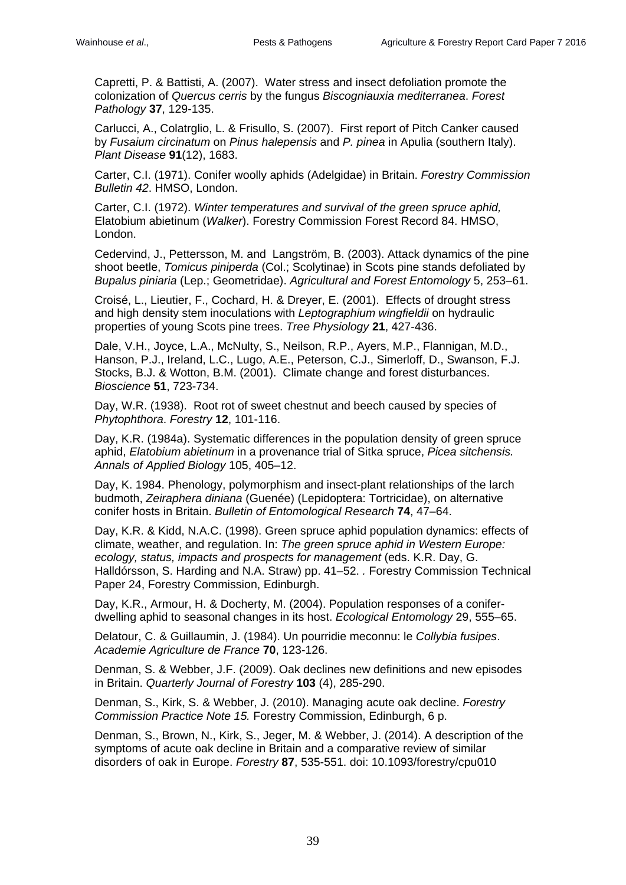Capretti, P. & Battisti, A. (2007). Water stress and insect defoliation promote the colonization of *Quercus cerris* by the fungus *Biscogniauxia mediterranea*. *Forest Pathology* **37**, 129-135.

Carlucci, A., Colatrglio, L. & Frisullo, S. (2007). First report of Pitch Canker caused by *Fusaium circinatum* on *Pinus halepensis* and *P. pinea* in Apulia (southern Italy). *Plant Disease* **91**(12), 1683.

Carter, C.I. (1971). Conifer woolly aphids (Adelgidae) in Britain. *Forestry Commission Bulletin 42*. HMSO, London.

Carter, C.I. (1972). *Winter temperatures and survival of the green spruce aphid,*  Elatobium abietinum (*Walker*). Forestry Commission Forest Record 84. HMSO, London.

Cedervind, J., Pettersson, M. and Langström, B. (2003). Attack dynamics of the pine shoot beetle, *Tomicus piniperda* (Col.; Scolytinae) in Scots pine stands defoliated by *Bupalus piniaria* (Lep.; Geometridae). *Agricultural and Forest Entomology* 5, 253–61.

Croisé, L., Lieutier, F., Cochard, H. & Dreyer, E. (2001). Effects of drought stress and high density stem inoculations with *Leptographium wingfieldii* on hydraulic properties of young Scots pine trees. *Tree Physiology* **21**, 427-436.

Dale, V.H., Joyce, L.A., McNulty, S., Neilson, R.P., Ayers, M.P., Flannigan, M.D., Hanson, P.J., Ireland, L.C., Lugo, A.E., Peterson, C.J., Simerloff, D., Swanson, F.J. Stocks, B.J. & Wotton, B.M. (2001). Climate change and forest disturbances. *Bioscience* **51**, 723-734.

Day, W.R. (1938). Root rot of sweet chestnut and beech caused by species of *Phytophthora*. *Forestry* **12**, 101-116.

Day, K.R. (1984a). Systematic differences in the population density of green spruce aphid, *Elatobium abietinum* in a provenance trial of Sitka spruce, *Picea sitchensis. Annals of Applied Biology* 105, 405–12.

Day, K. 1984. Phenology, polymorphism and insect-plant relationships of the larch budmoth, *Zeiraphera diniana* (Guenée) (Lepidoptera: Tortricidae), on alternative conifer hosts in Britain. *Bulletin of Entomological Research* **74**, 47–64.

Day, K.R. & Kidd, N.A.C. (1998). Green spruce aphid population dynamics: effects of climate, weather, and regulation. In: *The green spruce aphid in Western Europe: ecology, status, impacts and prospects for management* (eds. K.R. Day, G. Halldórsson, S. Harding and N.A. Straw) pp. 41–52. *.* Forestry Commission Technical Paper 24, Forestry Commission, Edinburgh.

Day, K.R., Armour, H. & Docherty, M. (2004). Population responses of a coniferdwelling aphid to seasonal changes in its host. *Ecological Entomology* 29, 555–65.

Delatour, C. & Guillaumin, J. (1984). Un pourridie meconnu: le *Collybia fusipes*. *Academie Agriculture de France* **70**, 123-126.

Denman, S. & Webber, J.F. (2009). Oak declines new definitions and new episodes in Britain. *Quarterly Journal of Forestry* **103** (4), 285-290.

Denman, S., Kirk, S. & Webber, J. (2010). Managing acute oak decline. *Forestry Commission Practice Note 15.* Forestry Commission, Edinburgh, 6 p.

Denman, S., Brown, N., Kirk, S., Jeger, M. & Webber, J. (2014). A description of the symptoms of acute oak decline in Britain and a comparative review of similar disorders of oak in Europe. *Forestry* **87**, 535-551. doi: 10.1093/forestry/cpu010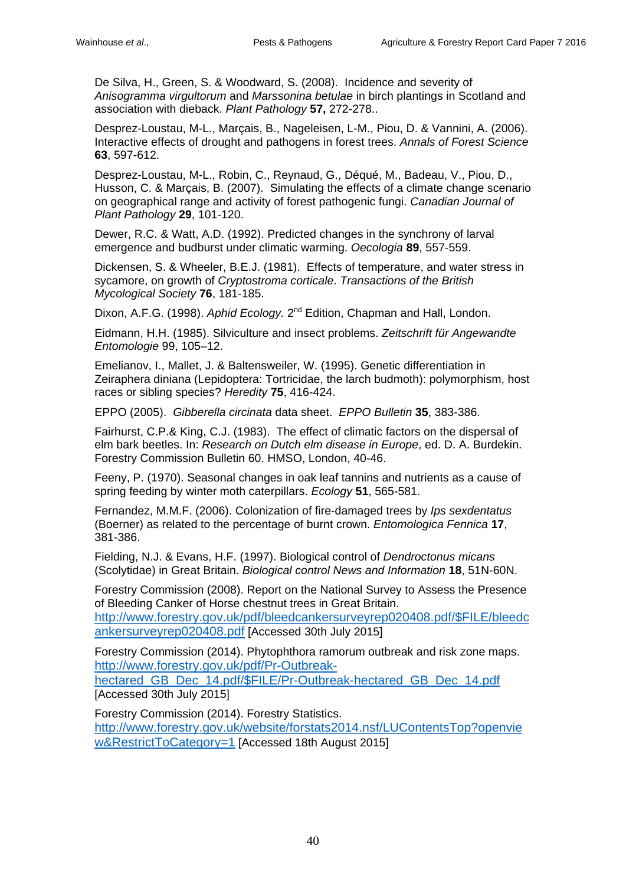De Silva, H., Green, S. & Woodward, S. (2008). Incidence and severity of *Anisogramma virgultorum* and *Marssonina betulae* in birch plantings in Scotland and association with dieback. *Plant Pathology* **57,** 272-278..

Desprez-Loustau, M-L., Marçais, B., Nageleisen, L-M., Piou, D. & Vannini, A. (2006). Interactive effects of drought and pathogens in forest trees. *Annals of Forest Science* **63**, 597-612.

Desprez-Loustau, M-L., Robin, C., Reynaud, G., Déqué, M., Badeau, V., Piou, D., Husson, C. & Marçais, B. (2007). Simulating the effects of a climate change scenario on geographical range and activity of forest pathogenic fungi. *Canadian Journal of Plant Pathology* **29**, 101-120.

Dewer, R.C. & Watt, A.D. (1992). Predicted changes in the synchrony of larval emergence and budburst under climatic warming. *Oecologia* **89**, 557-559.

Dickensen, S. & Wheeler, B.E.J. (1981). Effects of temperature, and water stress in sycamore, on growth of *Cryptostroma corticale*. *Transactions of the British Mycological Society* **76**, 181-185.

Dixon, A.F.G. (1998). *Aphid Ecology.* 2<sup>nd</sup> Edition, Chapman and Hall, London.

Eidmann, H.H. (1985). Silviculture and insect problems. *Zeitschrift für Angewandte Entomologie* 99, 105–12.

Emelianov, I., Mallet, J. & Baltensweiler, W. (1995). Genetic differentiation in Zeiraphera diniana (Lepidoptera: Tortricidae, the larch budmoth): polymorphism, host races or sibling species? *Heredity* **75**, 416-424.

EPPO (2005). *Gibberella circinata* data sheet. *EPPO Bulletin* **35**, 383-386.

Fairhurst, C.P.& King, C.J. (1983). The effect of climatic factors on the dispersal of elm bark beetles. In: *Research on Dutch elm disease in Europe*, ed. D. A. Burdekin. Forestry Commission Bulletin 60. HMSO, London, 40-46.

Feeny, P. (1970). Seasonal changes in oak leaf tannins and nutrients as a cause of spring feeding by winter moth caterpillars. *Ecology* **51**, 565-581.

Fernandez, M.M.F. (2006). Colonization of fire-damaged trees by *Ips sexdentatus*  (Boerner) as related to the percentage of burnt crown. *Entomologica Fennica* **17**, 381-386.

Fielding, N.J. & Evans, H.F. (1997). Biological control of *Dendroctonus micans* (Scolytidae) in Great Britain. *Biological control News and Information* **18**, 51N-60N.

Forestry Commission (2008). Report on the National Survey to Assess the Presence of Bleeding Canker of Horse chestnut trees in Great Britain.

[http://www.forestry.gov.uk/pdf/bleedcankersurveyrep020408.pdf/\\$FILE/bleedc](http://www.forestry.gov.uk/pdf/bleedcankersurveyrep020408.pdf/$FILE/bleedcankersurveyrep020408.pdf) [ankersurveyrep020408.pdf](http://www.forestry.gov.uk/pdf/bleedcankersurveyrep020408.pdf/$FILE/bleedcankersurveyrep020408.pdf) [Accessed 30th July 2015]

Forestry Commission (2014). Phytophthora ramorum outbreak and risk zone maps. [http://www.forestry.gov.uk/pdf/Pr-Outbreak-](http://www.forestry.gov.uk/pdf/Pr-Outbreak-hectared_GB_Dec_14.pdf/$FILE/Pr-Outbreak-hectared_GB_Dec_14.pdf)

hectared GB\_Dec\_14.pdf/\$FILE/Pr-Outbreak-hectared GB\_Dec\_14.pdf [Accessed 30th July 2015]

Forestry Commission (2014). Forestry Statistics. [http://www.forestry.gov.uk/website/forstats2014.nsf/LUContentsTop?openvie](http://www.forestry.gov.uk/website/forstats2014.nsf/LUContentsTop?openview&RestrictToCategory=1) [w&RestrictToCategory=1](http://www.forestry.gov.uk/website/forstats2014.nsf/LUContentsTop?openview&RestrictToCategory=1) [Accessed 18th August 2015]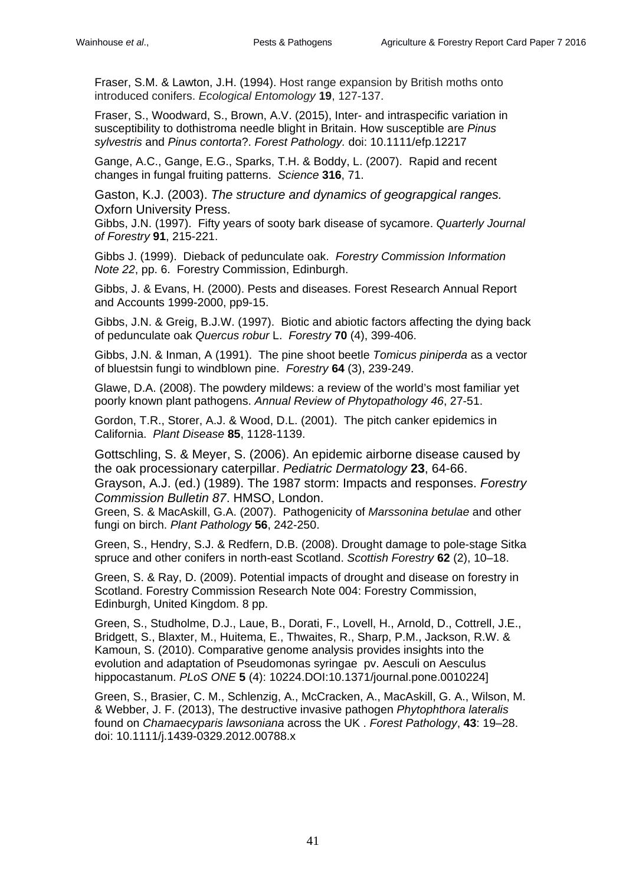Fraser, S.M. & Lawton, J.H. (1994). Host range expansion by British moths onto introduced conifers. *Ecological Entomology* **19**, 127-137.

Fraser, S., Woodward, S., Brown, A.V. (2015), Inter- and intraspecific variation in susceptibility to dothistroma needle blight in Britain. How susceptible are *Pinus sylvestris* and *Pinus contorta*?. *Forest Pathology.* doi: 10.1111/efp.12217

Gange, A.C., Gange, E.G., Sparks, T.H. & Boddy, L. (2007). Rapid and recent changes in fungal fruiting patterns. *Science* **316**, 71.

Gaston, K.J. (2003). *The structure and dynamics of geograpgical ranges.* Oxforn University Press.

Gibbs, J.N. (1997). Fifty years of sooty bark disease of sycamore. *Quarterly Journal of Forestry* **91**, 215-221.

Gibbs J. (1999). Dieback of pedunculate oak. *Forestry Commission Information Note 22*, pp. 6. Forestry Commission, Edinburgh.

Gibbs, J. & Evans, H. (2000). Pests and diseases. Forest Research Annual Report and Accounts 1999-2000, pp9-15.

Gibbs, J.N. & Greig, B.J.W. (1997). Biotic and abiotic factors affecting the dying back of pedunculate oak *Quercus robur* L. *Forestry* **70** (4), 399-406.

Gibbs, J.N. & Inman, A (1991). The pine shoot beetle *Tomicus piniperda* as a vector of bluestsin fungi to windblown pine. *Forestry* **64** (3), 239-249.

Glawe, D.A. (2008). The powdery mildews: a review of the world's most familiar yet poorly known plant pathogens. *Annual Review of Phytopathology 46*, 27-51.

Gordon, T.R., Storer, A.J. & Wood, D.L. (2001). The pitch canker epidemics in California. *Plant Disease* **85**, 1128-1139.

Gottschling, S. & Meyer, S. (2006). An epidemic airborne disease caused by the oak processionary caterpillar. *Pediatric Dermatology* **23**, 64-66. Grayson, A.J. (ed.) (1989). The 1987 storm: Impacts and responses. *Forestry Commission Bulletin 87*. HMSO, London.

Green, S. & MacAskill, G.A. (2007). Pathogenicity of *Marssonina betulae* and other fungi on birch. *Plant Pathology* **56**, 242-250.

Green, S., Hendry, S.J. & Redfern, D.B. (2008). Drought damage to pole-stage Sitka spruce and other conifers in north-east Scotland. *Scottish Forestry* **62** (2), 10–18.

Green, S. & Ray, D. (2009). Potential impacts of drought and disease on forestry in Scotland. Forestry Commission Research Note 004: Forestry Commission, Edinburgh, United Kingdom. 8 pp.

Green, S., Studholme, D.J., Laue, B., Dorati, F., Lovell, H., Arnold, D., Cottrell, J.E., Bridgett, S., Blaxter, M., Huitema, E., Thwaites, R., Sharp, P.M., Jackson, R.W. & Kamoun, S. (2010). Comparative genome analysis provides insights into the evolution and adaptation of Pseudomonas syringae pv. Aesculi on Aesculus hippocastanum. *PLoS ONE* **5** (4): 10224.DOI:10.1371/journal.pone.0010224]

Green, S., Brasier, C. M., Schlenzig, A., McCracken, A., MacAskill, G. A., Wilson, M. & Webber, J. F. (2013), The destructive invasive pathogen *Phytophthora lateralis* found on *Chamaecyparis lawsoniana* across the UK . *Forest Pathology*, **43**: 19–28. doi: 10.1111/j.1439-0329.2012.00788.x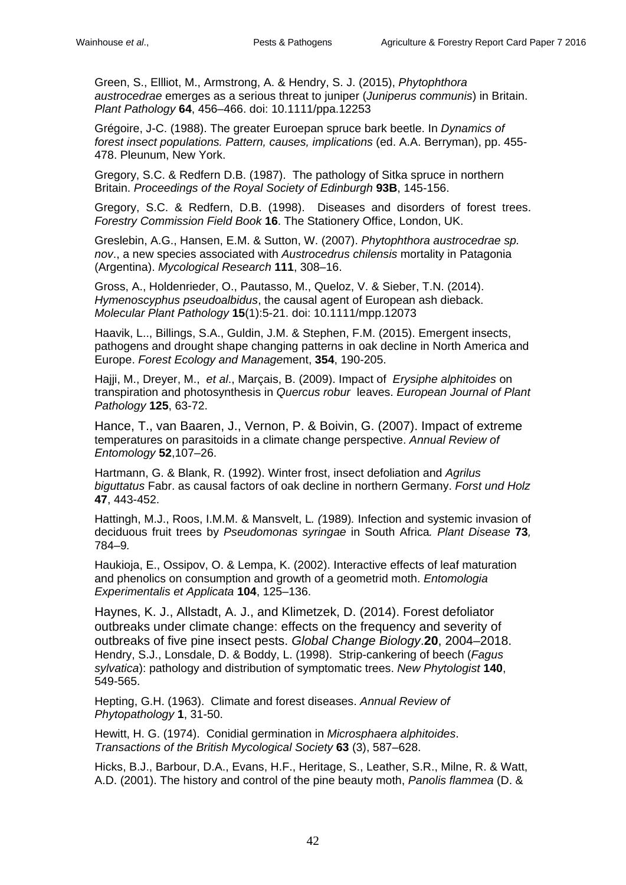Green, S., Ellliot, M., Armstrong, A. & Hendry, S. J. (2015), *Phytophthora austrocedrae* emerges as a serious threat to juniper (*Juniperus communis*) in Britain. *Plant Pathology* **64**, 456–466. doi: 10.1111/ppa.12253

Grégoire, J-C. (1988). The greater Euroepan spruce bark beetle. In *Dynamics of forest insect populations. Pattern, causes, implications* (ed. A.A. Berryman), pp. 455- 478. Pleunum, New York.

Gregory, S.C. & Redfern D.B. (1987). The pathology of Sitka spruce in northern Britain. *Proceedings of the Royal Society of Edinburgh* **93B**, 145-156.

Gregory, S.C. & Redfern, D.B. (1998). Diseases and disorders of forest trees. *Forestry Commission Field Book* **16**. The Stationery Office, London, UK.

Greslebin, A.G., Hansen, E.M. & Sutton, W. (2007). *Phytophthora austrocedrae sp. nov*., a new species associated with *Austrocedrus chilensis* mortality in Patagonia (Argentina). *Mycological Research* **111**, 308–16.

Gross, A., Holdenrieder, O., Pautasso, M., Queloz, V. & Sieber, T.N. (2014). *Hymenoscyphus pseudoalbidus*, the causal agent of European ash dieback. *Molecular Plant Pathology* **15**(1):5-21. doi: 10.1111/mpp.12073

Haavik, L.., Billings, S.A., Guldin, J.M. & Stephen, F.M. (2015). Emergent insects, pathogens and drought shape changing patterns in oak decline in North America and Europe. *Forest Ecology and Manage*ment, **354**, 190-205.

Hajji, M., Dreyer, M., *et al*., Marçais, B. (2009). Impact of *Erysiphe alphitoides* on transpiration and photosynthesis in *Quercus robur* leaves. *European Journal of Plant Pathology* **125**, 63-72.

Hance, T., van Baaren, J., Vernon, P. & Boivin, G. (2007). Impact of extreme temperatures on parasitoids in a climate change perspective. *Annual Review of Entomology* **52**,107–26.

Hartmann, G. & Blank, R. (1992). Winter frost, insect defoliation and *Agrilus biguttatus* Fabr. as causal factors of oak decline in northern Germany. *Forst und Holz*  **47**, 443-452.

Hattingh, M.J., Roos, I.M.M. & Mansvelt, L*. (*1989)*.* Infection and systemic invasion of deciduous fruit trees by *Pseudomonas syringae* in South Africa*. Plant Disease* **73***,*  784*–*9*.*

Haukioja, E., Ossipov, O. & Lempa, K. (2002). Interactive effects of leaf maturation and phenolics on consumption and growth of a geometrid moth. *Entomologia Experimentalis et Applicata* **104**, 125–136.

Haynes, K. J., Allstadt, A. J., and Klimetzek, D. (2014). Forest defoliator outbreaks under climate change: effects on the frequency and severity of outbreaks of five pine insect pests. *Global Change Biology*.**20**, 2004–2018. Hendry, S.J., Lonsdale, D. & Boddy, L. (1998). Strip-cankering of beech (*Fagus sylvatica*): pathology and distribution of symptomatic trees. *New Phytologist* **140**, 549-565.

Hepting, G.H. (1963). Climate and forest diseases. *Annual Review of Phytopathology* **1**, 31-50.

Hewitt, H. G. (1974). Conidial germination in *Microsphaera alphitoides*. *Transactions of the British Mycological Society* **63** (3), 587–628.

Hicks, B.J., Barbour, D.A., Evans, H.F., Heritage, S., Leather, S.R., Milne, R. & Watt, A.D. (2001). The history and control of the pine beauty moth, *Panolis flammea* (D. &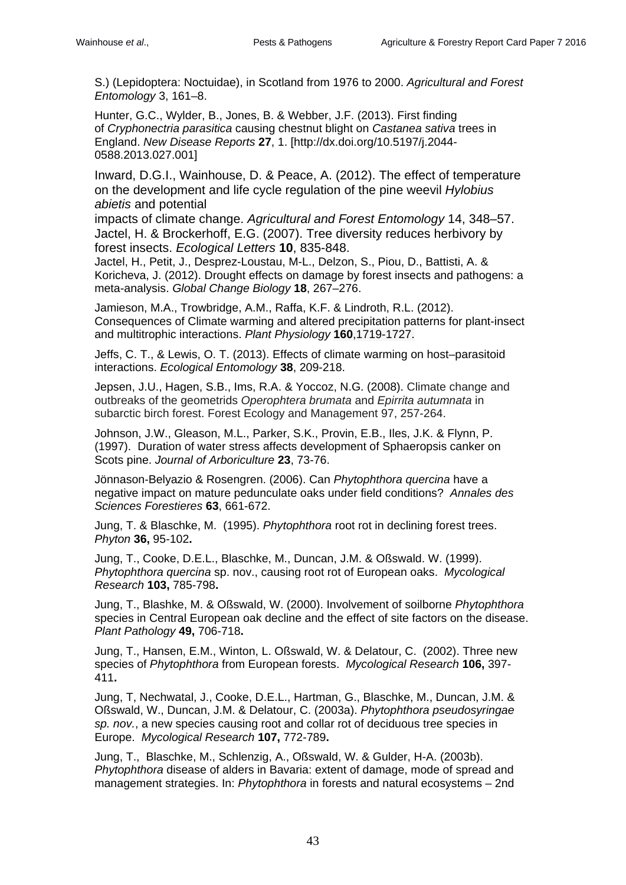S.) (Lepidoptera: Noctuidae), in Scotland from 1976 to 2000. *Agricultural and Forest Entomology* 3, 161–8.

Hunter, G.C., Wylder, B., Jones, B. & Webber, J.F. (2013). First finding of *Cryphonectria parasitica* causing chestnut blight on *Castanea sativa* trees in England. *New Disease Reports* **27**, 1. [http://dx.doi.org/10.5197/j.2044- 0588.2013.027.001]

Inward, D.G.I., Wainhouse, D. & Peace, A. (2012). The effect of temperature on the development and life cycle regulation of the pine weevil *Hylobius abietis* and potential

impacts of climate change. *Agricultural and Forest Entomology* 14, 348–57. Jactel, H. & Brockerhoff, E.G. (2007). Tree diversity reduces herbivory by forest insects. *Ecological Letters* **10**, 835-848.

Jactel, H., Petit, J., Desprez-Loustau, M-L., Delzon, S., Piou, D., Battisti, A. & Koricheva, J. (2012). Drought effects on damage by forest insects and pathogens: a meta-analysis. *Global Change Biology* **18**, 267–276.

Jamieson, M.A., Trowbridge, A.M., Raffa, K.F. & Lindroth, R.L. (2012). Consequences of Climate warming and altered precipitation patterns for plant-insect and multitrophic interactions. *Plant Physiology* **160**,1719-1727.

Jeffs, C. T., & Lewis, O. T. (2013). Effects of climate warming on host–parasitoid interactions. *Ecological Entomology* **38**, 209-218.

Jepsen, J.U., Hagen, S.B., Ims, R.A. & Yoccoz, N.G. (2008). Climate change and outbreaks of the geometrids *Operophtera brumata* and *Epirrita autumnata* in subarctic birch forest. Forest Ecology and Management 97, 257-264.

Johnson, J.W., Gleason, M.L., Parker, S.K., Provin, E.B., Iles, J.K. & Flynn, P. (1997). Duration of water stress affects development of Sphaeropsis canker on Scots pine. *Journal of Arboriculture* **23**, 73-76.

Jönnason-Belyazio & Rosengren. (2006). Can *Phytophthora quercina* have a negative impact on mature pedunculate oaks under field conditions? *Annales des Sciences Forestieres* **63**, 661-672.

Jung, T. & Blaschke, M. (1995). *Phytophthora* root rot in declining forest trees. *Phyton* **36,** 95-102**.**

Jung, T., Cooke, D.E.L., Blaschke, M., Duncan, J.M. & Oßswald. W. (1999). *Phytophthora quercina* sp. nov., causing root rot of European oaks. *Mycological Research* **103,** 785-798**.**

Jung, T., Blashke, M. & Oßswald, W. (2000). Involvement of soilborne *Phytophthora* species in Central European oak decline and the effect of site factors on the disease. *Plant Pathology* **49,** 706-718**.**

Jung, T., Hansen, E.M., Winton, L. Oßswald, W. & Delatour, C. (2002). Three new species of *Phytophthora* from European forests. *Mycological Research* **106,** 397- 411**.**

Jung, T, Nechwatal, J., Cooke, D.E.L., Hartman, G., Blaschke, M., Duncan, J.M. & Oßswald, W., Duncan, J.M. & Delatour, C. (2003a). *Phytophthora pseudosyringae sp. nov.*, a new species causing root and collar rot of deciduous tree species in Europe. *Mycological Research* **107,** 772-789**.**

Jung, T., Blaschke, M., Schlenzig, A., Oßswald, W. & Gulder, H-A. (2003b). *Phytophthora* disease of alders in Bavaria: extent of damage, mode of spread and management strategies. In: *Phytophthora* in forests and natural ecosystems – 2nd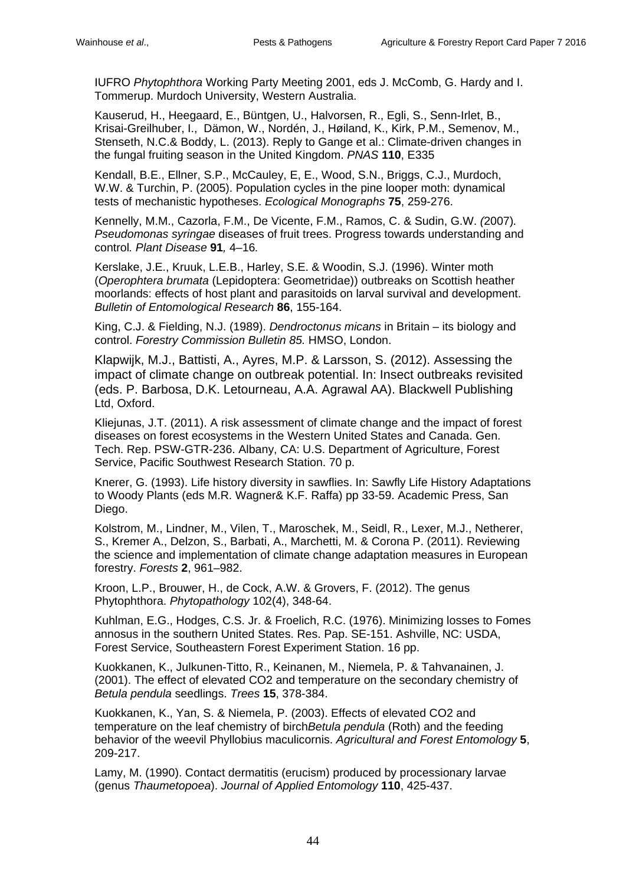IUFRO *Phytophthora* Working Party Meeting 2001, eds J. McComb, G. Hardy and I. Tommerup. Murdoch University, Western Australia.

Kauserud, H., Heegaard, E., Büntgen, U., Halvorsen, R., Egli, S., Senn-Irlet, B., Krisai-Greilhuber, I., Dämon, W., Nordén, J., Høiland, K., Kirk, P.M., Semenov, M., Stenseth, N.C.& Boddy, L. (2013). Reply to Gange et al.: Climate-driven changes in the fungal fruiting season in the United Kingdom. *PNAS* **110**, E335

Kendall, B.E., Ellner, S.P., McCauley, E, E., Wood, S.N., Briggs, C.J., Murdoch, W.W. & Turchin, P. (2005). Population cycles in the pine looper moth: dynamical tests of mechanistic hypotheses. *Ecological Monographs* **75**, 259-276.

Kennelly, M.M., Cazorla, F.M., De Vicente, F.M., Ramos, C. & Sudin, G.W. *(*2007)*. Pseudomonas syringae* diseases of fruit trees. Progress towards understanding and control*. Plant Disease* **91***,* 4*–*16*.*

Kerslake, J.E., Kruuk, L.E.B., Harley, S.E. & Woodin, S.J. (1996). Winter moth (*Operophtera brumata* (Lepidoptera: Geometridae)) outbreaks on Scottish heather moorlands: effects of host plant and parasitoids on larval survival and development. *Bulletin of Entomological Research* **86**, 155-164.

King, C.J. & Fielding, N.J. (1989). *Dendroctonus micans* in Britain – its biology and control. *Forestry Commission Bulletin 85.* HMSO, London.

Klapwijk, M.J., Battisti, A., Ayres, M.P. & Larsson, S. (2012). Assessing the impact of climate change on outbreak potential. In: Insect outbreaks revisited (eds. P. Barbosa, D.K. Letourneau, A.A. Agrawal AA). Blackwell Publishing Ltd, Oxford.

Kliejunas, J.T. (2011). A risk assessment of climate change and the impact of forest diseases on forest ecosystems in the Western United States and Canada. Gen. Tech. Rep. PSW-GTR-236. Albany, CA: U.S. Department of Agriculture, Forest Service, Pacific Southwest Research Station. 70 p.

Knerer, G. (1993). Life history diversity in sawflies. In: Sawfly Life History Adaptations to Woody Plants (eds M.R. Wagner& K.F. Raffa) pp 33-59. Academic Press, San Diego.

Kolstrom, M., Lindner, M., Vilen, T., Maroschek, M., Seidl, R., Lexer, M.J., Netherer, S., Kremer A., Delzon, S., Barbati, A., Marchetti, M. & Corona P. (2011). Reviewing the science and implementation of climate change adaptation measures in European forestry. *Forests* **2**, 961–982.

Kroon, L.P., Brouwer, H., de Cock, A.W. & Grovers, F. (2012). The genus Phytophthora. *Phytopathology* 102(4), 348-64.

Kuhlman, E.G., Hodges, C.S. Jr. & Froelich, R.C. (1976). Minimizing losses to Fomes annosus in the southern United States. Res. Pap. SE-151. Ashville, NC: USDA, Forest Service, Southeastern Forest Experiment Station. 16 pp.

Kuokkanen, K., Julkunen-Titto, R., Keinanen, M., Niemela, P. & Tahvanainen, J. (2001). The effect of elevated CO2 and temperature on the secondary chemistry of *Betula pendula* seedlings. *Trees* **15**, 378-384.

Kuokkanen, K., Yan, S. & Niemela, P. (2003). Effects of elevated CO2 and temperature on the leaf chemistry of birch*Betula pendula* (Roth) and the feeding behavior of the weevil Phyllobius maculicornis. *Agricultural and Forest Entomology* **5**, 209-217.

Lamy, M. (1990). Contact dermatitis (erucism) produced by processionary larvae (genus *Thaumetopoea*). *Journal of Applied Entomology* **110**, 425-437.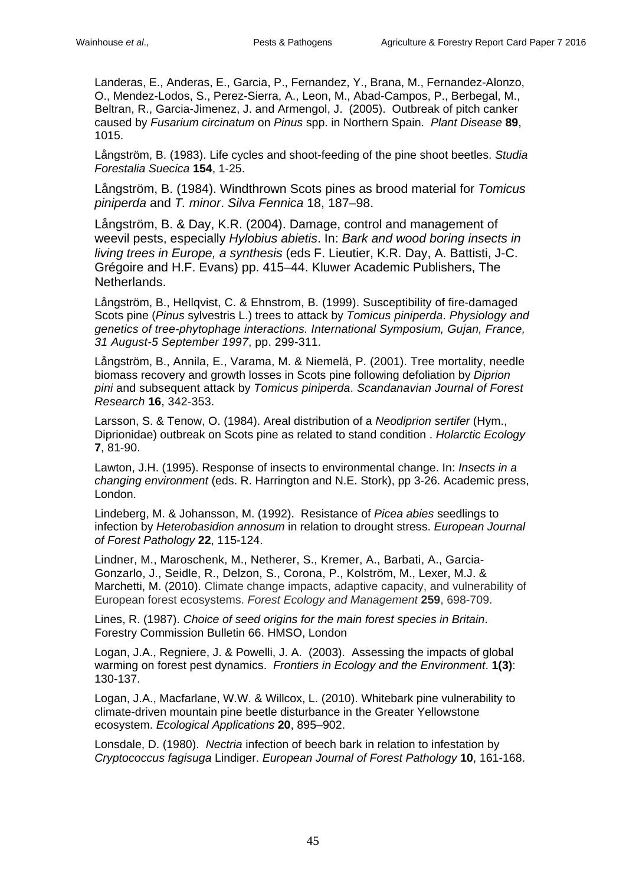Landeras, E., Anderas, E., Garcia, P., Fernandez, Y., Brana, M., Fernandez-Alonzo, O., Mendez-Lodos, S., Perez-Sierra, A., Leon, M., Abad-Campos, P., Berbegal, M., Beltran, R., Garcia-Jimenez, J. and Armengol, J. (2005). Outbreak of pitch canker caused by *Fusarium circinatum* on *Pinus* spp. in Northern Spain. *Plant Disease* **89**, 1015.

Långström, B. (1983). Life cycles and shoot-feeding of the pine shoot beetles. *Studia Forestalia Suecica* **154**, 1-25.

Långström, B. (1984). Windthrown Scots pines as brood material for *Tomicus piniperda* and *T. minor*. *Silva Fennica* 18, 187–98.

Långström, B. & Day, K.R. (2004). Damage, control and management of weevil pests, especially *Hylobius abietis*. In: *Bark and wood boring insects in living trees in Europe, a synthesis* (eds F. Lieutier, K.R. Day, A. Battisti, J-C. Grégoire and H.F. Evans) pp. 415–44. Kluwer Academic Publishers, The Netherlands.

Långström, B., Hellqvist, C. & Ehnstrom, B. (1999). Susceptibility of fire-damaged Scots pine (*Pinus* sylvestris L.) trees to attack by *Tomicus piniperda*. *Physiology and genetics of tree-phytophage interactions. International Symposium, Gujan, France, 31 August-5 September 1997*, pp. 299-311.

Långström, B., Annila, E., Varama, M. & Niemelä, P. (2001). Tree mortality, needle biomass recovery and growth losses in Scots pine following defoliation by *Diprion pini* and subsequent attack by *Tomicus piniperda*. *Scandanavian Journal of Forest Research* **16**, 342-353.

Larsson, S. & Tenow, O. (1984). Areal distribution of a *Neodiprion sertifer* (Hym., Diprionidae) outbreak on Scots pine as related to stand condition . *Holarctic Ecology* **7**, 81-90.

Lawton, J.H. (1995). Response of insects to environmental change. In: *Insects in a changing environment* (eds. R. Harrington and N.E. Stork), pp 3-26. Academic press, London.

Lindeberg, M. & Johansson, M. (1992). Resistance of *Picea abies* seedlings to infection by *Heterobasidion annosum* in relation to drought stress. *European Journal of Forest Pathology* **22**, 115-124.

Lindner, M., Maroschenk, M., Netherer, S., Kremer, A., Barbati, A., Garcia-Gonzarlo, J., Seidle, R., Delzon, S., Corona, P., Kolström, M., Lexer, M.J. & Marchetti, M. (2010). Climate change impacts, adaptive capacity, and vulnerability of European forest ecosystems. *Forest Ecology and Management* **259**, 698-709.

Lines, R. (1987). *Choice of seed origins for the main forest species in Britain*. Forestry Commission Bulletin 66. HMSO, London

Logan, J.A., Regniere, J. & Powelli, J. A. (2003). Assessing the impacts of global warming on forest pest dynamics. *Frontiers in Ecology and the Environment*. **1(3)**: 130-137.

Logan, J.A., Macfarlane, W.W. & Willcox, L. (2010). Whitebark pine vulnerability to climate-driven mountain pine beetle disturbance in the Greater Yellowstone ecosystem. *Ecological Applications* **20**, 895–902.

Lonsdale, D. (1980). *Nectria* infection of beech bark in relation to infestation by *Cryptococcus fagisuga* Lindiger. *European Journal of Forest Pathology* **10**, 161-168.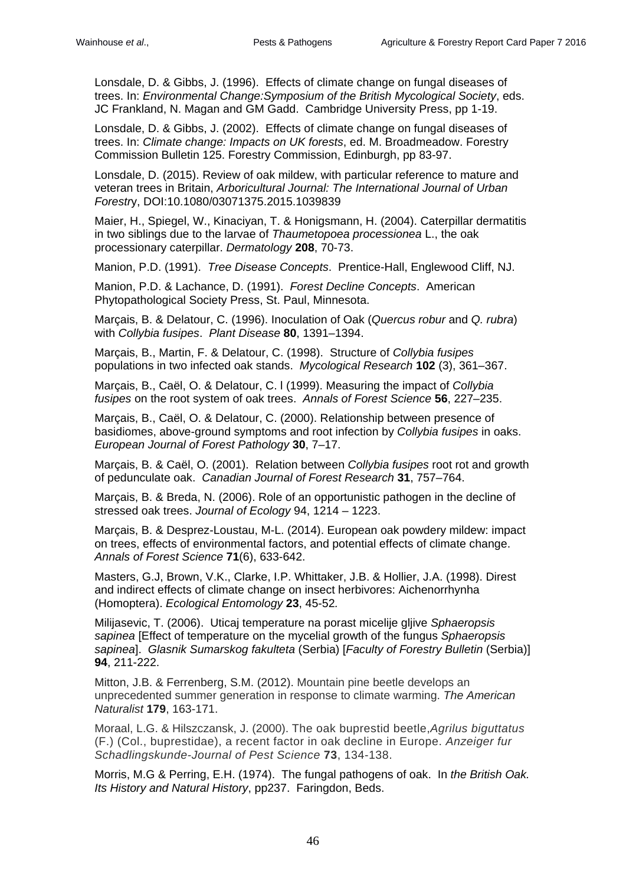Lonsdale, D. & Gibbs, J. (1996). Effects of climate change on fungal diseases of trees. In: *Environmental Change:Symposium of the British Mycological Society*, eds. JC Frankland, N. Magan and GM Gadd. Cambridge University Press, pp 1-19.

Lonsdale, D. & Gibbs, J. (2002). Effects of climate change on fungal diseases of trees. In: *Climate change: Impacts on UK forests*, ed. M. Broadmeadow. Forestry Commission Bulletin 125. Forestry Commission, Edinburgh, pp 83-97.

Lonsdale, D. (2015). Review of oak mildew, with particular reference to mature and veteran trees in Britain, *Arboricultural Journal: The International Journal of Urban Forestr*y, DOI:10.1080/03071375.2015.1039839

Maier, H., Spiegel, W., Kinaciyan, T. & Honigsmann, H. (2004). Caterpillar dermatitis in two siblings due to the larvae of *Thaumetopoea processionea* L., the oak processionary caterpillar. *Dermatology* **208**, 70-73.

Manion, P.D. (1991). *Tree Disease Concepts*. Prentice-Hall, Englewood Cliff, NJ.

Manion, P.D. & Lachance, D. (1991). *Forest Decline Concepts*. American Phytopathological Society Press, St. Paul, Minnesota.

Marçais, B. & Delatour, C. (1996). Inoculation of Oak (*Quercus robur* and *Q. rubra*) with *Collybia fusipes*. *Plant Disease* **80**, 1391–1394.

Marçais, B., Martin, F. & Delatour, C. (1998). Structure of *Collybia fusipes* populations in two infected oak stands. *Mycological Research* **102** (3), 361–367.

Marçais, B., Caël, O. & Delatour, C. l (1999). Measuring the impact of *Collybia fusipes* on the root system of oak trees. *Annals of Forest Science* **56**, 227–235.

Marçais, B., Caël, O. & Delatour, C. (2000). Relationship between presence of basidiomes, above-ground symptoms and root infection by *Collybia fusipes* in oaks. *European Journal of Forest Pathology* **30**, 7–17.

Marçais, B. & Caël, O. (2001). Relation between *Collybia fusipes* root rot and growth of pedunculate oak. *Canadian Journal of Forest Research* **31**, 757–764.

Marçais, B. & Breda, N. (2006). Role of an opportunistic pathogen in the decline of stressed oak trees. *Journal of Ecology* 94, 1214 – 1223.

Marçais, B. & Desprez-Loustau, M-L. (2014). European oak powdery mildew: impact on trees, effects of environmental factors, and potential effects of climate change. *Annals of Forest Science* **71**(6), 633-642.

Masters, G.J, Brown, V.K., Clarke, I.P. Whittaker, J.B. & Hollier, J.A. (1998). Direst and indirect effects of climate change on insect herbivores: Aichenorrhynha (Homoptera). *Ecological Entomology* **23**, 45-52*.*

Milijasevic, T. (2006). Uticaj temperature na porast micelije gljive *Sphaeropsis sapinea* [Effect of temperature on the mycelial growth of the fungus *Sphaeropsis sapinea*]. *Glasnik Sumarskog fakulteta* (Serbia) [*Faculty of Forestry Bulletin* (Serbia)] **94**, 211-222.

Mitton, J.B. & Ferrenberg, S.M. (2012). Mountain pine beetle develops an unprecedented summer generation in response to climate warming. *The American Naturalist* **179**, 163-171.

Moraal, L.G. & Hilszczansk, J. (2000). The oak buprestid beetle,*Agrilus biguttatus* (F.) (Col., buprestidae), a recent factor in oak decline in Europe. *Anzeiger fur Schadlingskunde-Journal of Pest Science* **73**, 134-138.

Morris, M.G & Perring, E.H. (1974). The fungal pathogens of oak. In *the British Oak. Its History and Natural History*, pp237. Faringdon, Beds.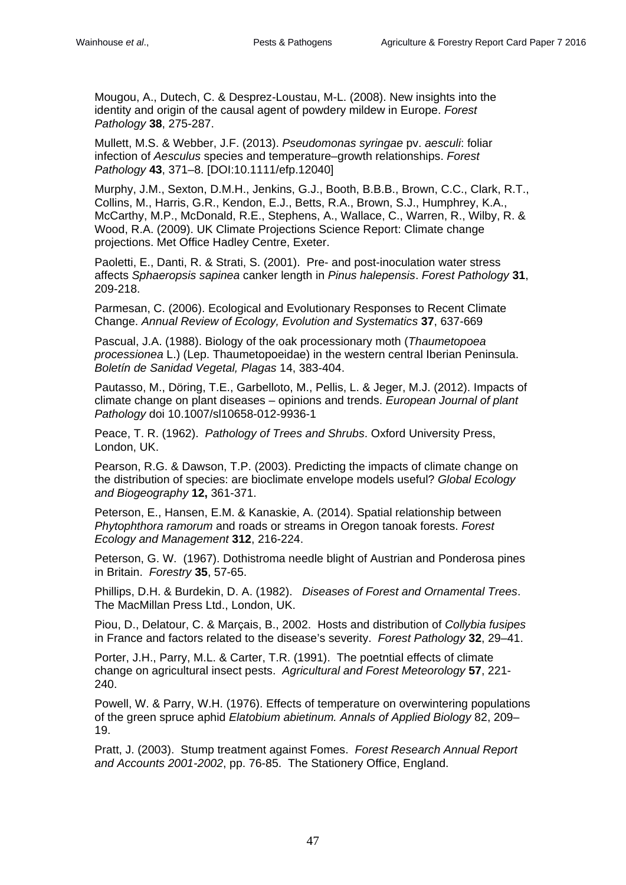Mougou, A., Dutech, C. & Desprez-Loustau, M-L. (2008). New insights into the identity and origin of the causal agent of powdery mildew in Europe. *Forest Pathology* **38**, 275-287.

Mullett, M.S. & Webber, J.F. (2013). *Pseudomonas syringae* pv. *aesculi*: foliar infection of *Aesculus* species and temperature–growth relationships. *Forest Pathology* **43**, 371–8. [DOI:10.1111/efp.12040]

Murphy, J.M., Sexton, D.M.H., Jenkins, G.J., Booth, B.B.B., Brown, C.C., Clark, R.T., Collins, M., Harris, G.R., Kendon, E.J., Betts, R.A., Brown, S.J., Humphrey, K.A., McCarthy, M.P., McDonald, R.E., Stephens, A., Wallace, C., Warren, R., Wilby, R. & Wood, R.A. (2009). UK Climate Projections Science Report: Climate change projections. Met Office Hadley Centre, Exeter.

Paoletti, E., Danti, R. & Strati, S. (2001). Pre- and post-inoculation water stress affects *Sphaeropsis sapinea* canker length in *Pinus halepensis*. *Forest Pathology* **31**, 209-218.

Parmesan, C. (2006). Ecological and Evolutionary Responses to Recent Climate Change. *Annual Review of Ecology, Evolution and Systematics* **37**, 637-669

Pascual, J.A. (1988). Biology of the oak processionary moth (*Thaumetopoea processionea* L.) (Lep. Thaumetopoeidae) in the western central Iberian Peninsula. *Boletín de Sanidad Vegetal, Plagas* 14, 383-404.

Pautasso, M., Döring, T.E., Garbelloto, M., Pellis, L. & Jeger, M.J. (2012). Impacts of climate change on plant diseases – opinions and trends. *European Journal of plant Pathology* doi 10.1007/sl10658-012-9936-1

Peace, T. R. (1962). *Pathology of Trees and Shrubs*. Oxford University Press, London, UK.

Pearson, R.G. & Dawson, T.P. (2003). Predicting the impacts of climate change on the distribution of species: are bioclimate envelope models useful? *Global Ecology and Biogeography* **12,** 361-371.

Peterson, E., Hansen, E.M. & Kanaskie, A. (2014). Spatial relationship between *Phytophthora ramorum* and roads or streams in Oregon tanoak forests. *Forest Ecology and Management* **312**, 216-224.

Peterson, G. W. (1967). Dothistroma needle blight of Austrian and Ponderosa pines in Britain. *Forestry* **35**, 57-65.

Phillips, D.H. & Burdekin, D. A. (1982). *Diseases of Forest and Ornamental Trees*. The MacMillan Press Ltd., London, UK.

Piou, D., Delatour, C. & Marçais, B., 2002. Hosts and distribution of *Collybia fusipes* in France and factors related to the disease's severity. *Forest Pathology* **32**, 29–41.

Porter, J.H., Parry, M.L. & Carter, T.R. (1991). The poetntial effects of climate change on agricultural insect pests. *Agricultural and Forest Meteorology* **57**, 221- 240.

Powell, W. & Parry, W.H. (1976). Effects of temperature on overwintering populations of the green spruce aphid *Elatobium abietinum. Annals of Applied Biology* 82, 209– 19.

Pratt, J. (2003). Stump treatment against Fomes. *Forest Research Annual Report and Accounts 2001-2002*, pp. 76-85. The Stationery Office, England.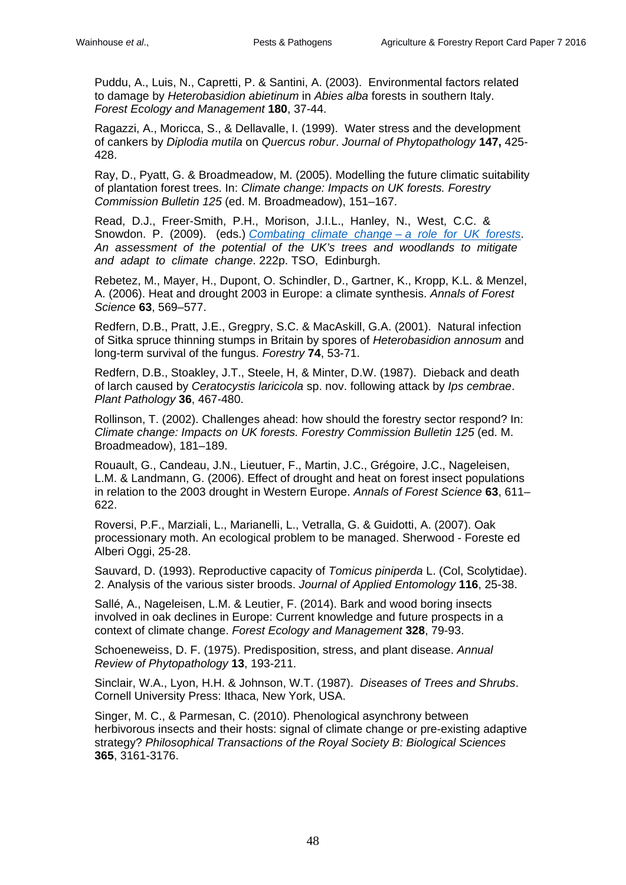Puddu, A., Luis, N., Capretti, P. & Santini, A. (2003). Environmental factors related to damage by *Heterobasidion abietinum* in *Abies alba* forests in southern Italy. *Forest Ecology and Management* **180**, 37-44.

Ragazzi, A., Moricca, S., & Dellavalle, I. (1999). Water stress and the development of cankers by *Diplodia mutila* on *Quercus robur*. *Journal of Phytopathology* **147,** 425- 428.

Ray, D., Pyatt, G. & Broadmeadow, M. (2005). Modelling the future climatic suitability of plantation forest trees. In: *Climate change: Impacts on UK forests. Forestry Commission Bulletin 125* (ed. M. Broadmeadow), 151–167.

Read, D.J., Freer-Smith, P.H., Morison, J.I.L., Hanley, N., West, C.C. & Snowdon. P. (2009). (eds.) *[Combating](http://www.forestry.gov.uk/forestry/infd-7y4gn9) climate change – a role for UK forests*. *An assessment of the potential of the UK's trees and woodlands to mitigate and adapt to climate change*. 222p. TSO, Edinburgh.

Rebetez, M., Mayer, H., Dupont, O. Schindler, D., Gartner, K., Kropp, K.L. & Menzel, A. (2006). Heat and drought 2003 in Europe: a climate synthesis. *Annals of Forest Science* **63**, 569–577.

Redfern, D.B., Pratt, J.E., Gregpry, S.C. & MacAskill, G.A. (2001). Natural infection of Sitka spruce thinning stumps in Britain by spores of *Heterobasidion annosum* and long-term survival of the fungus. *Forestry* **74**, 53-71.

Redfern, D.B., Stoakley, J.T., Steele, H, & Minter, D.W. (1987). Dieback and death of larch caused by *Ceratocystis laricicola* sp. nov. following attack by *Ips cembrae*. *Plant Pathology* **36**, 467-480.

Rollinson, T. (2002). Challenges ahead: how should the forestry sector respond? In: *Climate change: Impacts on UK forests. Forestry Commission Bulletin 125* (ed. M. Broadmeadow), 181–189.

Rouault, G., Candeau, J.N., Lieutuer, F., Martin, J.C., Grégoire, J.C., Nageleisen, L.M. & Landmann, G. (2006). Effect of drought and heat on forest insect populations in relation to the 2003 drought in Western Europe. *Annals of Forest Science* **63**, 611– 622.

Roversi, P.F., Marziali, L., Marianelli, L., Vetralla, G. & Guidotti, A. (2007). Oak processionary moth. An ecological problem to be managed. Sherwood - Foreste ed Alberi Oggi, 25-28.

Sauvard, D. (1993). Reproductive capacity of *Tomicus piniperda* L. (Col, Scolytidae). 2. Analysis of the various sister broods. *Journal of Applied Entomology* **116**, 25-38.

Sallé, A., Nageleisen, L.M. & Leutier, F. (2014). Bark and wood boring insects involved in oak declines in Europe: Current knowledge and future prospects in a context of climate change. *Forest Ecology and Management* **328**, 79-93.

Schoeneweiss, D. F. (1975). Predisposition, stress, and plant disease. *Annual Review of Phytopathology* **13**, 193-211.

Sinclair, W.A., Lyon, H.H. & Johnson, W.T. (1987). *Diseases of Trees and Shrubs*. Cornell University Press: Ithaca, New York, USA.

Singer, M. C., & Parmesan, C. (2010). Phenological asynchrony between herbivorous insects and their hosts: signal of climate change or pre-existing adaptive strategy? *Philosophical Transactions of the Royal Society B: Biological Sciences* **365**, 3161-3176.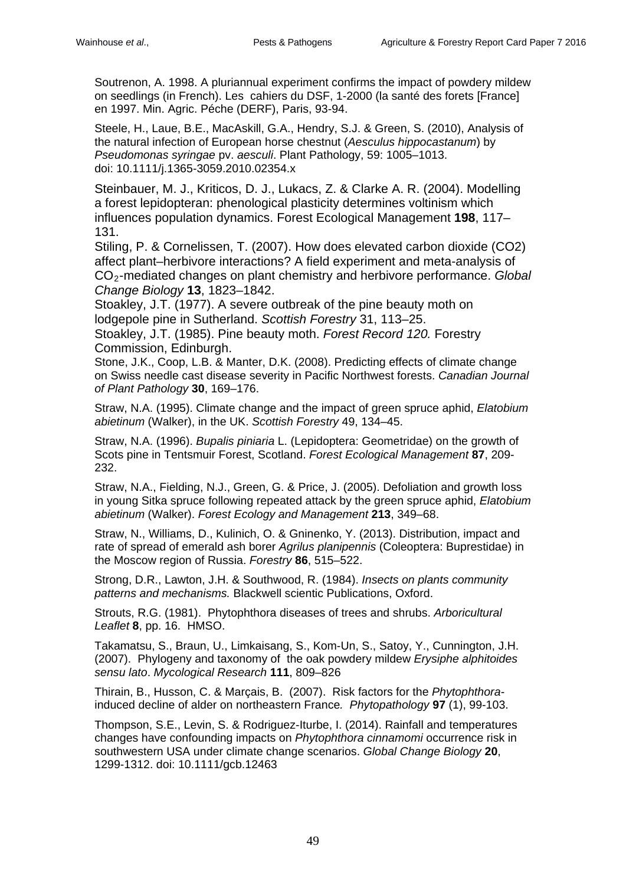Soutrenon, A. 1998. A pluriannual experiment confirms the impact of powdery mildew on seedlings (in French). Les cahiers du DSF, 1-2000 (la santé des forets [France] en 1997. Min. Agric. Péche (DERF), Paris, 93-94.

Steele, H., Laue, B.E., MacAskill, G.A., Hendry, S.J. & Green, S. (2010), Analysis of the natural infection of European horse chestnut (*Aesculus hippocastanum*) by *Pseudomonas syringae* pv. *aesculi*. Plant Pathology, 59: 1005–1013. doi: 10.1111/j.1365-3059.2010.02354.x

Steinbauer, M. J., Kriticos, D. J., Lukacs, Z. & Clarke A. R. (2004). Modelling a forest lepidopteran: phenological plasticity determines voltinism which influences population dynamics. Forest Ecological Management **198**, 117– 131.

Stiling, P. & Cornelissen, T. (2007). How does elevated carbon dioxide (CO2) affect plant–herbivore interactions? A field experiment and meta-analysis of CO2-mediated changes on plant chemistry and herbivore performance. *Global Change Biology* **13**, 1823–1842.

Stoakley, J.T. (1977). A severe outbreak of the pine beauty moth on lodgepole pine in Sutherland. *Scottish Forestry* 31, 113–25.

Stoakley, J.T. (1985). Pine beauty moth. *Forest Record 120.* Forestry Commission, Edinburgh.

Stone, J.K., Coop, L.B. & Manter, D.K. (2008). Predicting effects of climate change on Swiss needle cast disease severity in Pacific Northwest forests. *Canadian Journal of Plant Pathology* **30**, 169–176.

Straw, N.A. (1995). Climate change and the impact of green spruce aphid, *Elatobium abietinum* (Walker), in the UK. *Scottish Forestry* 49, 134–45.

Straw, N.A. (1996). *Bupalis piniaria* L. (Lepidoptera: Geometridae) on the growth of Scots pine in Tentsmuir Forest, Scotland. *Forest Ecological Management* **87**, 209- 232.

Straw, N.A., Fielding, N.J., Green, G. & Price, J. (2005). Defoliation and growth loss in young Sitka spruce following repeated attack by the green spruce aphid, *Elatobium abietinum* (Walker). *Forest Ecology and Management* **213**, 349–68.

Straw, N., Williams, D., Kulinich, O. & Gninenko, Y. (2013). Distribution, impact and rate of spread of emerald ash borer *Agrilus planipennis* (Coleoptera: Buprestidae) in the Moscow region of Russia. *Forestry* **86**, 515–522.

Strong, D.R., Lawton, J.H. & Southwood, R. (1984). *Insects on plants community patterns and mechanisms.* Blackwell scientic Publications, Oxford.

Strouts, R.G. (1981). Phytophthora diseases of trees and shrubs. *Arboricultural Leaflet* **8**, pp. 16. HMSO.

Takamatsu, S., Braun, U., Limkaisang, S., Kom-Un, S., Satoy, Y., Cunnington, J.H. (2007). Phylogeny and taxonomy of the oak powdery mildew *Erysiphe alphitoides sensu lato*. *Mycological Research* **111**, 809–826

Thirain, B., Husson, C. & Marçais, B. (2007). Risk factors for the *Phytophthora*induced decline of alder on northeastern France*. Phytopathology* **97** (1), 99-103.

Thompson, S.E., Levin, S. & Rodriguez-Iturbe, I. (2014). Rainfall and temperatures changes have confounding impacts on *Phytophthora cinnamomi* occurrence risk in southwestern USA under climate change scenarios. *Global Change Biology* **20**, 1299-1312. doi: 10.1111/gcb.12463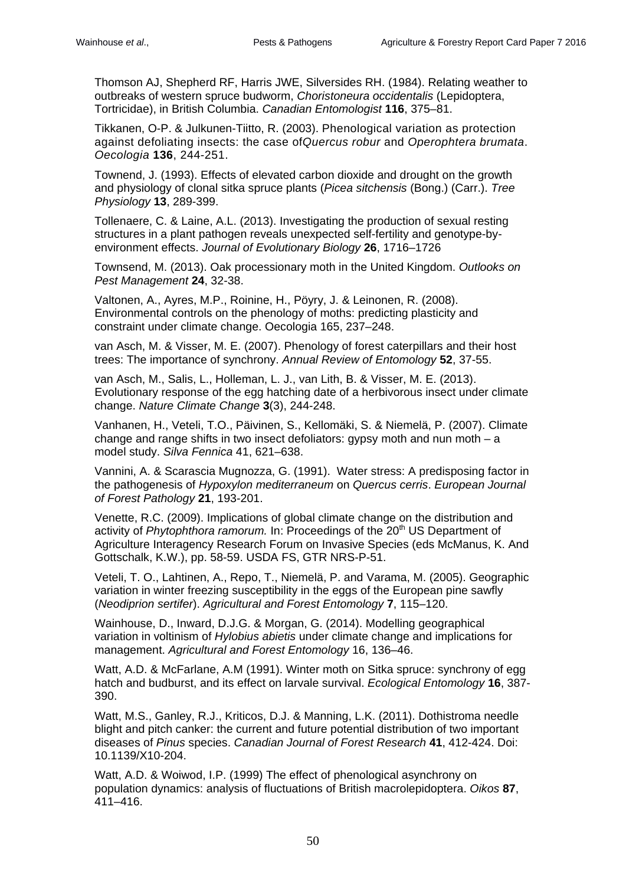Thomson AJ, Shepherd RF, Harris JWE, Silversides RH. (1984). Relating weather to outbreaks of western spruce budworm, *Choristoneura occidentalis* (Lepidoptera, Tortricidae), in British Columbia. *Canadian Entomologist* **116**, 375–81.

Tikkanen, O-P. & Julkunen-Tiitto, R. (2003). Phenological variation as protection against defoliating insects: the case of*Quercus robur* and *Operophtera brumata*. *Oecologia* **136**, 244-251.

Townend, J. (1993). Effects of elevated carbon dioxide and drought on the growth and physiology of clonal sitka spruce plants (*Picea sitchensis* (Bong.) (Carr.). *Tree Physiology* **13**, 289-399.

Tollenaere, C. & Laine, A.L. (2013). Investigating the production of sexual resting structures in a plant pathogen reveals unexpected self-fertility and genotype-byenvironment effects. *Journal of Evolutionary Biology* **26**, 1716–1726

Townsend, M. (2013). Oak processionary moth in the United Kingdom. *Outlooks on Pest Management* **24**, 32-38.

Valtonen, A., Ayres, M.P., Roinine, H., Pöyry, J. & Leinonen, R. (2008). Environmental controls on the phenology of moths: predicting plasticity and constraint under climate change. Oecologia 165, 237–248.

van Asch, M. & Visser, M. E. (2007). Phenology of forest caterpillars and their host trees: The importance of synchrony. *Annual Review of Entomology* **52**, 37-55.

van Asch, M., Salis, L., Holleman, L. J., van Lith, B. & Visser, M. E. (2013). Evolutionary response of the egg hatching date of a herbivorous insect under climate change. *Nature Climate Change* **3**(3), 244-248.

Vanhanen, H., Veteli, T.O., Päivinen, S., Kellomäki, S. & Niemelä, P. (2007). Climate change and range shifts in two insect defoliators: gypsy moth and nun moth – a model study. *Silva Fennica* 41, 621–638.

Vannini, A. & Scarascia Mugnozza, G. (1991). Water stress: A predisposing factor in the pathogenesis of *Hypoxylon mediterraneum* on *Quercus cerris*. *European Journal of Forest Pathology* **21**, 193-201.

Venette, R.C. (2009). Implications of global climate change on the distribution and activity of *Phytophthora ramorum.* In: Proceedings of the 20<sup>th</sup> US Department of Agriculture Interagency Research Forum on Invasive Species (eds McManus, K. And Gottschalk, K.W.), pp. 58-59. USDA FS, GTR NRS-P-51.

Veteli, T. O., Lahtinen, A., Repo, T., Niemelä, P. and Varama, M. (2005). Geographic variation in winter freezing susceptibility in the eggs of the European pine sawfly (*Neodiprion sertifer*). *Agricultural and Forest Entomology* **7**, 115–120.

Wainhouse, D., Inward, D.J.G. & Morgan, G. (2014). Modelling geographical variation in voltinism of *Hylobius abietis* under climate change and implications for management. *Agricultural and Forest Entomology* 16, 136–46.

Watt, A.D. & McFarlane, A.M (1991). Winter moth on Sitka spruce: synchrony of egg hatch and budburst, and its effect on larvale survival. *Ecological Entomology* **16**, 387- 390.

Watt, M.S., Ganley, R.J., Kriticos, D.J. & Manning, L.K. (2011). Dothistroma needle blight and pitch canker: the current and future potential distribution of two important diseases of *Pinus* species. *Canadian Journal of Forest Research* **41**, 412-424. Doi: 10.1139/X10-204.

Watt, A.D. & Woiwod, I.P. (1999) The effect of phenological asynchrony on population dynamics: analysis of fluctuations of British macrolepidoptera. *Oikos* **87**, 411–416.